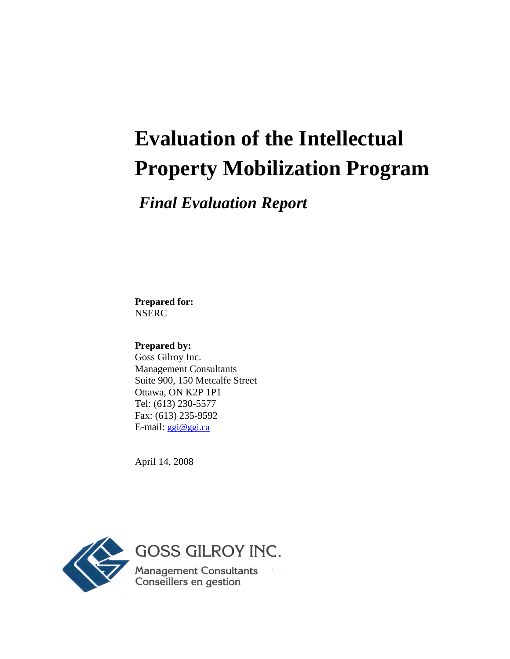# **Evaluation of the Intellectual Property Mobilization Program**

 *Final Evaluation Report* 

**Prepared for: NSERC** 

**Prepared by:** Goss Gilroy Inc. Management Consultants Suite 900, 150 Metcalfe Street Ottawa, ON K2P 1P1 Tel: (613) 230-5577 Fax: (613) 235-9592 E-mail: ggi@ggi.ca

April 14, 2008

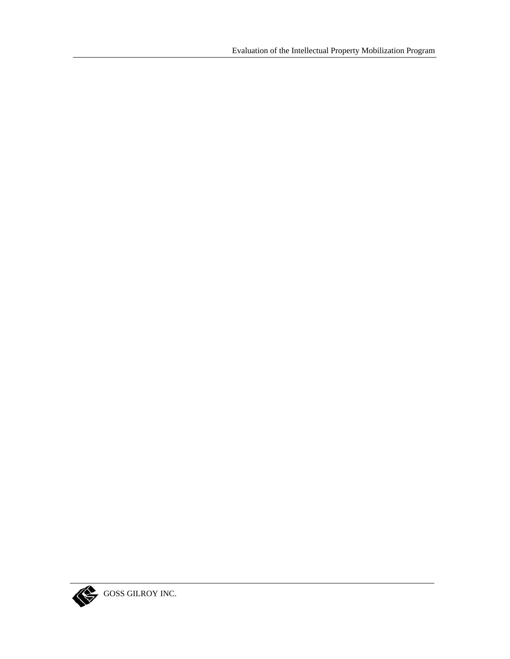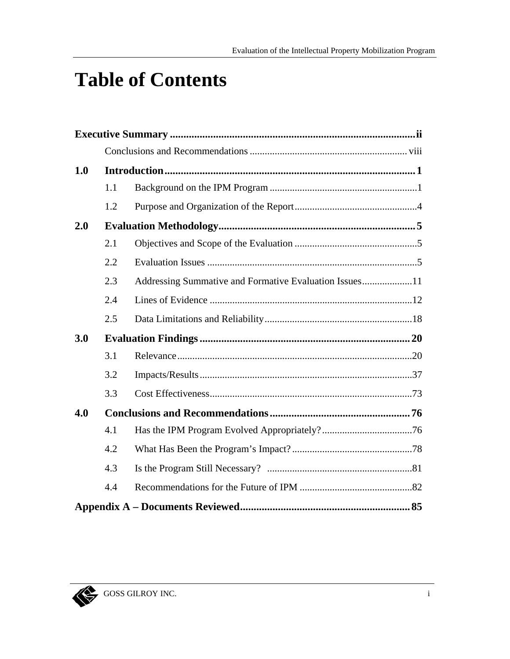# **Table of Contents**

| 1.0 |     |                                                        |  |
|-----|-----|--------------------------------------------------------|--|
|     | 1.1 |                                                        |  |
|     | 1.2 |                                                        |  |
| 2.0 |     |                                                        |  |
|     | 2.1 |                                                        |  |
|     | 2.2 |                                                        |  |
|     | 2.3 | Addressing Summative and Formative Evaluation Issues11 |  |
|     | 2.4 |                                                        |  |
|     | 2.5 |                                                        |  |
| 3.0 |     |                                                        |  |
|     | 3.1 |                                                        |  |
|     | 3.2 |                                                        |  |
|     | 3.3 |                                                        |  |
| 4.0 |     |                                                        |  |
|     | 4.1 |                                                        |  |
|     | 4.2 |                                                        |  |
|     | 4.3 |                                                        |  |
|     | 4.4 |                                                        |  |
|     |     |                                                        |  |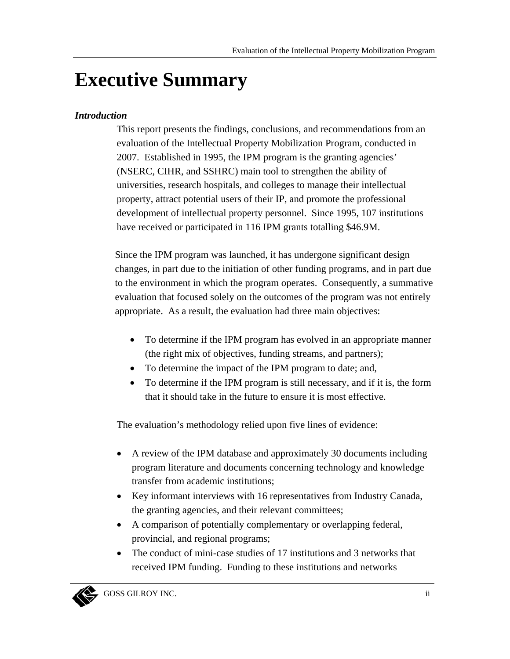# **Executive Summary**

### *Introduction*

This report presents the findings, conclusions, and recommendations from an evaluation of the Intellectual Property Mobilization Program, conducted in 2007. Established in 1995, the IPM program is the granting agencies' (NSERC, CIHR, and SSHRC) main tool to strengthen the ability of universities, research hospitals, and colleges to manage their intellectual property, attract potential users of their IP, and promote the professional development of intellectual property personnel. Since 1995, 107 institutions have received or participated in 116 IPM grants totalling \$46.9M.

Since the IPM program was launched, it has undergone significant design changes, in part due to the initiation of other funding programs, and in part due to the environment in which the program operates. Consequently, a summative evaluation that focused solely on the outcomes of the program was not entirely appropriate. As a result, the evaluation had three main objectives:

- To determine if the IPM program has evolved in an appropriate manner (the right mix of objectives, funding streams, and partners);
- To determine the impact of the IPM program to date; and,
- To determine if the IPM program is still necessary, and if it is, the form that it should take in the future to ensure it is most effective.

The evaluation's methodology relied upon five lines of evidence:

- A review of the IPM database and approximately 30 documents including program literature and documents concerning technology and knowledge transfer from academic institutions;
- Key informant interviews with 16 representatives from Industry Canada, the granting agencies, and their relevant committees;
- A comparison of potentially complementary or overlapping federal, provincial, and regional programs;
- The conduct of mini-case studies of 17 institutions and 3 networks that received IPM funding. Funding to these institutions and networks

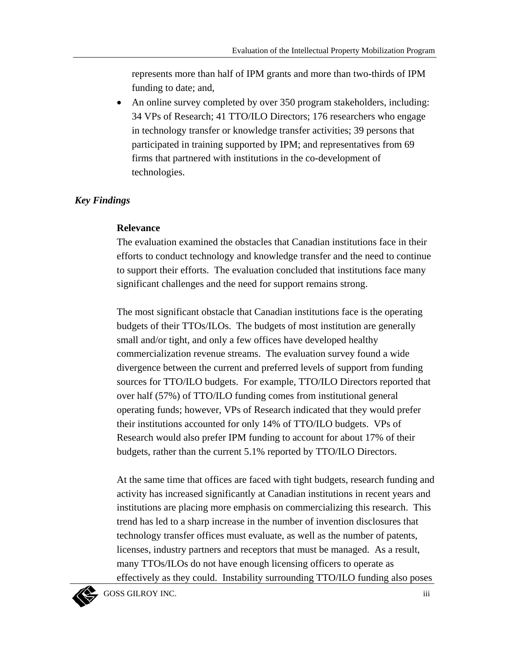represents more than half of IPM grants and more than two-thirds of IPM funding to date; and,

• An online survey completed by over 350 program stakeholders, including: 34 VPs of Research; 41 TTO/ILO Directors; 176 researchers who engage in technology transfer or knowledge transfer activities; 39 persons that participated in training supported by IPM; and representatives from 69 firms that partnered with institutions in the co-development of technologies.

### *Key Findings*

#### **Relevance**

The evaluation examined the obstacles that Canadian institutions face in their efforts to conduct technology and knowledge transfer and the need to continue to support their efforts. The evaluation concluded that institutions face many significant challenges and the need for support remains strong.

The most significant obstacle that Canadian institutions face is the operating budgets of their TTOs/ILOs. The budgets of most institution are generally small and/or tight, and only a few offices have developed healthy commercialization revenue streams. The evaluation survey found a wide divergence between the current and preferred levels of support from funding sources for TTO/ILO budgets. For example, TTO/ILO Directors reported that over half (57%) of TTO/ILO funding comes from institutional general operating funds; however, VPs of Research indicated that they would prefer their institutions accounted for only 14% of TTO/ILO budgets. VPs of Research would also prefer IPM funding to account for about 17% of their budgets, rather than the current 5.1% reported by TTO/ILO Directors.

At the same time that offices are faced with tight budgets, research funding and activity has increased significantly at Canadian institutions in recent years and institutions are placing more emphasis on commercializing this research. This trend has led to a sharp increase in the number of invention disclosures that technology transfer offices must evaluate, as well as the number of patents, licenses, industry partners and receptors that must be managed. As a result, many TTOs/ILOs do not have enough licensing officers to operate as effectively as they could. Instability surrounding TTO/ILO funding also poses



GOSS GILROY INC. **iii**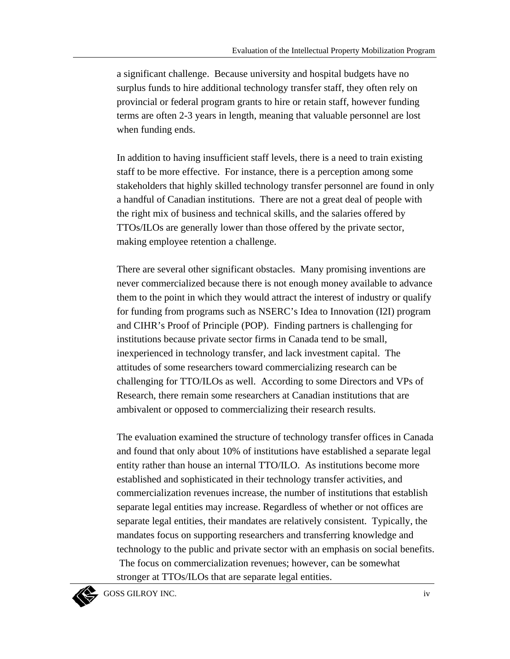a significant challenge. Because university and hospital budgets have no surplus funds to hire additional technology transfer staff, they often rely on provincial or federal program grants to hire or retain staff, however funding terms are often 2-3 years in length, meaning that valuable personnel are lost when funding ends.

In addition to having insufficient staff levels, there is a need to train existing staff to be more effective. For instance, there is a perception among some stakeholders that highly skilled technology transfer personnel are found in only a handful of Canadian institutions. There are not a great deal of people with the right mix of business and technical skills, and the salaries offered by TTOs/ILOs are generally lower than those offered by the private sector, making employee retention a challenge.

There are several other significant obstacles. Many promising inventions are never commercialized because there is not enough money available to advance them to the point in which they would attract the interest of industry or qualify for funding from programs such as NSERC's Idea to Innovation (I2I) program and CIHR's Proof of Principle (POP). Finding partners is challenging for institutions because private sector firms in Canada tend to be small, inexperienced in technology transfer, and lack investment capital. The attitudes of some researchers toward commercializing research can be challenging for TTO/ILOs as well. According to some Directors and VPs of Research, there remain some researchers at Canadian institutions that are ambivalent or opposed to commercializing their research results.

The evaluation examined the structure of technology transfer offices in Canada and found that only about 10% of institutions have established a separate legal entity rather than house an internal TTO/ILO. As institutions become more established and sophisticated in their technology transfer activities, and commercialization revenues increase, the number of institutions that establish separate legal entities may increase. Regardless of whether or not offices are separate legal entities, their mandates are relatively consistent. Typically, the mandates focus on supporting researchers and transferring knowledge and technology to the public and private sector with an emphasis on social benefits. The focus on commercialization revenues; however, can be somewhat stronger at TTOs/ILOs that are separate legal entities.



GOSS GILROY INC.  $\qquad \qquad$  iv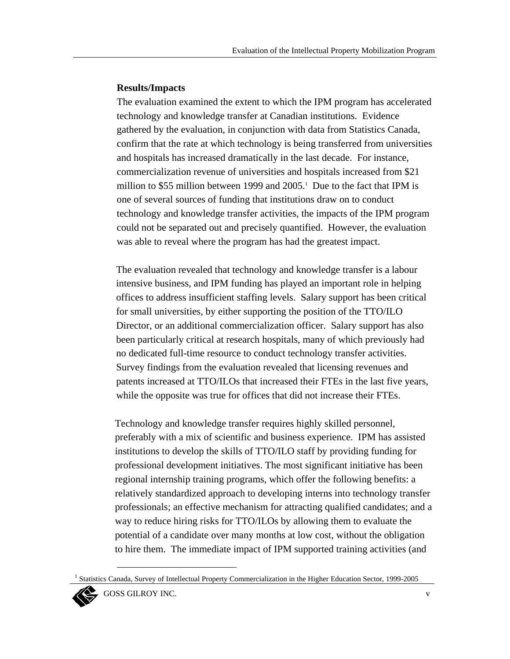### **Results/Impacts**

The evaluation examined the extent to which the IPM program has accelerated technology and knowledge transfer at Canadian institutions. Evidence gathered by the evaluation, in conjunction with data from Statistics Canada, confirm that the rate at which technology is being transferred from universities and hospitals has increased dramatically in the last decade. For instance, commercialization revenue of universities and hospitals increased from \$21 million to \$55 million between 1999 and  $2005$ .<sup>1</sup> Due to the fact that IPM is one of several sources of funding that institutions draw on to conduct technology and knowledge transfer activities, the impacts of the IPM program could not be separated out and precisely quantified. However, the evaluation was able to reveal where the program has had the greatest impact.

The evaluation revealed that technology and knowledge transfer is a labour intensive business, and IPM funding has played an important role in helping offices to address insufficient staffing levels. Salary support has been critical for small universities, by either supporting the position of the TTO/ILO Director, or an additional commercialization officer. Salary support has also been particularly critical at research hospitals, many of which previously had no dedicated full-time resource to conduct technology transfer activities. Survey findings from the evaluation revealed that licensing revenues and patents increased at TTO/ILOs that increased their FTEs in the last five years, while the opposite was true for offices that did not increase their FTEs.

Technology and knowledge transfer requires highly skilled personnel, preferably with a mix of scientific and business experience. IPM has assisted institutions to develop the skills of TTO/ILO staff by providing funding for professional development initiatives. The most significant initiative has been regional internship training programs, which offer the following benefits: a relatively standardized approach to developing interns into technology transfer professionals; an effective mechanism for attracting qualified candidates; and a way to reduce hiring risks for TTO/ILOs by allowing them to evaluate the potential of a candidate over many months at low cost, without the obligation to hire them. The immediate impact of IPM supported training activities (and

 <sup>1</sup> Statistics Canada, Survey of Intellectual Property Commercialization in the Higher Education Sector, 1999-2005

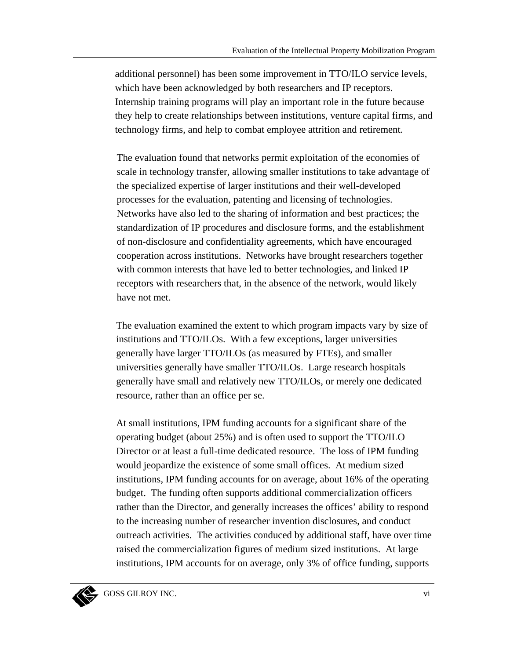additional personnel) has been some improvement in TTO/ILO service levels, which have been acknowledged by both researchers and IP receptors. Internship training programs will play an important role in the future because they help to create relationships between institutions, venture capital firms, and technology firms, and help to combat employee attrition and retirement.

The evaluation found that networks permit exploitation of the economies of scale in technology transfer, allowing smaller institutions to take advantage of the specialized expertise of larger institutions and their well-developed processes for the evaluation, patenting and licensing of technologies. Networks have also led to the sharing of information and best practices; the standardization of IP procedures and disclosure forms, and the establishment of non-disclosure and confidentiality agreements, which have encouraged cooperation across institutions. Networks have brought researchers together with common interests that have led to better technologies, and linked IP receptors with researchers that, in the absence of the network, would likely have not met.

The evaluation examined the extent to which program impacts vary by size of institutions and TTO/ILOs. With a few exceptions, larger universities generally have larger TTO/ILOs (as measured by FTEs), and smaller universities generally have smaller TTO/ILOs. Large research hospitals generally have small and relatively new TTO/ILOs, or merely one dedicated resource, rather than an office per se.

At small institutions, IPM funding accounts for a significant share of the operating budget (about 25%) and is often used to support the TTO/ILO Director or at least a full-time dedicated resource. The loss of IPM funding would jeopardize the existence of some small offices. At medium sized institutions, IPM funding accounts for on average, about 16% of the operating budget. The funding often supports additional commercialization officers rather than the Director, and generally increases the offices' ability to respond to the increasing number of researcher invention disclosures, and conduct outreach activities. The activities conduced by additional staff, have over time raised the commercialization figures of medium sized institutions. At large institutions, IPM accounts for on average, only 3% of office funding, supports

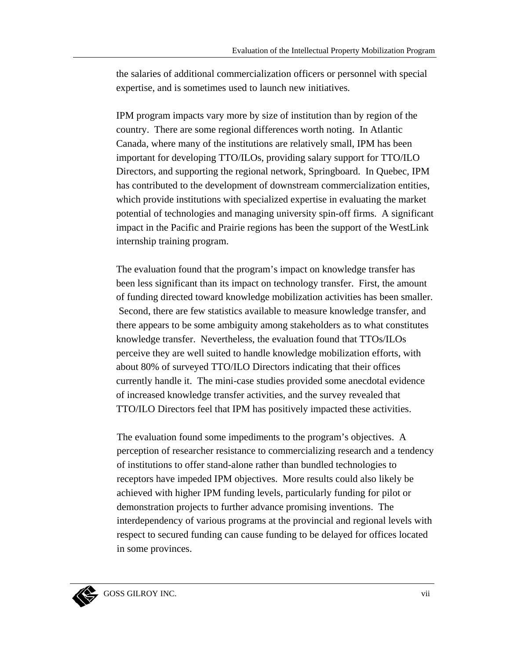the salaries of additional commercialization officers or personnel with special expertise, and is sometimes used to launch new initiatives*.* 

IPM program impacts vary more by size of institution than by region of the country. There are some regional differences worth noting. In Atlantic Canada, where many of the institutions are relatively small, IPM has been important for developing TTO/ILOs, providing salary support for TTO/ILO Directors, and supporting the regional network, Springboard. In Quebec, IPM has contributed to the development of downstream commercialization entities, which provide institutions with specialized expertise in evaluating the market potential of technologies and managing university spin-off firms. A significant impact in the Pacific and Prairie regions has been the support of the WestLink internship training program.

The evaluation found that the program's impact on knowledge transfer has been less significant than its impact on technology transfer. First, the amount of funding directed toward knowledge mobilization activities has been smaller. Second, there are few statistics available to measure knowledge transfer, and there appears to be some ambiguity among stakeholders as to what constitutes knowledge transfer. Nevertheless, the evaluation found that TTOs/ILOs perceive they are well suited to handle knowledge mobilization efforts, with about 80% of surveyed TTO/ILO Directors indicating that their offices currently handle it. The mini-case studies provided some anecdotal evidence of increased knowledge transfer activities, and the survey revealed that TTO/ILO Directors feel that IPM has positively impacted these activities.

The evaluation found some impediments to the program's objectives. A perception of researcher resistance to commercializing research and a tendency of institutions to offer stand-alone rather than bundled technologies to receptors have impeded IPM objectives. More results could also likely be achieved with higher IPM funding levels, particularly funding for pilot or demonstration projects to further advance promising inventions. The interdependency of various programs at the provincial and regional levels with respect to secured funding can cause funding to be delayed for offices located in some provinces.

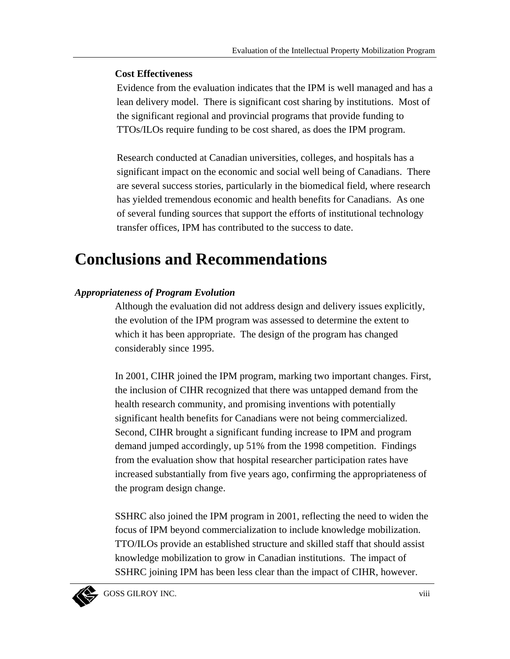### **Cost Effectiveness**

Evidence from the evaluation indicates that the IPM is well managed and has a lean delivery model. There is significant cost sharing by institutions. Most of the significant regional and provincial programs that provide funding to TTOs/ILOs require funding to be cost shared, as does the IPM program.

Research conducted at Canadian universities, colleges, and hospitals has a significant impact on the economic and social well being of Canadians. There are several success stories, particularly in the biomedical field, where research has yielded tremendous economic and health benefits for Canadians. As one of several funding sources that support the efforts of institutional technology transfer offices, IPM has contributed to the success to date.

### **Conclusions and Recommendations**

### *Appropriateness of Program Evolution*

Although the evaluation did not address design and delivery issues explicitly, the evolution of the IPM program was assessed to determine the extent to which it has been appropriate. The design of the program has changed considerably since 1995.

In 2001, CIHR joined the IPM program, marking two important changes. First, the inclusion of CIHR recognized that there was untapped demand from the health research community, and promising inventions with potentially significant health benefits for Canadians were not being commercialized. Second, CIHR brought a significant funding increase to IPM and program demand jumped accordingly, up 51% from the 1998 competition. Findings from the evaluation show that hospital researcher participation rates have increased substantially from five years ago, confirming the appropriateness of the program design change.

SSHRC also joined the IPM program in 2001, reflecting the need to widen the focus of IPM beyond commercialization to include knowledge mobilization. TTO/ILOs provide an established structure and skilled staff that should assist knowledge mobilization to grow in Canadian institutions. The impact of SSHRC joining IPM has been less clear than the impact of CIHR, however.

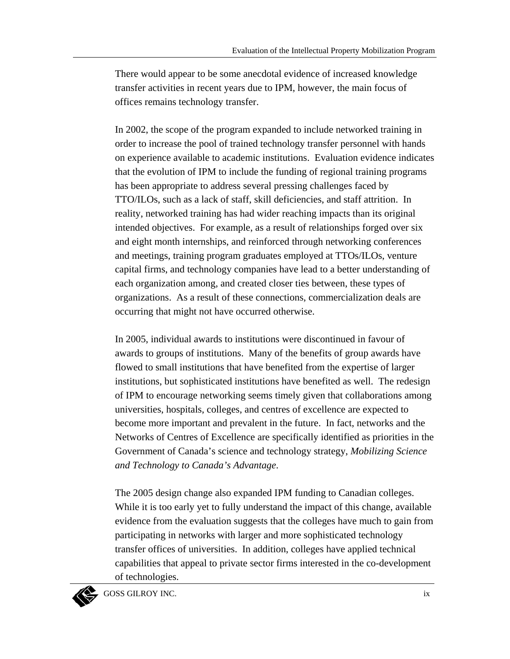There would appear to be some anecdotal evidence of increased knowledge transfer activities in recent years due to IPM, however, the main focus of offices remains technology transfer.

In 2002, the scope of the program expanded to include networked training in order to increase the pool of trained technology transfer personnel with hands on experience available to academic institutions. Evaluation evidence indicates that the evolution of IPM to include the funding of regional training programs has been appropriate to address several pressing challenges faced by TTO/ILOs, such as a lack of staff, skill deficiencies, and staff attrition. In reality, networked training has had wider reaching impacts than its original intended objectives. For example, as a result of relationships forged over six and eight month internships, and reinforced through networking conferences and meetings, training program graduates employed at TTOs/ILOs, venture capital firms, and technology companies have lead to a better understanding of each organization among, and created closer ties between, these types of organizations. As a result of these connections, commercialization deals are occurring that might not have occurred otherwise.

In 2005, individual awards to institutions were discontinued in favour of awards to groups of institutions. Many of the benefits of group awards have flowed to small institutions that have benefited from the expertise of larger institutions, but sophisticated institutions have benefited as well. The redesign of IPM to encourage networking seems timely given that collaborations among universities, hospitals, colleges, and centres of excellence are expected to become more important and prevalent in the future. In fact, networks and the Networks of Centres of Excellence are specifically identified as priorities in the Government of Canada's science and technology strategy, *Mobilizing Science and Technology to Canada's Advantage*.

The 2005 design change also expanded IPM funding to Canadian colleges. While it is too early yet to fully understand the impact of this change, available evidence from the evaluation suggests that the colleges have much to gain from participating in networks with larger and more sophisticated technology transfer offices of universities. In addition, colleges have applied technical capabilities that appeal to private sector firms interested in the co-development of technologies.



GOSS GILROY INC.  $\qquad \qquad$  ix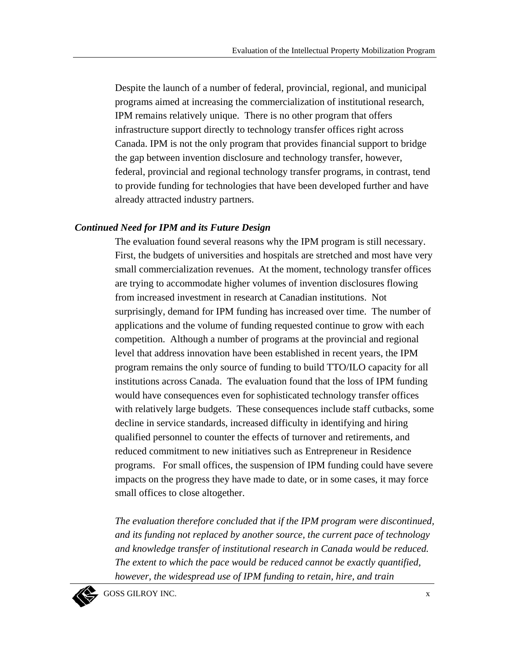Despite the launch of a number of federal, provincial, regional, and municipal programs aimed at increasing the commercialization of institutional research, IPM remains relatively unique. There is no other program that offers infrastructure support directly to technology transfer offices right across Canada. IPM is not the only program that provides financial support to bridge the gap between invention disclosure and technology transfer, however, federal, provincial and regional technology transfer programs, in contrast, tend to provide funding for technologies that have been developed further and have already attracted industry partners.

#### *Continued Need for IPM and its Future Design*

The evaluation found several reasons why the IPM program is still necessary. First, the budgets of universities and hospitals are stretched and most have very small commercialization revenues. At the moment, technology transfer offices are trying to accommodate higher volumes of invention disclosures flowing from increased investment in research at Canadian institutions. Not surprisingly, demand for IPM funding has increased over time. The number of applications and the volume of funding requested continue to grow with each competition. Although a number of programs at the provincial and regional level that address innovation have been established in recent years, the IPM program remains the only source of funding to build TTO/ILO capacity for all institutions across Canada. The evaluation found that the loss of IPM funding would have consequences even for sophisticated technology transfer offices with relatively large budgets. These consequences include staff cutbacks, some decline in service standards, increased difficulty in identifying and hiring qualified personnel to counter the effects of turnover and retirements, and reduced commitment to new initiatives such as Entrepreneur in Residence programs. For small offices, the suspension of IPM funding could have severe impacts on the progress they have made to date, or in some cases, it may force small offices to close altogether.

*The evaluation therefore concluded that if the IPM program were discontinued, and its funding not replaced by another source, the current pace of technology and knowledge transfer of institutional research in Canada would be reduced. The extent to which the pace would be reduced cannot be exactly quantified, however, the widespread use of IPM funding to retain, hire, and train* 



GOSS GILROY INC.  $\boldsymbol{x}$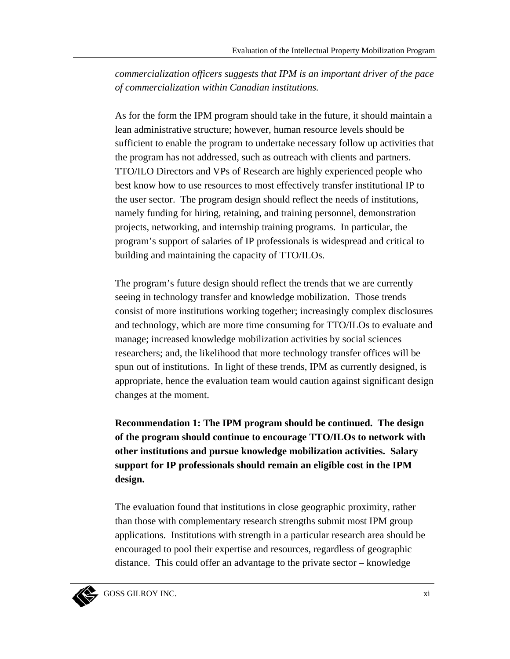*commercialization officers suggests that IPM is an important driver of the pace of commercialization within Canadian institutions.* 

As for the form the IPM program should take in the future, it should maintain a lean administrative structure; however, human resource levels should be sufficient to enable the program to undertake necessary follow up activities that the program has not addressed, such as outreach with clients and partners. TTO/ILO Directors and VPs of Research are highly experienced people who best know how to use resources to most effectively transfer institutional IP to the user sector. The program design should reflect the needs of institutions, namely funding for hiring, retaining, and training personnel, demonstration projects, networking, and internship training programs. In particular, the program's support of salaries of IP professionals is widespread and critical to building and maintaining the capacity of TTO/ILOs.

The program's future design should reflect the trends that we are currently seeing in technology transfer and knowledge mobilization. Those trends consist of more institutions working together; increasingly complex disclosures and technology, which are more time consuming for TTO/ILOs to evaluate and manage; increased knowledge mobilization activities by social sciences researchers; and, the likelihood that more technology transfer offices will be spun out of institutions. In light of these trends, IPM as currently designed, is appropriate, hence the evaluation team would caution against significant design changes at the moment.

**Recommendation 1: The IPM program should be continued. The design of the program should continue to encourage TTO/ILOs to network with other institutions and pursue knowledge mobilization activities. Salary support for IP professionals should remain an eligible cost in the IPM design.** 

The evaluation found that institutions in close geographic proximity, rather than those with complementary research strengths submit most IPM group applications. Institutions with strength in a particular research area should be encouraged to pool their expertise and resources, regardless of geographic distance. This could offer an advantage to the private sector – knowledge

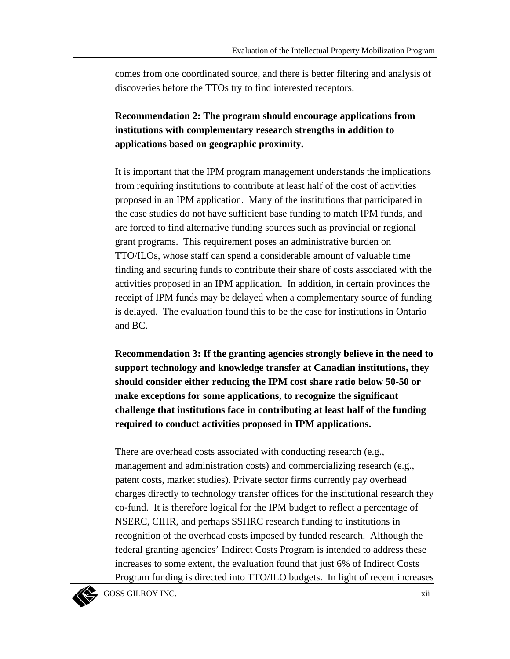comes from one coordinated source, and there is better filtering and analysis of discoveries before the TTOs try to find interested receptors.

### **Recommendation 2: The program should encourage applications from institutions with complementary research strengths in addition to applications based on geographic proximity.**

It is important that the IPM program management understands the implications from requiring institutions to contribute at least half of the cost of activities proposed in an IPM application. Many of the institutions that participated in the case studies do not have sufficient base funding to match IPM funds, and are forced to find alternative funding sources such as provincial or regional grant programs. This requirement poses an administrative burden on TTO/ILOs, whose staff can spend a considerable amount of valuable time finding and securing funds to contribute their share of costs associated with the activities proposed in an IPM application. In addition, in certain provinces the receipt of IPM funds may be delayed when a complementary source of funding is delayed. The evaluation found this to be the case for institutions in Ontario and BC.

**Recommendation 3: If the granting agencies strongly believe in the need to support technology and knowledge transfer at Canadian institutions, they should consider either reducing the IPM cost share ratio below 50-50 or make exceptions for some applications, to recognize the significant challenge that institutions face in contributing at least half of the funding required to conduct activities proposed in IPM applications.** 

There are overhead costs associated with conducting research (e.g., management and administration costs) and commercializing research (e.g., patent costs, market studies). Private sector firms currently pay overhead charges directly to technology transfer offices for the institutional research they co-fund. It is therefore logical for the IPM budget to reflect a percentage of NSERC, CIHR, and perhaps SSHRC research funding to institutions in recognition of the overhead costs imposed by funded research. Although the federal granting agencies' Indirect Costs Program is intended to address these increases to some extent, the evaluation found that just 6% of Indirect Costs Program funding is directed into TTO/ILO budgets. In light of recent increases



GOSS GILROY INC. The state of the state of the state of the state of the state of the state of the state of the state of the state of the state of the state of the state of the state of the state of the state of the state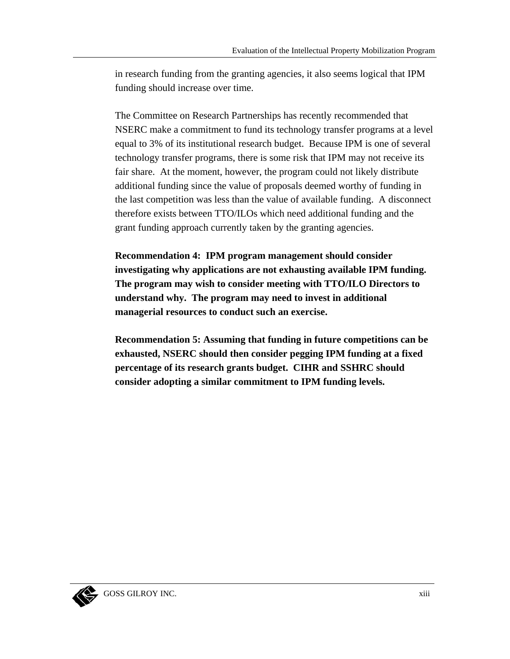in research funding from the granting agencies, it also seems logical that IPM funding should increase over time.

The Committee on Research Partnerships has recently recommended that NSERC make a commitment to fund its technology transfer programs at a level equal to 3% of its institutional research budget. Because IPM is one of several technology transfer programs, there is some risk that IPM may not receive its fair share. At the moment, however, the program could not likely distribute additional funding since the value of proposals deemed worthy of funding in the last competition was less than the value of available funding. A disconnect therefore exists between TTO/ILOs which need additional funding and the grant funding approach currently taken by the granting agencies.

**Recommendation 4: IPM program management should consider investigating why applications are not exhausting available IPM funding. The program may wish to consider meeting with TTO/ILO Directors to understand why. The program may need to invest in additional managerial resources to conduct such an exercise.** 

**Recommendation 5: Assuming that funding in future competitions can be exhausted, NSERC should then consider pegging IPM funding at a fixed percentage of its research grants budget. CIHR and SSHRC should consider adopting a similar commitment to IPM funding levels.** 

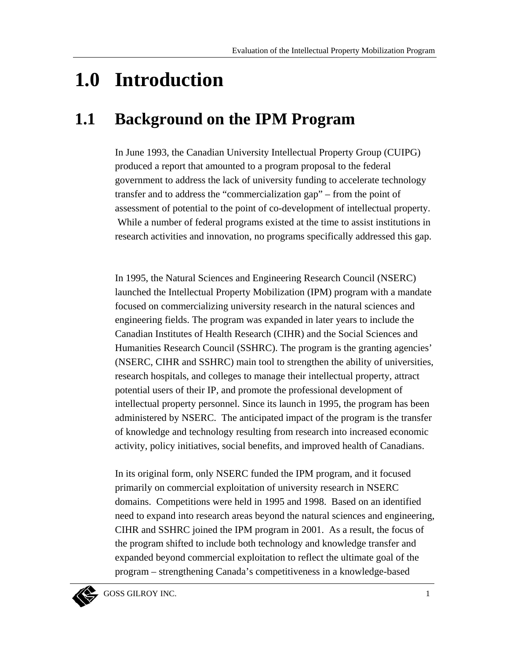# **1.0 Introduction**

## **1.1 Background on the IPM Program**

In June 1993, the Canadian University Intellectual Property Group (CUIPG) produced a report that amounted to a program proposal to the federal government to address the lack of university funding to accelerate technology transfer and to address the "commercialization gap" – from the point of assessment of potential to the point of co-development of intellectual property. While a number of federal programs existed at the time to assist institutions in research activities and innovation, no programs specifically addressed this gap.

In 1995, the Natural Sciences and Engineering Research Council (NSERC) launched the Intellectual Property Mobilization (IPM) program with a mandate focused on commercializing university research in the natural sciences and engineering fields. The program was expanded in later years to include the Canadian Institutes of Health Research (CIHR) and the Social Sciences and Humanities Research Council (SSHRC). The program is the granting agencies' (NSERC, CIHR and SSHRC) main tool to strengthen the ability of universities, research hospitals, and colleges to manage their intellectual property, attract potential users of their IP, and promote the professional development of intellectual property personnel. Since its launch in 1995, the program has been administered by NSERC. The anticipated impact of the program is the transfer of knowledge and technology resulting from research into increased economic activity, policy initiatives, social benefits, and improved health of Canadians.

In its original form, only NSERC funded the IPM program, and it focused primarily on commercial exploitation of university research in NSERC domains. Competitions were held in 1995 and 1998. Based on an identified need to expand into research areas beyond the natural sciences and engineering, CIHR and SSHRC joined the IPM program in 2001. As a result, the focus of the program shifted to include both technology and knowledge transfer and expanded beyond commercial exploitation to reflect the ultimate goal of the program – strengthening Canada's competitiveness in a knowledge-based

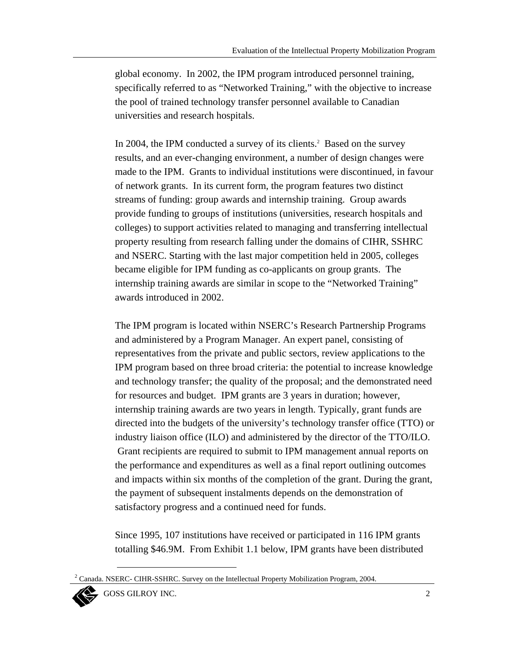global economy. In 2002, the IPM program introduced personnel training, specifically referred to as "Networked Training," with the objective to increase the pool of trained technology transfer personnel available to Canadian universities and research hospitals.

In 2004, the IPM conducted a survey of its clients.<sup>2</sup> Based on the survey results, and an ever-changing environment, a number of design changes were made to the IPM. Grants to individual institutions were discontinued, in favour of network grants. In its current form, the program features two distinct streams of funding: group awards and internship training. Group awards provide funding to groups of institutions (universities, research hospitals and colleges) to support activities related to managing and transferring intellectual property resulting from research falling under the domains of CIHR, SSHRC and NSERC. Starting with the last major competition held in 2005, colleges became eligible for IPM funding as co-applicants on group grants. The internship training awards are similar in scope to the "Networked Training" awards introduced in 2002.

The IPM program is located within NSERC's Research Partnership Programs and administered by a Program Manager. An expert panel, consisting of representatives from the private and public sectors, review applications to the IPM program based on three broad criteria: the potential to increase knowledge and technology transfer; the quality of the proposal; and the demonstrated need for resources and budget. IPM grants are 3 years in duration; however, internship training awards are two years in length. Typically, grant funds are directed into the budgets of the university's technology transfer office (TTO) or industry liaison office (ILO) and administered by the director of the TTO/ILO. Grant recipients are required to submit to IPM management annual reports on the performance and expenditures as well as a final report outlining outcomes and impacts within six months of the completion of the grant. During the grant, the payment of subsequent instalments depends on the demonstration of satisfactory progress and a continued need for funds.

Since 1995, 107 institutions have received or participated in 116 IPM grants totalling \$46.9M. From Exhibit 1.1 below, IPM grants have been distributed

 <sup>2</sup> Canada. NSERC- CIHR-SSHRC. Survey on the Intellectual Property Mobilization Program, 2004.

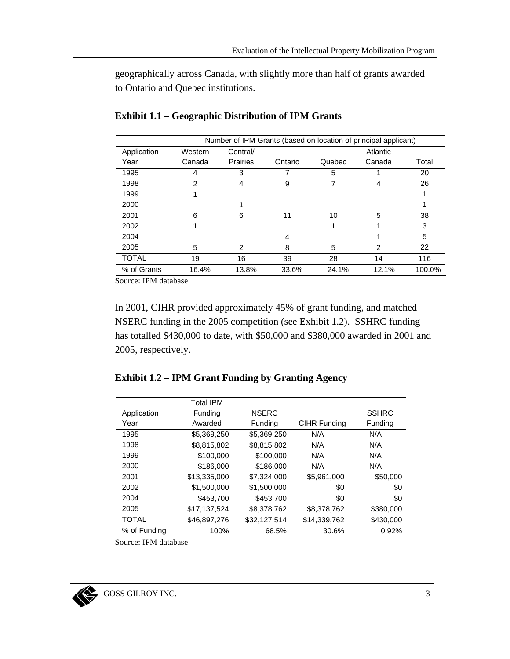geographically across Canada, with slightly more than half of grants awarded to Ontario and Quebec institutions.

|              |         |                 |         |        | Number of IPM Grants (based on location of principal applicant) |        |
|--------------|---------|-----------------|---------|--------|-----------------------------------------------------------------|--------|
| Application  | Western | Central/        |         |        | Atlantic                                                        |        |
| Year         | Canada  | <b>Prairies</b> | Ontario | Quebec | Canada                                                          | Total  |
| 1995         | 4       | 3               |         | 5      |                                                                 | 20     |
| 1998         | 2       | 4               | 9       |        | 4                                                               | 26     |
| 1999         |         |                 |         |        |                                                                 |        |
| 2000         |         |                 |         |        |                                                                 |        |
| 2001         | 6       | 6               | 11      | 10     | 5                                                               | 38     |
| 2002         |         |                 |         |        |                                                                 | 3      |
| 2004         |         |                 | 4       |        |                                                                 | 5      |
| 2005         | 5       | 2               | 8       | 5      | 2                                                               | 22     |
| <b>TOTAL</b> | 19      | 16              | 39      | 28     | 14                                                              | 116    |
| % of Grants  | 16.4%   | 13.8%           | 33.6%   | 24.1%  | 12.1%                                                           | 100.0% |

### **Exhibit 1.1 – Geographic Distribution of IPM Grants**

Source: IPM database

In 2001, CIHR provided approximately 45% of grant funding, and matched NSERC funding in the 2005 competition (see Exhibit 1.2). SSHRC funding has totalled \$430,000 to date, with \$50,000 and \$380,000 awarded in 2001 and 2005, respectively.

|  | <b>Exhibit 1.2 – IPM Grant Funding by Granting Agency</b> |  |  |  |
|--|-----------------------------------------------------------|--|--|--|
|--|-----------------------------------------------------------|--|--|--|

|              | <b>Total IPM</b> |              |              |              |
|--------------|------------------|--------------|--------------|--------------|
| Application  | Funding          | <b>NSERC</b> |              | <b>SSHRC</b> |
| Year         | Awarded          | Funding      | CIHR Funding | Funding      |
| 1995         | \$5.369.250      | \$5.369.250  | N/A          | N/A          |
| 1998         | \$8,815,802      | \$8,815,802  | N/A          | N/A          |
| 1999         | \$100,000        | \$100,000    | N/A          | N/A          |
| 2000         | \$186,000        | \$186,000    | N/A          | N/A          |
| 2001         | \$13.335.000     | \$7.324.000  | \$5.961.000  | \$50,000     |
| 2002         | \$1,500,000      | \$1,500,000  | \$0          | \$0          |
| 2004         | \$453,700        | \$453,700    | \$0          | \$0          |
| 2005         | \$17,137,524     | \$8,378,762  | \$8,378,762  | \$380,000    |
| <b>TOTAL</b> | \$46,897,276     | \$32,127,514 | \$14,339,762 | \$430,000    |
| % of Funding | 100%             | 68.5%        | 30.6%        | 0.92%        |

Source: IPM database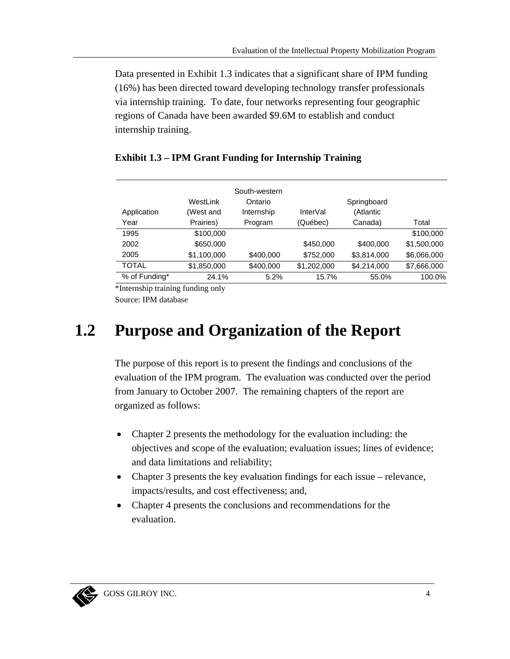Data presented in Exhibit 1.3 indicates that a significant share of IPM funding (16%) has been directed toward developing technology transfer professionals via internship training. To date, four networks representing four geographic regions of Canada have been awarded \$9.6M to establish and conduct internship training.

|               |             | South-western |             |             |             |
|---------------|-------------|---------------|-------------|-------------|-------------|
|               | WestLink    | Ontario       |             | Springboard |             |
| Application   | (West and   | Internship    | InterVal    | (Atlantic   |             |
| Year          | Prairies)   | Program       | (Québec)    | Canada)     | Total       |
| 1995          | \$100,000   |               |             |             | \$100,000   |
| 2002          | \$650,000   |               | \$450,000   | \$400,000   | \$1,500,000 |
| 2005          | \$1,100,000 | \$400,000     | \$752,000   | \$3,814,000 | \$6,066,000 |
| TOTAL         | \$1,850,000 | \$400,000     | \$1,202,000 | \$4,214,000 | \$7,666,000 |
| % of Funding* | 24.1%       | 5.2%          | 15.7%       | 55.0%       | 100.0%      |

### **Exhibit 1.3 – IPM Grant Funding for Internship Training**

\*Internship training funding only

Source: IPM database

### **1.2 Purpose and Organization of the Report**

The purpose of this report is to present the findings and conclusions of the evaluation of the IPM program. The evaluation was conducted over the period from January to October 2007. The remaining chapters of the report are organized as follows:

- Chapter 2 presents the methodology for the evaluation including: the objectives and scope of the evaluation; evaluation issues; lines of evidence; and data limitations and reliability;
- Chapter 3 presents the key evaluation findings for each issue relevance, impacts/results, and cost effectiveness; and,
- Chapter 4 presents the conclusions and recommendations for the evaluation.

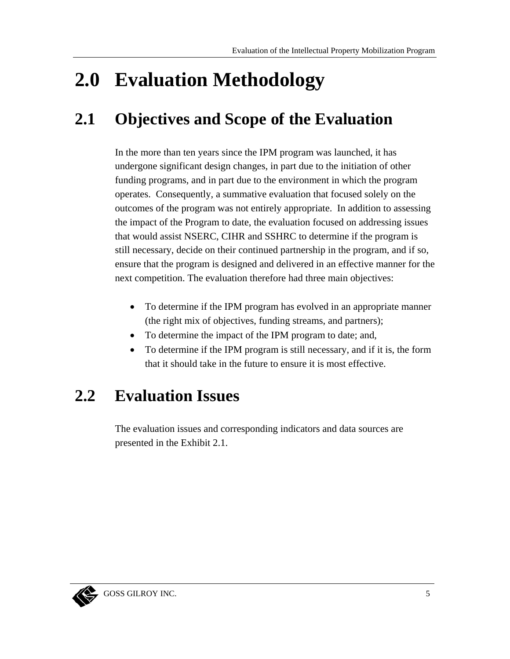# **2.0 Evaluation Methodology**

## **2.1 Objectives and Scope of the Evaluation**

In the more than ten years since the IPM program was launched, it has undergone significant design changes, in part due to the initiation of other funding programs, and in part due to the environment in which the program operates. Consequently, a summative evaluation that focused solely on the outcomes of the program was not entirely appropriate. In addition to assessing the impact of the Program to date, the evaluation focused on addressing issues that would assist NSERC, CIHR and SSHRC to determine if the program is still necessary, decide on their continued partnership in the program, and if so, ensure that the program is designed and delivered in an effective manner for the next competition. The evaluation therefore had three main objectives:

- To determine if the IPM program has evolved in an appropriate manner (the right mix of objectives, funding streams, and partners);
- To determine the impact of the IPM program to date; and,
- To determine if the IPM program is still necessary, and if it is, the form that it should take in the future to ensure it is most effective.

## **2.2 Evaluation Issues**

The evaluation issues and corresponding indicators and data sources are presented in the Exhibit 2.1.

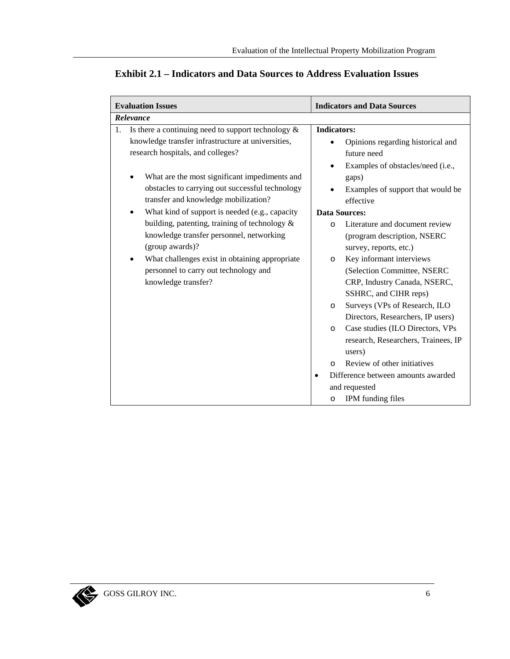| <b>Evaluation Issues</b> |                                                       |                    | <b>Indicators and Data Sources</b>  |
|--------------------------|-------------------------------------------------------|--------------------|-------------------------------------|
|                          | Relevance                                             |                    |                                     |
| $\mathbf{1}$ .           | Is there a continuing need to support technology $\&$ | <b>Indicators:</b> |                                     |
|                          | knowledge transfer infrastructure at universities,    |                    | Opinions regarding historical and   |
|                          | research hospitals, and colleges?                     |                    | future need                         |
|                          |                                                       | $\bullet$          | Examples of obstacles/need (i.e.,   |
|                          | What are the most significant impediments and         |                    | gaps)                               |
|                          | obstacles to carrying out successful technology       |                    | Examples of support that would be   |
|                          | transfer and knowledge mobilization?                  |                    | effective                           |
|                          | What kind of support is needed (e.g., capacity<br>٠   |                    | <b>Data Sources:</b>                |
|                          | building, patenting, training of technology &         | $\circ$            | Literature and document review      |
|                          | knowledge transfer personnel, networking              |                    | (program description, NSERC         |
|                          | (group awards)?                                       |                    | survey, reports, etc.)              |
|                          | What challenges exist in obtaining appropriate        | $\circ$            | Key informant interviews            |
|                          | personnel to carry out technology and                 |                    | (Selection Committee, NSERC         |
|                          | knowledge transfer?                                   |                    | CRP, Industry Canada, NSERC,        |
|                          |                                                       |                    | SSHRC, and CIHR reps)               |
|                          |                                                       | $\circ$            | Surveys (VPs of Research, ILO       |
|                          |                                                       |                    | Directors, Researchers, IP users)   |
|                          |                                                       | $\circ$            | Case studies (ILO Directors, VPs    |
|                          |                                                       |                    | research, Researchers, Trainees, IP |
|                          |                                                       |                    | users)                              |
|                          |                                                       | $\circ$            | Review of other initiatives         |
|                          |                                                       |                    | Difference between amounts awarded  |
|                          |                                                       |                    | and requested                       |
|                          |                                                       | $\circ$            | IPM funding files                   |

**Exhibit 2.1 – Indicators and Data Sources to Address Evaluation Issues**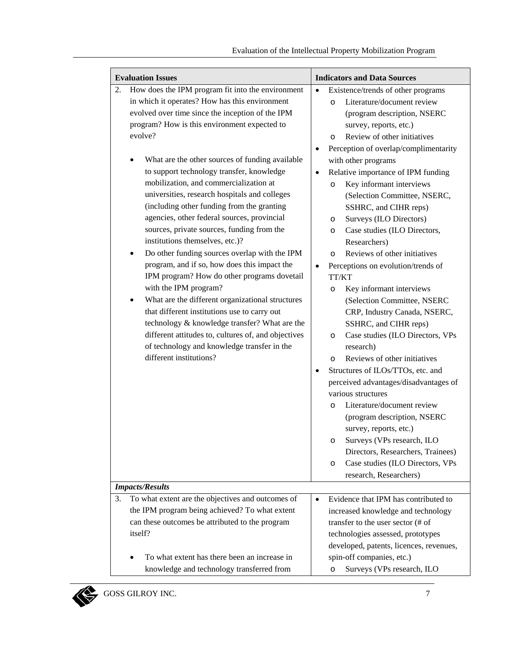| <b>Evaluation Issues</b>                                                                                                                                                                                                                                                                                                                                                                                                                                                                                                                                                                                                                                                                                                                                                                                                                                                                                                                                                                                                                                         | <b>Indicators and Data Sources</b>                                                                                                                                                                                                                                                                                                                                                                                                                                                                                                                                                                                                                                                                                                                                                                                                                                                                                                                                                                                                                                                                                                                |
|------------------------------------------------------------------------------------------------------------------------------------------------------------------------------------------------------------------------------------------------------------------------------------------------------------------------------------------------------------------------------------------------------------------------------------------------------------------------------------------------------------------------------------------------------------------------------------------------------------------------------------------------------------------------------------------------------------------------------------------------------------------------------------------------------------------------------------------------------------------------------------------------------------------------------------------------------------------------------------------------------------------------------------------------------------------|---------------------------------------------------------------------------------------------------------------------------------------------------------------------------------------------------------------------------------------------------------------------------------------------------------------------------------------------------------------------------------------------------------------------------------------------------------------------------------------------------------------------------------------------------------------------------------------------------------------------------------------------------------------------------------------------------------------------------------------------------------------------------------------------------------------------------------------------------------------------------------------------------------------------------------------------------------------------------------------------------------------------------------------------------------------------------------------------------------------------------------------------------|
| 2.<br>How does the IPM program fit into the environment<br>in which it operates? How has this environment<br>evolved over time since the inception of the IPM<br>program? How is this environment expected to<br>evolve?<br>What are the other sources of funding available<br>to support technology transfer, knowledge<br>mobilization, and commercialization at<br>universities, research hospitals and colleges<br>(including other funding from the granting<br>agencies, other federal sources, provincial<br>sources, private sources, funding from the<br>institutions themselves, etc.)?<br>Do other funding sources overlap with the IPM<br>program, and if so, how does this impact the<br>IPM program? How do other programs dovetail<br>with the IPM program?<br>What are the different organizational structures<br>that different institutions use to carry out<br>technology & knowledge transfer? What are the<br>different attitudes to, cultures of, and objectives<br>of technology and knowledge transfer in the<br>different institutions? | Existence/trends of other programs<br>$\bullet$<br>Literature/document review<br>$\circ$<br>(program description, NSERC<br>survey, reports, etc.)<br>Review of other initiatives<br>$\circ$<br>Perception of overlap/complimentarity<br>$\bullet$<br>with other programs<br>Relative importance of IPM funding<br>$\bullet$<br>Key informant interviews<br>$\circ$<br>(Selection Committee, NSERC,<br>SSHRC, and CIHR reps)<br>Surveys (ILO Directors)<br>O<br>Case studies (ILO Directors,<br>$\circ$<br>Researchers)<br>Reviews of other initiatives<br>$\circ$<br>Perceptions on evolution/trends of<br>$\bullet$<br>TT/KT<br>Key informant interviews<br>$\circ$<br>(Selection Committee, NSERC<br>CRP, Industry Canada, NSERC,<br>SSHRC, and CIHR reps)<br>Case studies (ILO Directors, VPs<br>$\circ$<br>research)<br>Reviews of other initiatives<br>$\circ$<br>Structures of ILOs/TTOs, etc. and<br>٠<br>perceived advantages/disadvantages of<br>various structures<br>Literature/document review<br>$\circ$<br>(program description, NSERC<br>survey, reports, etc.)<br>Surveys (VPs research, ILO<br>Directors, Researchers, Trainees) |
|                                                                                                                                                                                                                                                                                                                                                                                                                                                                                                                                                                                                                                                                                                                                                                                                                                                                                                                                                                                                                                                                  | Case studies (ILO Directors, VPs<br>$\circ$<br>research, Researchers)                                                                                                                                                                                                                                                                                                                                                                                                                                                                                                                                                                                                                                                                                                                                                                                                                                                                                                                                                                                                                                                                             |
| <b>Impacts/Results</b>                                                                                                                                                                                                                                                                                                                                                                                                                                                                                                                                                                                                                                                                                                                                                                                                                                                                                                                                                                                                                                           |                                                                                                                                                                                                                                                                                                                                                                                                                                                                                                                                                                                                                                                                                                                                                                                                                                                                                                                                                                                                                                                                                                                                                   |
| To what extent are the objectives and outcomes of<br>3.<br>the IPM program being achieved? To what extent<br>can these outcomes be attributed to the program<br>itself?<br>To what extent has there been an increase in                                                                                                                                                                                                                                                                                                                                                                                                                                                                                                                                                                                                                                                                                                                                                                                                                                          | Evidence that IPM has contributed to<br>$\bullet$<br>increased knowledge and technology<br>transfer to the user sector (# of<br>technologies assessed, prototypes<br>developed, patents, licences, revenues,<br>spin-off companies, etc.)                                                                                                                                                                                                                                                                                                                                                                                                                                                                                                                                                                                                                                                                                                                                                                                                                                                                                                         |
| knowledge and technology transferred from                                                                                                                                                                                                                                                                                                                                                                                                                                                                                                                                                                                                                                                                                                                                                                                                                                                                                                                                                                                                                        | Surveys (VPs research, ILO<br>$\circ$                                                                                                                                                                                                                                                                                                                                                                                                                                                                                                                                                                                                                                                                                                                                                                                                                                                                                                                                                                                                                                                                                                             |

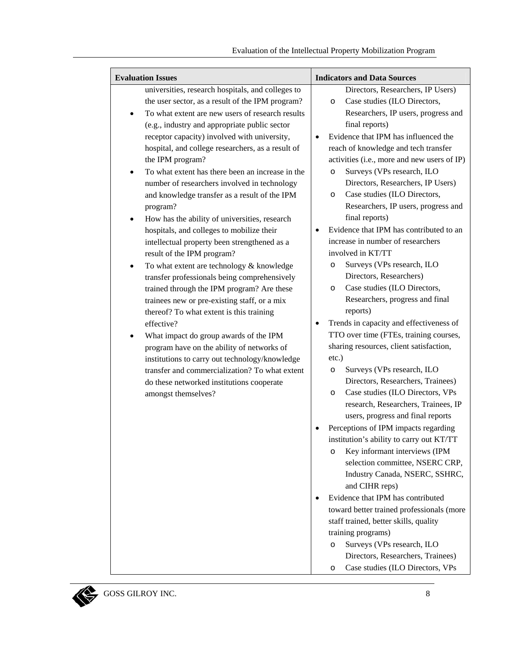| <b>Evaluation Issues</b>                                                                                                                                                                                                                                                                                                                                                                                                                                                                                                                                                                                                                                        | <b>Indicators and Data Sources</b>                                                                                                                                                                                                                                                                                                                                                                                                                                                                                                                               |
|-----------------------------------------------------------------------------------------------------------------------------------------------------------------------------------------------------------------------------------------------------------------------------------------------------------------------------------------------------------------------------------------------------------------------------------------------------------------------------------------------------------------------------------------------------------------------------------------------------------------------------------------------------------------|------------------------------------------------------------------------------------------------------------------------------------------------------------------------------------------------------------------------------------------------------------------------------------------------------------------------------------------------------------------------------------------------------------------------------------------------------------------------------------------------------------------------------------------------------------------|
| universities, research hospitals, and colleges to<br>the user sector, as a result of the IPM program?<br>To what extent are new users of research results<br>(e.g., industry and appropriate public sector<br>receptor capacity) involved with university,<br>hospital, and college researchers, as a result of<br>the IPM program?<br>To what extent has there been an increase in the<br>$\bullet$<br>number of researchers involved in technology<br>and knowledge transfer as a result of the IPM<br>program?<br>How has the ability of universities, research<br>hospitals, and colleges to mobilize their<br>intellectual property been strengthened as a | Directors, Researchers, IP Users)<br>Case studies (ILO Directors,<br>$\circ$<br>Researchers, IP users, progress and<br>final reports)<br>Evidence that IPM has influenced the<br>$\bullet$<br>reach of knowledge and tech transfer<br>activities (i.e., more and new users of IP)<br>Surveys (VPs research, ILO<br>$\circ$<br>Directors, Researchers, IP Users)<br>Case studies (ILO Directors,<br>$\circ$<br>Researchers, IP users, progress and<br>final reports)<br>Evidence that IPM has contributed to an<br>$\bullet$<br>increase in number of researchers |
| result of the IPM program?<br>To what extent are technology & knowledge<br>$\bullet$<br>transfer professionals being comprehensively<br>trained through the IPM program? Are these<br>trainees new or pre-existing staff, or a mix<br>thereof? To what extent is this training<br>effective?<br>What impact do group awards of the IPM<br>program have on the ability of networks of<br>institutions to carry out technology/knowledge<br>transfer and commercialization? To what extent<br>do these networked institutions cooperate                                                                                                                           | involved in KT/TT<br>Surveys (VPs research, ILO<br>$\circ$<br>Directors, Researchers)<br>Case studies (ILO Directors,<br>$\circ$<br>Researchers, progress and final<br>reports)<br>Trends in capacity and effectiveness of<br>٠<br>TTO over time (FTEs, training courses,<br>sharing resources, client satisfaction,<br>$etc.$ )<br>Surveys (VPs research, ILO<br>$\circ$<br>Directors, Researchers, Trainees)                                                                                                                                                   |
| amongst themselves?                                                                                                                                                                                                                                                                                                                                                                                                                                                                                                                                                                                                                                             | Case studies (ILO Directors, VPs<br>$\circ$<br>research, Researchers, Trainees, IP<br>users, progress and final reports<br>Perceptions of IPM impacts regarding<br>institution's ability to carry out KT/TT<br>Key informant interviews (IPM<br>O<br>selection committee, NSERC CRP,<br>Industry Canada, NSERC, SSHRC,<br>and CIHR reps)                                                                                                                                                                                                                         |
|                                                                                                                                                                                                                                                                                                                                                                                                                                                                                                                                                                                                                                                                 | Evidence that IPM has contributed<br>toward better trained professionals (more<br>staff trained, better skills, quality<br>training programs)<br>Surveys (VPs research, ILO<br>O<br>Directors, Researchers, Trainees)<br>Case studies (ILO Directors, VPs<br>$\circ$                                                                                                                                                                                                                                                                                             |



Г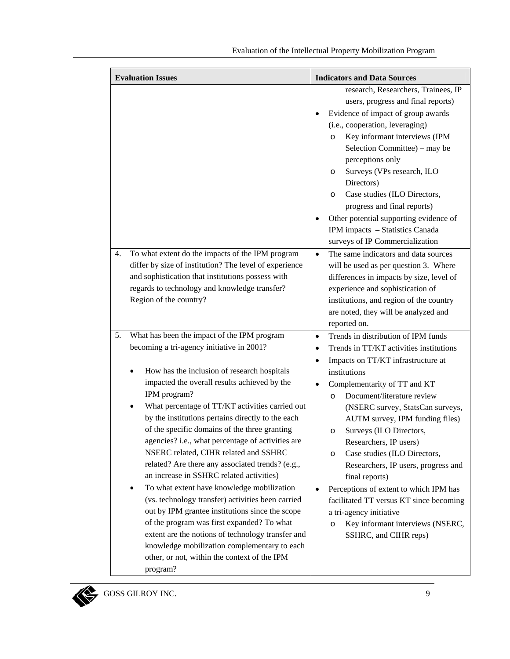| <b>Evaluation Issues</b>                                                                                                                                                                                                                                                                                                                                                                                                                                                                                                                                                                                                                                                                                                                                                                      | <b>Indicators and Data Sources</b>                                                                                                                                                                                                                                                                                                                                                                                                                                                                                     |  |  |
|-----------------------------------------------------------------------------------------------------------------------------------------------------------------------------------------------------------------------------------------------------------------------------------------------------------------------------------------------------------------------------------------------------------------------------------------------------------------------------------------------------------------------------------------------------------------------------------------------------------------------------------------------------------------------------------------------------------------------------------------------------------------------------------------------|------------------------------------------------------------------------------------------------------------------------------------------------------------------------------------------------------------------------------------------------------------------------------------------------------------------------------------------------------------------------------------------------------------------------------------------------------------------------------------------------------------------------|--|--|
|                                                                                                                                                                                                                                                                                                                                                                                                                                                                                                                                                                                                                                                                                                                                                                                               | research, Researchers, Trainees, IP<br>users, progress and final reports)<br>Evidence of impact of group awards<br>$\bullet$<br>(i.e., cooperation, leveraging)<br>Key informant interviews (IPM<br>$\circ$<br>Selection Committee) – may be<br>perceptions only<br>Surveys (VPs research, ILO<br>O<br>Directors)<br>Case studies (ILO Directors,<br>$\circ$<br>progress and final reports)<br>Other potential supporting evidence of<br>IPM impacts - Statistics Canada<br>surveys of IP Commercialization            |  |  |
| To what extent do the impacts of the IPM program<br>4.<br>differ by size of institution? The level of experience<br>and sophistication that institutions possess with<br>regards to technology and knowledge transfer?<br>Region of the country?                                                                                                                                                                                                                                                                                                                                                                                                                                                                                                                                              | The same indicators and data sources<br>$\bullet$<br>will be used as per question 3. Where<br>differences in impacts by size, level of<br>experience and sophistication of<br>institutions, and region of the country<br>are noted, they will be analyzed and<br>reported on.                                                                                                                                                                                                                                          |  |  |
| What has been the impact of the IPM program<br>5.<br>becoming a tri-agency initiative in 2001?<br>How has the inclusion of research hospitals                                                                                                                                                                                                                                                                                                                                                                                                                                                                                                                                                                                                                                                 | Trends in distribution of IPM funds<br>$\bullet$<br>Trends in TT/KT activities institutions<br>$\bullet$<br>Impacts on TT/KT infrastructure at<br>$\bullet$<br>institutions                                                                                                                                                                                                                                                                                                                                            |  |  |
| impacted the overall results achieved by the<br>IPM program?<br>What percentage of TT/KT activities carried out<br>by the institutions pertains directly to the each<br>of the specific domains of the three granting<br>agencies? i.e., what percentage of activities are<br>NSERC related, CIHR related and SSHRC<br>related? Are there any associated trends? (e.g.,<br>an increase in SSHRC related activities)<br>To what extent have knowledge mobilization<br>٠<br>(vs. technology transfer) activities been carried<br>out by IPM grantee institutions since the scope<br>of the program was first expanded? To what<br>extent are the notions of technology transfer and<br>knowledge mobilization complementary to each<br>other, or not, within the context of the IPM<br>program? | Complementarity of TT and KT<br>$\bullet$<br>Document/literature review<br>$\circ$<br>(NSERC survey, StatsCan surveys,<br>AUTM survey, IPM funding files)<br>Surveys (ILO Directors,<br>O<br>Researchers, IP users)<br>Case studies (ILO Directors,<br>O<br>Researchers, IP users, progress and<br>final reports)<br>Perceptions of extent to which IPM has<br>$\bullet$<br>facilitated TT versus KT since becoming<br>a tri-agency initiative<br>Key informant interviews (NSERC,<br>$\circ$<br>SSHRC, and CIHR reps) |  |  |

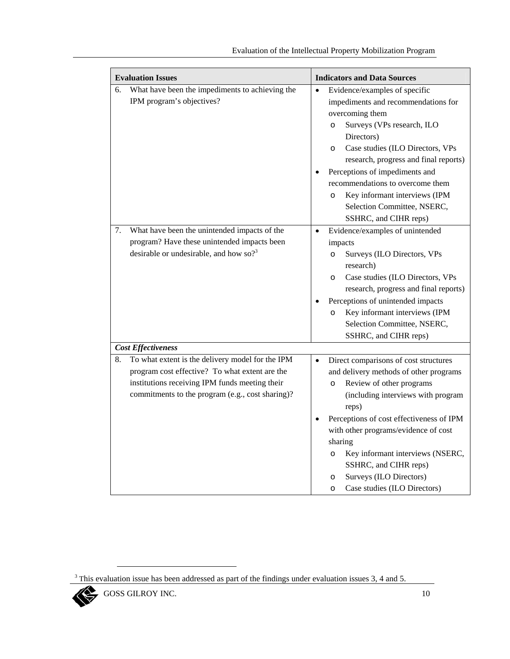| <b>Evaluation Issues</b>                                                                                                                                                                                       | <b>Indicators and Data Sources</b>                                                                                                                                                                                                                                                                                                                                                                                                                      |  |  |
|----------------------------------------------------------------------------------------------------------------------------------------------------------------------------------------------------------------|---------------------------------------------------------------------------------------------------------------------------------------------------------------------------------------------------------------------------------------------------------------------------------------------------------------------------------------------------------------------------------------------------------------------------------------------------------|--|--|
| What have been the impediments to achieving the<br>6.<br>IPM program's objectives?                                                                                                                             | Evidence/examples of specific<br>$\bullet$<br>impediments and recommendations for<br>overcoming them<br>Surveys (VPs research, ILO<br>$\circ$<br>Directors)<br>Case studies (ILO Directors, VPs<br>$\circ$<br>research, progress and final reports)<br>Perceptions of impediments and<br>recommendations to overcome them<br>Key informant interviews (IPM<br>$\circ$<br>Selection Committee, NSERC,                                                    |  |  |
| What have been the unintended impacts of the<br>7.<br>program? Have these unintended impacts been<br>desirable or undesirable, and how so? <sup>3</sup>                                                        | SSHRC, and CIHR reps)<br>Evidence/examples of unintended<br>$\bullet$<br>impacts<br>Surveys (ILO Directors, VPs<br>$\circ$<br>research)<br>Case studies (ILO Directors, VPs<br>$\circ$<br>research, progress and final reports)<br>Perceptions of unintended impacts<br>Key informant interviews (IPM<br>$\circ$<br>Selection Committee, NSERC,<br>SSHRC, and CIHR reps)                                                                                |  |  |
| <b>Cost Effectiveness</b>                                                                                                                                                                                      |                                                                                                                                                                                                                                                                                                                                                                                                                                                         |  |  |
| To what extent is the delivery model for the IPM<br>8.<br>program cost effective? To what extent are the<br>institutions receiving IPM funds meeting their<br>commitments to the program (e.g., cost sharing)? | Direct comparisons of cost structures<br>$\bullet$<br>and delivery methods of other programs<br>Review of other programs<br>$\circ$<br>(including interviews with program<br>reps)<br>Perceptions of cost effectiveness of IPM<br>$\bullet$<br>with other programs/evidence of cost<br>sharing<br>Key informant interviews (NSERC,<br>$\circ$<br>SSHRC, and CIHR reps)<br>Surveys (ILO Directors)<br>$\circ$<br>Case studies (ILO Directors)<br>$\circ$ |  |  |

<sup>&</sup>lt;sup>3</sup> This evaluation issue has been addressed as part of the findings under evaluation issues 3, 4 and 5.

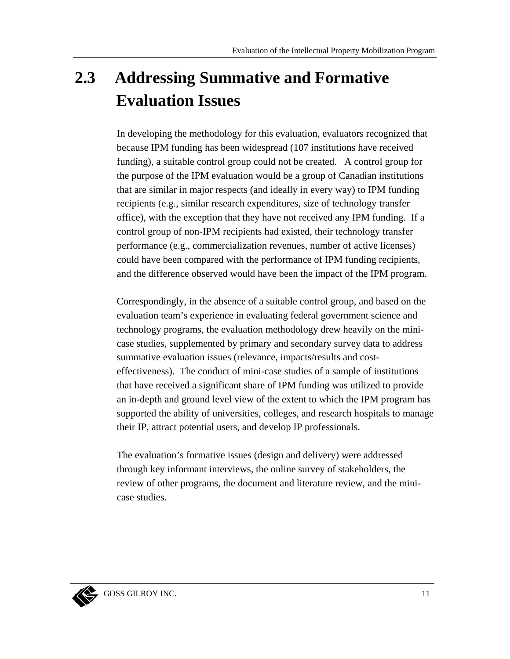## **2.3 Addressing Summative and Formative Evaluation Issues**

In developing the methodology for this evaluation, evaluators recognized that because IPM funding has been widespread (107 institutions have received funding), a suitable control group could not be created. A control group for the purpose of the IPM evaluation would be a group of Canadian institutions that are similar in major respects (and ideally in every way) to IPM funding recipients (e.g., similar research expenditures, size of technology transfer office), with the exception that they have not received any IPM funding. If a control group of non-IPM recipients had existed, their technology transfer performance (e.g., commercialization revenues, number of active licenses) could have been compared with the performance of IPM funding recipients, and the difference observed would have been the impact of the IPM program.

Correspondingly, in the absence of a suitable control group, and based on the evaluation team's experience in evaluating federal government science and technology programs, the evaluation methodology drew heavily on the minicase studies, supplemented by primary and secondary survey data to address summative evaluation issues (relevance, impacts/results and costeffectiveness). The conduct of mini-case studies of a sample of institutions that have received a significant share of IPM funding was utilized to provide an in-depth and ground level view of the extent to which the IPM program has supported the ability of universities, colleges, and research hospitals to manage their IP, attract potential users, and develop IP professionals.

The evaluation's formative issues (design and delivery) were addressed through key informant interviews, the online survey of stakeholders, the review of other programs, the document and literature review, and the minicase studies.

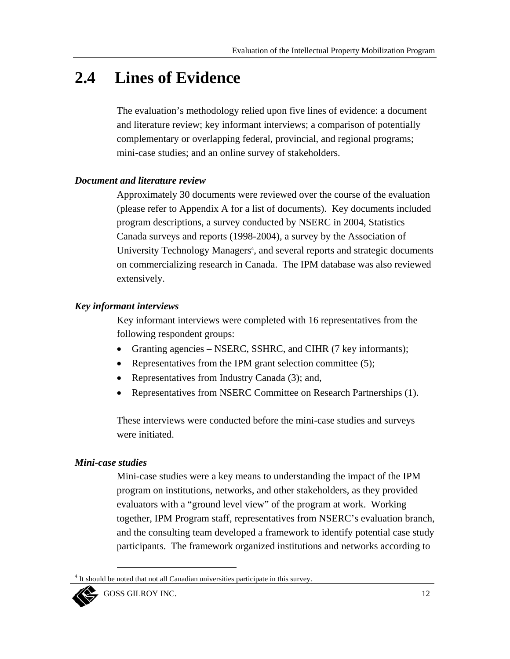## **2.4 Lines of Evidence**

The evaluation's methodology relied upon five lines of evidence: a document and literature review; key informant interviews; a comparison of potentially complementary or overlapping federal, provincial, and regional programs; mini-case studies; and an online survey of stakeholders.

### *Document and literature review*

Approximately 30 documents were reviewed over the course of the evaluation (please refer to Appendix A for a list of documents). Key documents included program descriptions, a survey conducted by NSERC in 2004, Statistics Canada surveys and reports (1998-2004), a survey by the Association of University Technology Managers<sup>4</sup>, and several reports and strategic documents on commercializing research in Canada. The IPM database was also reviewed extensively.

### *Key informant interviews*

Key informant interviews were completed with 16 representatives from the following respondent groups:

- Granting agencies NSERC, SSHRC, and CIHR (7 key informants);
- Representatives from the IPM grant selection committee (5);
- Representatives from Industry Canada (3); and,
- Representatives from NSERC Committee on Research Partnerships (1).

These interviews were conducted before the mini-case studies and surveys were initiated.

### *Mini-case studies*

Mini-case studies were a key means to understanding the impact of the IPM program on institutions, networks, and other stakeholders, as they provided evaluators with a "ground level view" of the program at work. Working together, IPM Program staff, representatives from NSERC's evaluation branch, and the consulting team developed a framework to identify potential case study participants. The framework organized institutions and networks according to

 <sup>4</sup> It should be noted that not all Canadian universities participate in this survey.

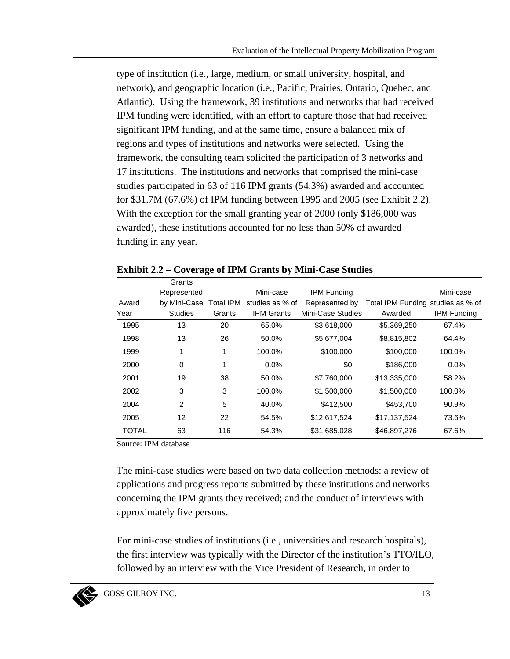type of institution (i.e., large, medium, or small university, hospital, and network), and geographic location (i.e., Pacific, Prairies, Ontario, Quebec, and Atlantic). Using the framework, 39 institutions and networks that had received IPM funding were identified, with an effort to capture those that had received significant IPM funding, and at the same time, ensure a balanced mix of regions and types of institutions and networks were selected. Using the framework, the consulting team solicited the participation of 3 networks and 17 institutions. The institutions and networks that comprised the mini-case studies participated in 63 of 116 IPM grants (54.3%) awarded and accounted for \$31.7M (67.6%) of IPM funding between 1995 and 2005 (see Exhibit 2.2). With the exception for the small granting year of 2000 (only \$186,000 was awarded), these institutions accounted for no less than 50% of awarded funding in any year.

|              |                | ີ         |                   |                    |                                   |                    |
|--------------|----------------|-----------|-------------------|--------------------|-----------------------------------|--------------------|
|              | Grants         |           |                   |                    |                                   |                    |
|              | Represented    |           | Mini-case         | <b>IPM Funding</b> |                                   | Mini-case          |
| Award        | by Mini-Case   | Total IPM | studies as % of   | Represented by     | Total IPM Funding studies as % of |                    |
| Year         | <b>Studies</b> | Grants    | <b>IPM Grants</b> | Mini-Case Studies  | Awarded                           | <b>IPM Funding</b> |
| 1995         | 13             | 20        | 65.0%             | \$3,618,000        | \$5,369,250                       | 67.4%              |
| 1998         | 13             | 26        | 50.0%             | \$5,677,004        | \$8,815,802                       | 64.4%              |
| 1999         | 1              | 1         | 100.0%            | \$100,000          | \$100,000                         | 100.0%             |
| 2000         | 0              | 1         | 0.0%              | \$0                | \$186,000                         | $0.0\%$            |
| 2001         | 19             | 38        | 50.0%             | \$7,760,000        | \$13,335,000                      | 58.2%              |
| 2002         | 3              | 3         | 100.0%            | \$1,500,000        | \$1,500,000                       | 100.0%             |
| 2004         | $\overline{2}$ | 5         | 40.0%             | \$412,500          | \$453,700                         | 90.9%              |
| 2005         | 12             | 22        | 54.5%             | \$12,617,524       | \$17,137,524                      | 73.6%              |
| <b>TOTAL</b> | 63             | 116       | 54.3%             | \$31,685,028       | \$46,897,276                      | 67.6%              |
|              |                |           |                   |                    |                                   |                    |

### **Exhibit 2.2 – Coverage of IPM Grants by Mini-Case Studies**

Source: IPM database

The mini-case studies were based on two data collection methods: a review of applications and progress reports submitted by these institutions and networks concerning the IPM grants they received; and the conduct of interviews with approximately five persons.

For mini-case studies of institutions (i.e., universities and research hospitals), the first interview was typically with the Director of the institution's TTO/ILO, followed by an interview with the Vice President of Research, in order to

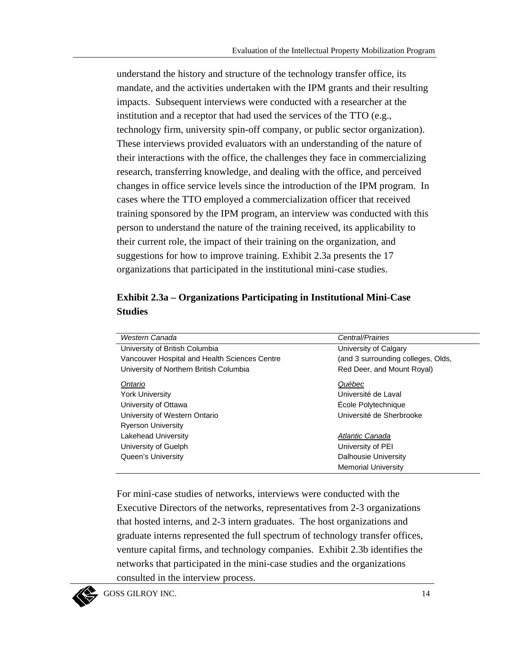understand the history and structure of the technology transfer office, its mandate, and the activities undertaken with the IPM grants and their resulting impacts. Subsequent interviews were conducted with a researcher at the institution and a receptor that had used the services of the TTO (e.g., technology firm, university spin-off company, or public sector organization). These interviews provided evaluators with an understanding of the nature of their interactions with the office, the challenges they face in commercializing research, transferring knowledge, and dealing with the office, and perceived changes in office service levels since the introduction of the IPM program. In cases where the TTO employed a commercialization officer that received training sponsored by the IPM program, an interview was conducted with this person to understand the nature of the training received, its applicability to their current role, the impact of their training on the organization, and suggestions for how to improve training. Exhibit 2.3a presents the 17 organizations that participated in the institutional mini-case studies.

### **Exhibit 2.3a – Organizations Participating in Institutional Mini-Case Studies**

| Western Canada                                | Central/Prairies                   |
|-----------------------------------------------|------------------------------------|
| University of British Columbia                | University of Calgary              |
| Vancouver Hospital and Health Sciences Centre | (and 3 surrounding colleges, Olds, |
| University of Northern British Columbia       | Red Deer, and Mount Royal)         |
| Ontario                                       | Québec                             |
| <b>York University</b>                        | Université de Laval                |
| University of Ottawa                          | École Polytechnique                |
| University of Western Ontario                 | Université de Sherbrooke           |
| <b>Ryerson University</b>                     |                                    |
| Lakehead University                           | Atlantic Canada                    |
| University of Guelph                          | University of PEI                  |
| Queen's University                            | <b>Dalhousie University</b>        |
|                                               | <b>Memorial University</b>         |

For mini-case studies of networks, interviews were conducted with the Executive Directors of the networks, representatives from 2-3 organizations that hosted interns, and 2-3 intern graduates. The host organizations and graduate interns represented the full spectrum of technology transfer offices, venture capital firms, and technology companies. Exhibit 2.3b identifies the networks that participated in the mini-case studies and the organizations consulted in the interview process.

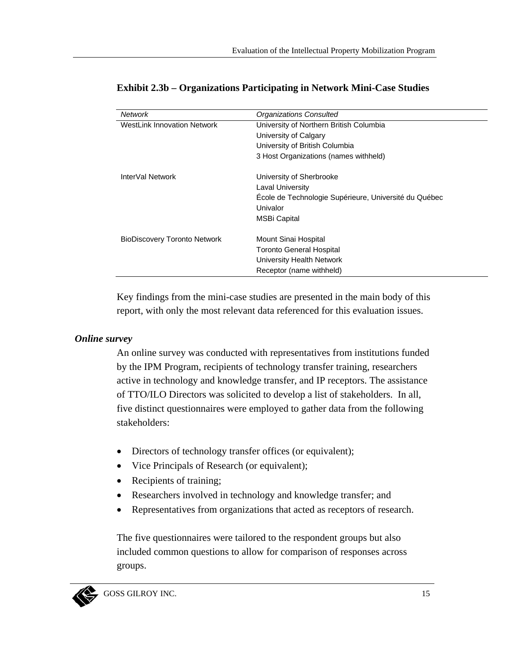| <b>Network</b>                      | <b>Organizations Consulted</b>                        |  |  |
|-------------------------------------|-------------------------------------------------------|--|--|
| <b>WestLink Innovation Network</b>  | University of Northern British Columbia               |  |  |
|                                     | University of Calgary                                 |  |  |
|                                     | University of British Columbia                        |  |  |
|                                     | 3 Host Organizations (names withheld)                 |  |  |
| InterVal Network                    | University of Sherbrooke                              |  |  |
|                                     | Laval University                                      |  |  |
|                                     | École de Technologie Supérieure, Université du Québec |  |  |
|                                     | Univalor                                              |  |  |
|                                     | <b>MSBi Capital</b>                                   |  |  |
| <b>BioDiscovery Toronto Network</b> | Mount Sinai Hospital                                  |  |  |
|                                     | <b>Toronto General Hospital</b>                       |  |  |
|                                     | University Health Network                             |  |  |
|                                     | Receptor (name withheld)                              |  |  |

### **Exhibit 2.3b – Organizations Participating in Network Mini-Case Studies**

Key findings from the mini-case studies are presented in the main body of this report, with only the most relevant data referenced for this evaluation issues.

### *Online survey*

An online survey was conducted with representatives from institutions funded by the IPM Program, recipients of technology transfer training, researchers active in technology and knowledge transfer, and IP receptors. The assistance of TTO/ILO Directors was solicited to develop a list of stakeholders. In all, five distinct questionnaires were employed to gather data from the following stakeholders:

- Directors of technology transfer offices (or equivalent);
- Vice Principals of Research (or equivalent);
- Recipients of training;
- Researchers involved in technology and knowledge transfer; and
- Representatives from organizations that acted as receptors of research.

The five questionnaires were tailored to the respondent groups but also included common questions to allow for comparison of responses across groups.

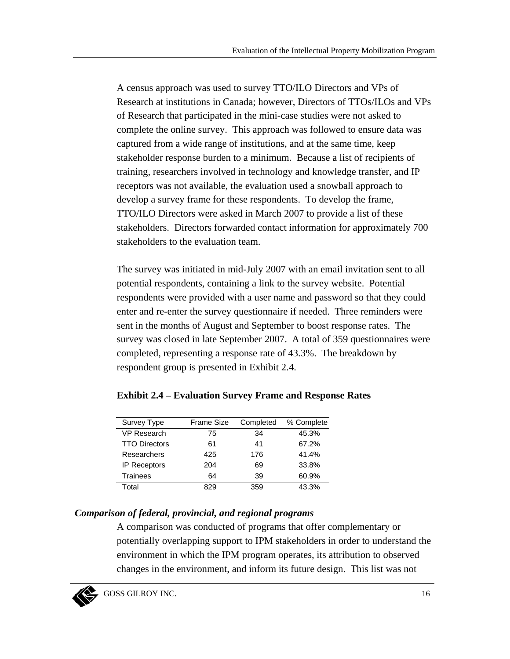A census approach was used to survey TTO/ILO Directors and VPs of Research at institutions in Canada; however, Directors of TTOs/ILOs and VPs of Research that participated in the mini-case studies were not asked to complete the online survey. This approach was followed to ensure data was captured from a wide range of institutions, and at the same time, keep stakeholder response burden to a minimum. Because a list of recipients of training, researchers involved in technology and knowledge transfer, and IP receptors was not available, the evaluation used a snowball approach to develop a survey frame for these respondents. To develop the frame, TTO/ILO Directors were asked in March 2007 to provide a list of these stakeholders. Directors forwarded contact information for approximately 700 stakeholders to the evaluation team.

The survey was initiated in mid-July 2007 with an email invitation sent to all potential respondents, containing a link to the survey website. Potential respondents were provided with a user name and password so that they could enter and re-enter the survey questionnaire if needed. Three reminders were sent in the months of August and September to boost response rates. The survey was closed in late September 2007. A total of 359 questionnaires were completed, representing a response rate of 43.3%. The breakdown by respondent group is presented in Exhibit 2.4.

| Survey Type          | <b>Frame Size</b> | Completed | % Complete |
|----------------------|-------------------|-----------|------------|
| <b>VP Research</b>   | 75                | 34        | 45.3%      |
| <b>TTO Directors</b> | 61                | 41        | 67.2%      |
| Researchers          | 425               | 176       | 41.4%      |
| <b>IP Receptors</b>  | 204               | 69        | 33.8%      |
| <b>Trainees</b>      | 64                | 39        | 60.9%      |
| Total                | 829               | 359       | 43.3%      |

### **Exhibit 2.4 – Evaluation Survey Frame and Response Rates**

### *Comparison of federal, provincial, and regional programs*

A comparison was conducted of programs that offer complementary or potentially overlapping support to IPM stakeholders in order to understand the environment in which the IPM program operates, its attribution to observed changes in the environment, and inform its future design. This list was not

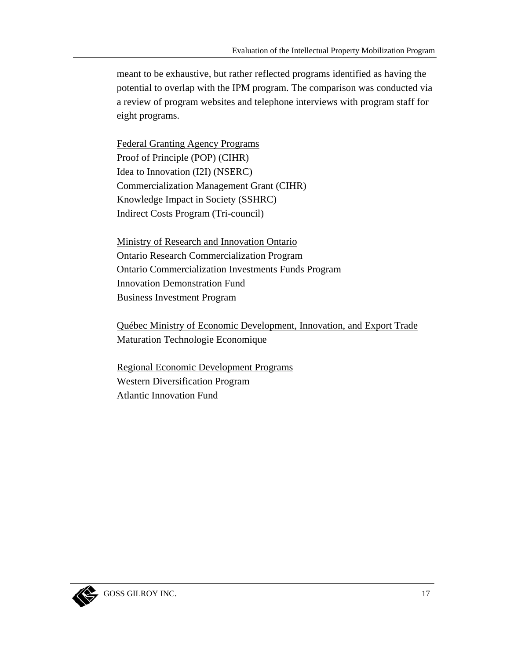meant to be exhaustive, but rather reflected programs identified as having the potential to overlap with the IPM program. The comparison was conducted via a review of program websites and telephone interviews with program staff for eight programs.

Federal Granting Agency Programs Proof of Principle (POP) (CIHR) Idea to Innovation (I2I) (NSERC) Commercialization Management Grant (CIHR) Knowledge Impact in Society (SSHRC) Indirect Costs Program (Tri-council)

Ministry of Research and Innovation Ontario Ontario Research Commercialization Program Ontario Commercialization Investments Funds Program Innovation Demonstration Fund Business Investment Program

Québec Ministry of Economic Development, Innovation, and Export Trade Maturation Technologie Economique

Regional Economic Development Programs Western Diversification Program Atlantic Innovation Fund

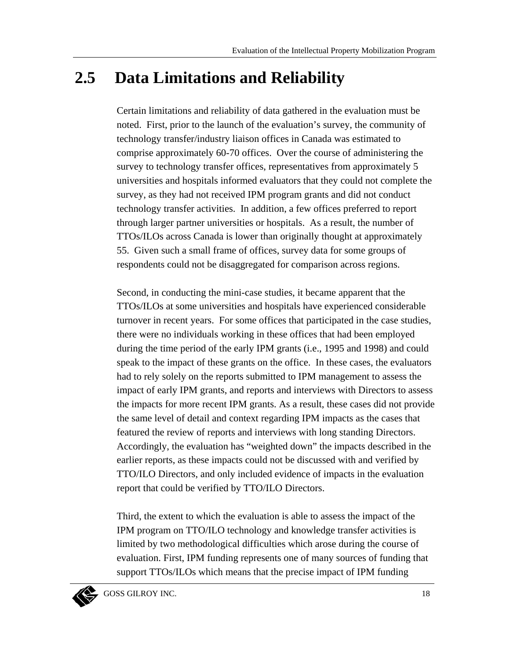## **2.5 Data Limitations and Reliability**

Certain limitations and reliability of data gathered in the evaluation must be noted. First, prior to the launch of the evaluation's survey, the community of technology transfer/industry liaison offices in Canada was estimated to comprise approximately 60-70 offices. Over the course of administering the survey to technology transfer offices, representatives from approximately 5 universities and hospitals informed evaluators that they could not complete the survey, as they had not received IPM program grants and did not conduct technology transfer activities. In addition, a few offices preferred to report through larger partner universities or hospitals. As a result, the number of TTOs/ILOs across Canada is lower than originally thought at approximately 55. Given such a small frame of offices, survey data for some groups of respondents could not be disaggregated for comparison across regions.

Second, in conducting the mini-case studies, it became apparent that the TTOs/ILOs at some universities and hospitals have experienced considerable turnover in recent years. For some offices that participated in the case studies, there were no individuals working in these offices that had been employed during the time period of the early IPM grants (i.e., 1995 and 1998) and could speak to the impact of these grants on the office. In these cases, the evaluators had to rely solely on the reports submitted to IPM management to assess the impact of early IPM grants, and reports and interviews with Directors to assess the impacts for more recent IPM grants. As a result, these cases did not provide the same level of detail and context regarding IPM impacts as the cases that featured the review of reports and interviews with long standing Directors. Accordingly, the evaluation has "weighted down" the impacts described in the earlier reports, as these impacts could not be discussed with and verified by TTO/ILO Directors, and only included evidence of impacts in the evaluation report that could be verified by TTO/ILO Directors.

Third, the extent to which the evaluation is able to assess the impact of the IPM program on TTO/ILO technology and knowledge transfer activities is limited by two methodological difficulties which arose during the course of evaluation. First, IPM funding represents one of many sources of funding that support TTOs/ILOs which means that the precise impact of IPM funding

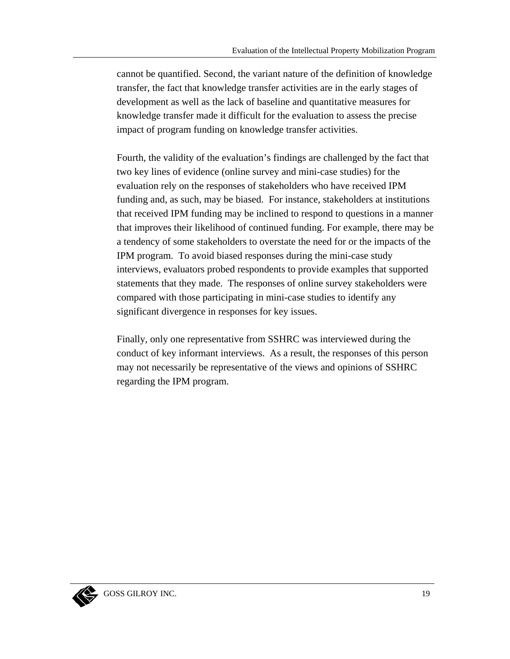cannot be quantified. Second, the variant nature of the definition of knowledge transfer, the fact that knowledge transfer activities are in the early stages of development as well as the lack of baseline and quantitative measures for knowledge transfer made it difficult for the evaluation to assess the precise impact of program funding on knowledge transfer activities.

Fourth, the validity of the evaluation's findings are challenged by the fact that two key lines of evidence (online survey and mini-case studies) for the evaluation rely on the responses of stakeholders who have received IPM funding and, as such, may be biased. For instance, stakeholders at institutions that received IPM funding may be inclined to respond to questions in a manner that improves their likelihood of continued funding. For example, there may be a tendency of some stakeholders to overstate the need for or the impacts of the IPM program. To avoid biased responses during the mini-case study interviews, evaluators probed respondents to provide examples that supported statements that they made. The responses of online survey stakeholders were compared with those participating in mini-case studies to identify any significant divergence in responses for key issues.

Finally, only one representative from SSHRC was interviewed during the conduct of key informant interviews. As a result, the responses of this person may not necessarily be representative of the views and opinions of SSHRC regarding the IPM program.

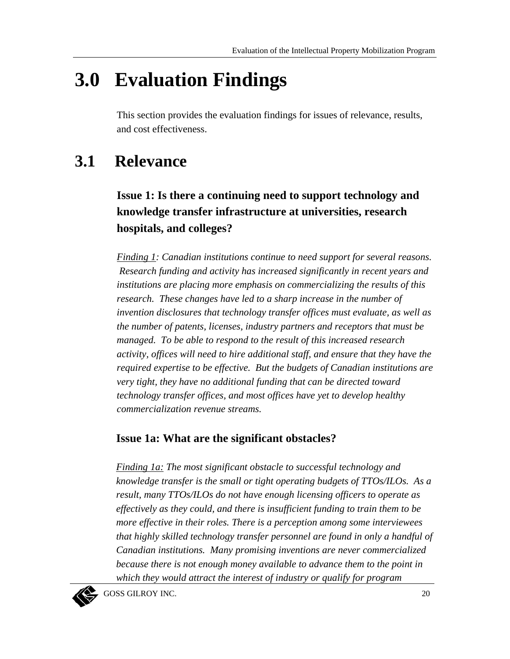# **3.0 Evaluation Findings**

This section provides the evaluation findings for issues of relevance, results, and cost effectiveness.

## **3.1 Relevance**

**Issue 1: Is there a continuing need to support technology and knowledge transfer infrastructure at universities, research hospitals, and colleges?** 

*Finding 1: Canadian institutions continue to need support for several reasons. Research funding and activity has increased significantly in recent years and institutions are placing more emphasis on commercializing the results of this research. These changes have led to a sharp increase in the number of invention disclosures that technology transfer offices must evaluate, as well as the number of patents, licenses, industry partners and receptors that must be managed. To be able to respond to the result of this increased research activity, offices will need to hire additional staff, and ensure that they have the required expertise to be effective. But the budgets of Canadian institutions are very tight, they have no additional funding that can be directed toward technology transfer offices, and most offices have yet to develop healthy commercialization revenue streams.* 

### **Issue 1a: What are the significant obstacles?**

*Finding 1a: The most significant obstacle to successful technology and knowledge transfer is the small or tight operating budgets of TTOs/ILOs. As a result, many TTOs/ILOs do not have enough licensing officers to operate as effectively as they could, and there is insufficient funding to train them to be more effective in their roles. There is a perception among some interviewees that highly skilled technology transfer personnel are found in only a handful of Canadian institutions. Many promising inventions are never commercialized because there is not enough money available to advance them to the point in which they would attract the interest of industry or qualify for program* 



GOSS GILROY INC. 20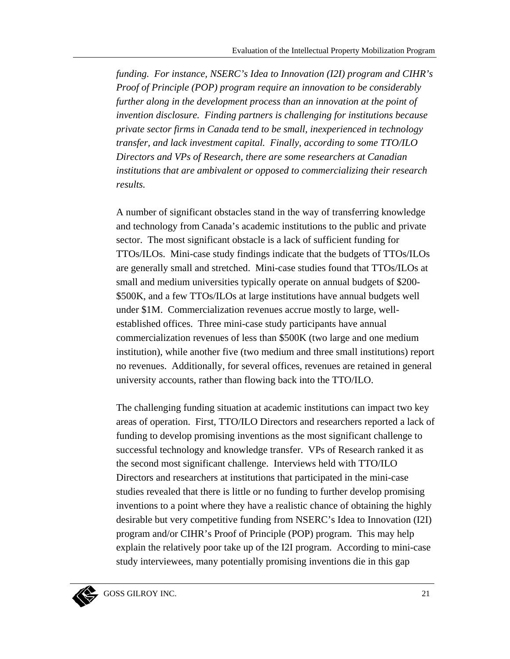*funding. For instance, NSERC's Idea to Innovation (I2I) program and CIHR's Proof of Principle (POP) program require an innovation to be considerably further along in the development process than an innovation at the point of invention disclosure. Finding partners is challenging for institutions because private sector firms in Canada tend to be small, inexperienced in technology transfer, and lack investment capital. Finally, according to some TTO/ILO Directors and VPs of Research, there are some researchers at Canadian institutions that are ambivalent or opposed to commercializing their research results.* 

A number of significant obstacles stand in the way of transferring knowledge and technology from Canada's academic institutions to the public and private sector. The most significant obstacle is a lack of sufficient funding for TTOs/ILOs. Mini-case study findings indicate that the budgets of TTOs/ILOs are generally small and stretched. Mini-case studies found that TTOs/ILOs at small and medium universities typically operate on annual budgets of \$200- \$500K, and a few TTOs/ILOs at large institutions have annual budgets well under \$1M. Commercialization revenues accrue mostly to large, wellestablished offices. Three mini-case study participants have annual commercialization revenues of less than \$500K (two large and one medium institution), while another five (two medium and three small institutions) report no revenues. Additionally, for several offices, revenues are retained in general university accounts, rather than flowing back into the TTO/ILO.

The challenging funding situation at academic institutions can impact two key areas of operation. First, TTO/ILO Directors and researchers reported a lack of funding to develop promising inventions as the most significant challenge to successful technology and knowledge transfer. VPs of Research ranked it as the second most significant challenge. Interviews held with TTO/ILO Directors and researchers at institutions that participated in the mini-case studies revealed that there is little or no funding to further develop promising inventions to a point where they have a realistic chance of obtaining the highly desirable but very competitive funding from NSERC's Idea to Innovation (I2I) program and/or CIHR's Proof of Principle (POP) program. This may help explain the relatively poor take up of the I2I program. According to mini-case study interviewees, many potentially promising inventions die in this gap

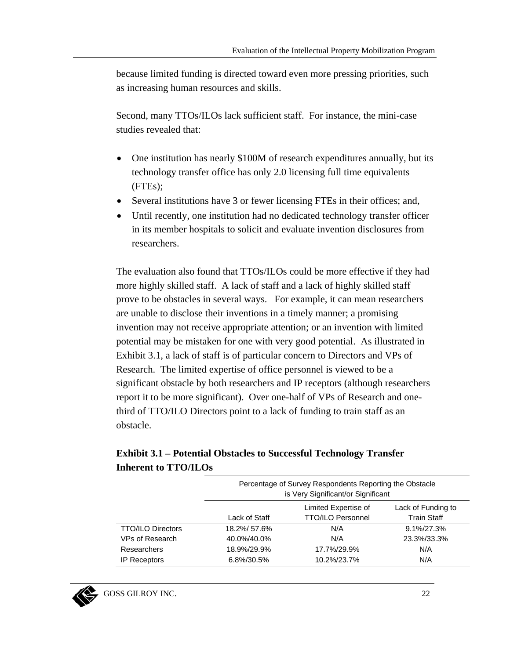because limited funding is directed toward even more pressing priorities, such as increasing human resources and skills.

Second, many TTOs/ILOs lack sufficient staff. For instance, the mini-case studies revealed that:

- One institution has nearly \$100M of research expenditures annually, but its technology transfer office has only 2.0 licensing full time equivalents (FTEs);
- Several institutions have 3 or fewer licensing FTEs in their offices; and,
- Until recently, one institution had no dedicated technology transfer officer in its member hospitals to solicit and evaluate invention disclosures from researchers.

The evaluation also found that TTOs/ILOs could be more effective if they had more highly skilled staff. A lack of staff and a lack of highly skilled staff prove to be obstacles in several ways. For example, it can mean researchers are unable to disclose their inventions in a timely manner; a promising invention may not receive appropriate attention; or an invention with limited potential may be mistaken for one with very good potential. As illustrated in Exhibit 3.1, a lack of staff is of particular concern to Directors and VPs of Research. The limited expertise of office personnel is viewed to be a significant obstacle by both researchers and IP receptors (although researchers report it to be more significant). Over one-half of VPs of Research and onethird of TTO/ILO Directors point to a lack of funding to train staff as an obstacle.

|                          | Percentage of Survey Respondents Reporting the Obstacle<br>is Very Significant/or Significant |                          |                       |
|--------------------------|-----------------------------------------------------------------------------------------------|--------------------------|-----------------------|
|                          |                                                                                               | Limited Expertise of     | Lack of Funding to    |
|                          | Lack of Staff                                                                                 | <b>TTO/ILO Personnel</b> | <b>Train Staff</b>    |
| <b>TTO/ILO Directors</b> | 18.2%/ 57.6%                                                                                  | N/A                      | $9.1\frac{1}{27.3\%}$ |
| VPs of Research          | 40.0%/40.0%                                                                                   | N/A                      | 23.3%/33.3%           |
| Researchers              | 18.9%/29.9%                                                                                   | 17.7%/29.9%              | N/A                   |
| <b>IP Receptors</b>      | 6.8%/30.5%                                                                                    | 10.2%/23.7%              | N/A                   |

#### **Exhibit 3.1 – Potential Obstacles to Successful Technology Transfer Inherent to TTO/ILOs**

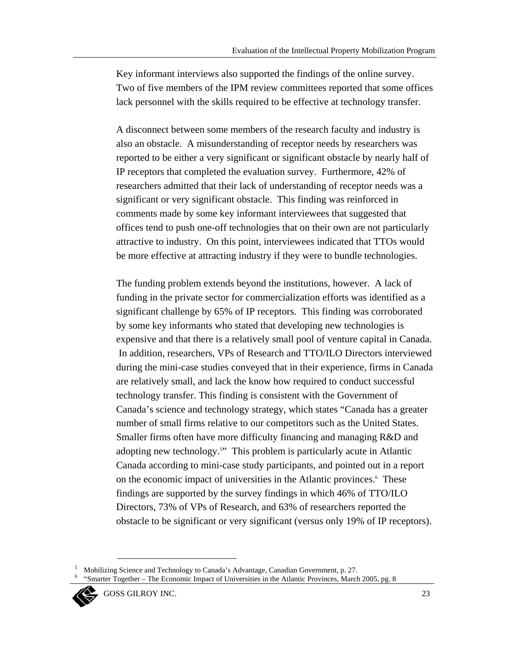Key informant interviews also supported the findings of the online survey. Two of five members of the IPM review committees reported that some offices lack personnel with the skills required to be effective at technology transfer.

A disconnect between some members of the research faculty and industry is also an obstacle. A misunderstanding of receptor needs by researchers was reported to be either a very significant or significant obstacle by nearly half of IP receptors that completed the evaluation survey. Furthermore, 42% of researchers admitted that their lack of understanding of receptor needs was a significant or very significant obstacle. This finding was reinforced in comments made by some key informant interviewees that suggested that offices tend to push one-off technologies that on their own are not particularly attractive to industry. On this point, interviewees indicated that TTOs would be more effective at attracting industry if they were to bundle technologies.

The funding problem extends beyond the institutions, however. A lack of funding in the private sector for commercialization efforts was identified as a significant challenge by 65% of IP receptors. This finding was corroborated by some key informants who stated that developing new technologies is expensive and that there is a relatively small pool of venture capital in Canada. In addition, researchers, VPs of Research and TTO/ILO Directors interviewed during the mini-case studies conveyed that in their experience, firms in Canada are relatively small, and lack the know how required to conduct successful technology transfer. This finding is consistent with the Government of Canada's science and technology strategy, which states "Canada has a greater number of small firms relative to our competitors such as the United States. Smaller firms often have more difficulty financing and managing R&D and adopting new technology.<sup>5</sup>" This problem is particularly acute in Atlantic Canada according to mini-case study participants, and pointed out in a report on the economic impact of universities in the Atlantic provinces.<sup>6</sup> These findings are supported by the survey findings in which 46% of TTO/ILO Directors, 73% of VPs of Research, and 63% of researchers reported the obstacle to be significant or very significant (versus only 19% of IP receptors).

 <sup>&</sup>quot;Smarter Together – The Economic Impact of Universities in the Atlantic Provinces, March 2005, pg. 8



 $\frac{5}{\sqrt{2}}$  Mobilizing Mobilizing Science and Technology to Canada's Advantage, Canadian Government, p. 27.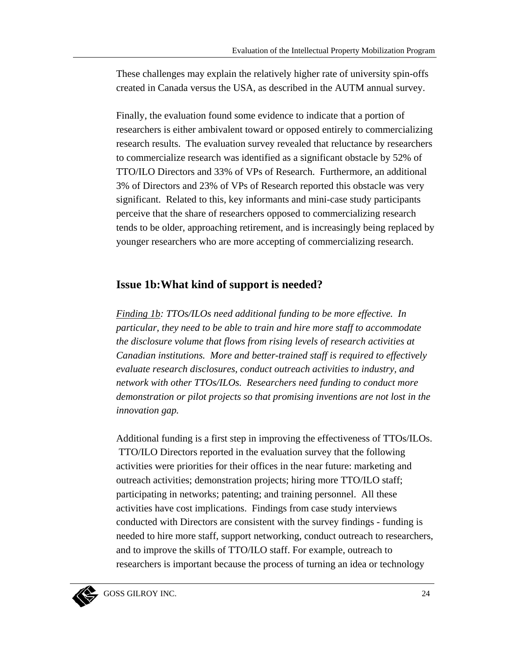These challenges may explain the relatively higher rate of university spin-offs created in Canada versus the USA, as described in the AUTM annual survey.

Finally, the evaluation found some evidence to indicate that a portion of researchers is either ambivalent toward or opposed entirely to commercializing research results. The evaluation survey revealed that reluctance by researchers to commercialize research was identified as a significant obstacle by 52% of TTO/ILO Directors and 33% of VPs of Research. Furthermore, an additional 3% of Directors and 23% of VPs of Research reported this obstacle was very significant. Related to this, key informants and mini-case study participants perceive that the share of researchers opposed to commercializing research tends to be older, approaching retirement, and is increasingly being replaced by younger researchers who are more accepting of commercializing research.

## **Issue 1b:What kind of support is needed?**

*Finding 1b: TTOs/ILOs need additional funding to be more effective. In particular, they need to be able to train and hire more staff to accommodate the disclosure volume that flows from rising levels of research activities at Canadian institutions. More and better-trained staff is required to effectively evaluate research disclosures, conduct outreach activities to industry, and network with other TTOs/ILOs. Researchers need funding to conduct more demonstration or pilot projects so that promising inventions are not lost in the innovation gap.* 

Additional funding is a first step in improving the effectiveness of TTOs/ILOs. TTO/ILO Directors reported in the evaluation survey that the following activities were priorities for their offices in the near future: marketing and outreach activities; demonstration projects; hiring more TTO/ILO staff; participating in networks; patenting; and training personnel. All these activities have cost implications. Findings from case study interviews conducted with Directors are consistent with the survey findings - funding is needed to hire more staff, support networking, conduct outreach to researchers, and to improve the skills of TTO/ILO staff. For example, outreach to researchers is important because the process of turning an idea or technology

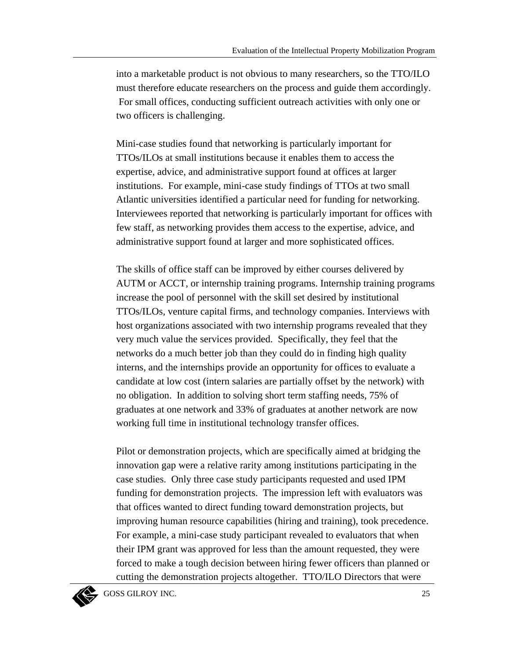into a marketable product is not obvious to many researchers, so the TTO/ILO must therefore educate researchers on the process and guide them accordingly. For small offices, conducting sufficient outreach activities with only one or two officers is challenging.

Mini-case studies found that networking is particularly important for TTOs/ILOs at small institutions because it enables them to access the expertise, advice, and administrative support found at offices at larger institutions. For example, mini-case study findings of TTOs at two small Atlantic universities identified a particular need for funding for networking. Interviewees reported that networking is particularly important for offices with few staff, as networking provides them access to the expertise, advice, and administrative support found at larger and more sophisticated offices.

The skills of office staff can be improved by either courses delivered by AUTM or ACCT, or internship training programs. Internship training programs increase the pool of personnel with the skill set desired by institutional TTOs/ILOs, venture capital firms, and technology companies. Interviews with host organizations associated with two internship programs revealed that they very much value the services provided. Specifically, they feel that the networks do a much better job than they could do in finding high quality interns, and the internships provide an opportunity for offices to evaluate a candidate at low cost (intern salaries are partially offset by the network) with no obligation. In addition to solving short term staffing needs, 75% of graduates at one network and 33% of graduates at another network are now working full time in institutional technology transfer offices.

Pilot or demonstration projects, which are specifically aimed at bridging the innovation gap were a relative rarity among institutions participating in the case studies. Only three case study participants requested and used IPM funding for demonstration projects. The impression left with evaluators was that offices wanted to direct funding toward demonstration projects, but improving human resource capabilities (hiring and training), took precedence. For example, a mini-case study participant revealed to evaluators that when their IPM grant was approved for less than the amount requested, they were forced to make a tough decision between hiring fewer officers than planned or cutting the demonstration projects altogether. TTO/ILO Directors that were



GOSS GILROY INC. 25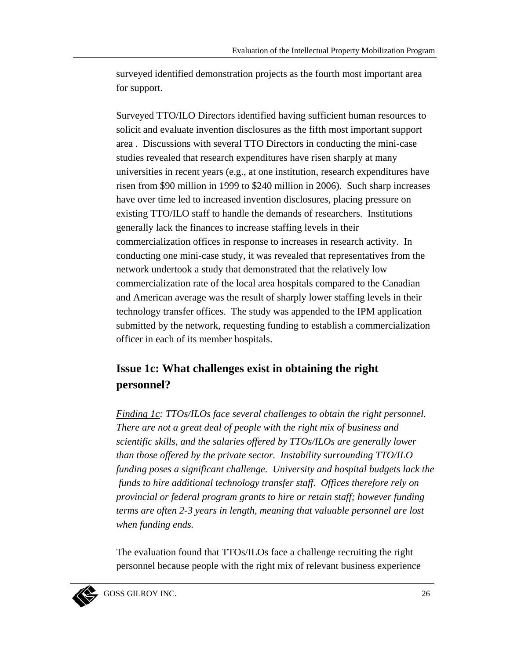surveyed identified demonstration projects as the fourth most important area for support.

Surveyed TTO/ILO Directors identified having sufficient human resources to solicit and evaluate invention disclosures as the fifth most important support area . Discussions with several TTO Directors in conducting the mini-case studies revealed that research expenditures have risen sharply at many universities in recent years (e.g., at one institution, research expenditures have risen from \$90 million in 1999 to \$240 million in 2006). Such sharp increases have over time led to increased invention disclosures, placing pressure on existing TTO/ILO staff to handle the demands of researchers. Institutions generally lack the finances to increase staffing levels in their commercialization offices in response to increases in research activity. In conducting one mini-case study, it was revealed that representatives from the network undertook a study that demonstrated that the relatively low commercialization rate of the local area hospitals compared to the Canadian and American average was the result of sharply lower staffing levels in their technology transfer offices. The study was appended to the IPM application submitted by the network, requesting funding to establish a commercialization officer in each of its member hospitals.

# **Issue 1c: What challenges exist in obtaining the right personnel?**

*Finding 1c: TTOs/ILOs face several challenges to obtain the right personnel. There are not a great deal of people with the right mix of business and scientific skills, and the salaries offered by TTOs/ILOs are generally lower than those offered by the private sector. Instability surrounding TTO/ILO funding poses a significant challenge. University and hospital budgets lack the funds to hire additional technology transfer staff. Offices therefore rely on provincial or federal program grants to hire or retain staff; however funding terms are often 2-3 years in length, meaning that valuable personnel are lost when funding ends.* 

The evaluation found that TTOs/ILOs face a challenge recruiting the right personnel because people with the right mix of relevant business experience

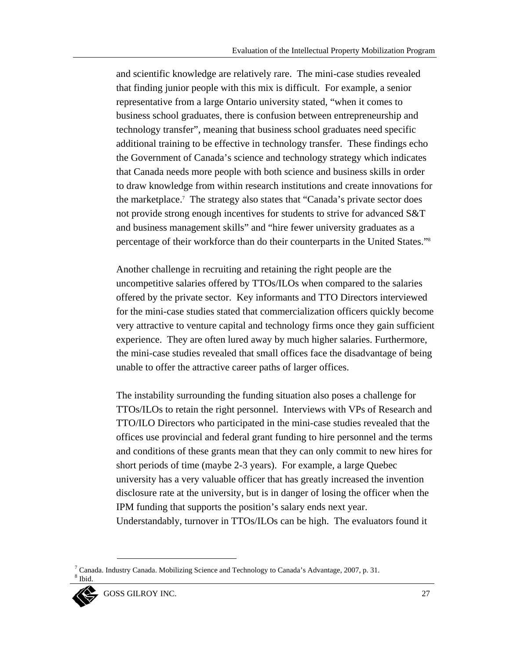and scientific knowledge are relatively rare. The mini-case studies revealed that finding junior people with this mix is difficult. For example, a senior representative from a large Ontario university stated, "when it comes to business school graduates, there is confusion between entrepreneurship and technology transfer", meaning that business school graduates need specific additional training to be effective in technology transfer. These findings echo the Government of Canada's science and technology strategy which indicates that Canada needs more people with both science and business skills in order to draw knowledge from within research institutions and create innovations for the marketplace.7 The strategy also states that "Canada's private sector does not provide strong enough incentives for students to strive for advanced S&T and business management skills" and "hire fewer university graduates as a percentage of their workforce than do their counterparts in the United States."8

Another challenge in recruiting and retaining the right people are the uncompetitive salaries offered by TTOs/ILOs when compared to the salaries offered by the private sector. Key informants and TTO Directors interviewed for the mini-case studies stated that commercialization officers quickly become very attractive to venture capital and technology firms once they gain sufficient experience. They are often lured away by much higher salaries. Furthermore, the mini-case studies revealed that small offices face the disadvantage of being unable to offer the attractive career paths of larger offices.

The instability surrounding the funding situation also poses a challenge for TTOs/ILOs to retain the right personnel. Interviews with VPs of Research and TTO/ILO Directors who participated in the mini-case studies revealed that the offices use provincial and federal grant funding to hire personnel and the terms and conditions of these grants mean that they can only commit to new hires for short periods of time (maybe 2-3 years). For example, a large Quebec university has a very valuable officer that has greatly increased the invention disclosure rate at the university, but is in danger of losing the officer when the IPM funding that supports the position's salary ends next year. Understandably, turnover in TTOs/ILOs can be high. The evaluators found it

 $^7$  Cenede, Indu <sup>7</sup> Canada. Industry Canada. Mobilizing Science and Technology to Canada's Advantage, 2007, p. 31. 8 Ibid

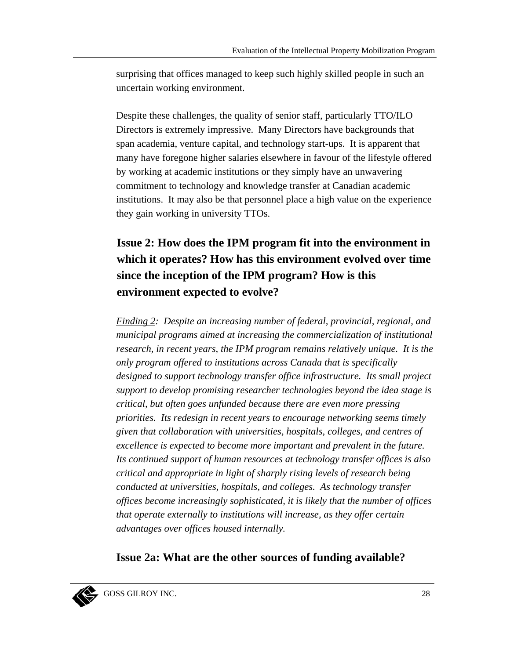surprising that offices managed to keep such highly skilled people in such an uncertain working environment.

Despite these challenges, the quality of senior staff, particularly TTO/ILO Directors is extremely impressive. Many Directors have backgrounds that span academia, venture capital, and technology start-ups. It is apparent that many have foregone higher salaries elsewhere in favour of the lifestyle offered by working at academic institutions or they simply have an unwavering commitment to technology and knowledge transfer at Canadian academic institutions. It may also be that personnel place a high value on the experience they gain working in university TTOs.

# **Issue 2: How does the IPM program fit into the environment in which it operates? How has this environment evolved over time since the inception of the IPM program? How is this environment expected to evolve?**

*Finding 2: Despite an increasing number of federal, provincial, regional, and municipal programs aimed at increasing the commercialization of institutional research, in recent years, the IPM program remains relatively unique. It is the only program offered to institutions across Canada that is specifically designed to support technology transfer office infrastructure. Its small project support to develop promising researcher technologies beyond the idea stage is critical, but often goes unfunded because there are even more pressing priorities. Its redesign in recent years to encourage networking seems timely given that collaboration with universities, hospitals, colleges, and centres of excellence is expected to become more important and prevalent in the future. Its continued support of human resources at technology transfer offices is also critical and appropriate in light of sharply rising levels of research being conducted at universities, hospitals, and colleges. As technology transfer offices become increasingly sophisticated, it is likely that the number of offices that operate externally to institutions will increase, as they offer certain advantages over offices housed internally.* 

## **Issue 2a: What are the other sources of funding available?**

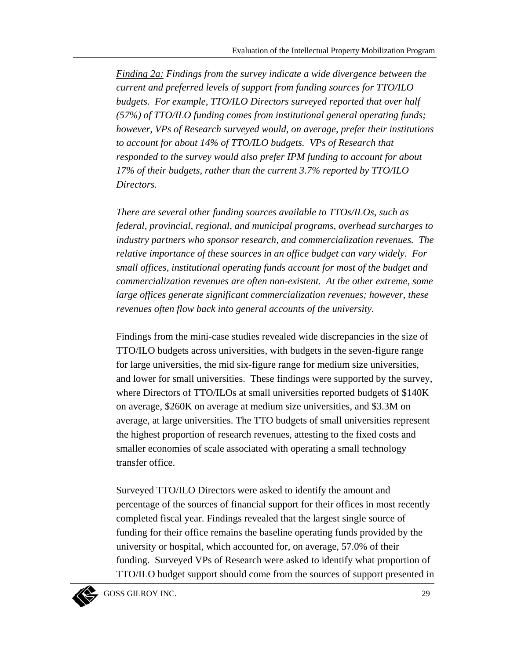*Finding 2a: Findings from the survey indicate a wide divergence between the current and preferred levels of support from funding sources for TTO/ILO budgets. For example, TTO/ILO Directors surveyed reported that over half (57%) of TTO/ILO funding comes from institutional general operating funds; however, VPs of Research surveyed would, on average, prefer their institutions to account for about 14% of TTO/ILO budgets. VPs of Research that responded to the survey would also prefer IPM funding to account for about 17% of their budgets, rather than the current 3.7% reported by TTO/ILO Directors.* 

*There are several other funding sources available to TTOs/ILOs, such as federal, provincial, regional, and municipal programs, overhead surcharges to industry partners who sponsor research, and commercialization revenues. The relative importance of these sources in an office budget can vary widely. For small offices, institutional operating funds account for most of the budget and commercialization revenues are often non-existent. At the other extreme, some large offices generate significant commercialization revenues; however, these revenues often flow back into general accounts of the university.* 

Findings from the mini-case studies revealed wide discrepancies in the size of TTO/ILO budgets across universities, with budgets in the seven-figure range for large universities, the mid six-figure range for medium size universities, and lower for small universities. These findings were supported by the survey, where Directors of TTO/ILOs at small universities reported budgets of \$140K on average, \$260K on average at medium size universities, and \$3.3M on average, at large universities. The TTO budgets of small universities represent the highest proportion of research revenues, attesting to the fixed costs and smaller economies of scale associated with operating a small technology transfer office.

Surveyed TTO/ILO Directors were asked to identify the amount and percentage of the sources of financial support for their offices in most recently completed fiscal year. Findings revealed that the largest single source of funding for their office remains the baseline operating funds provided by the university or hospital, which accounted for, on average, 57.0% of their funding. Surveyed VPs of Research were asked to identify what proportion of TTO/ILO budget support should come from the sources of support presented in



GOSS GILROY INC. 29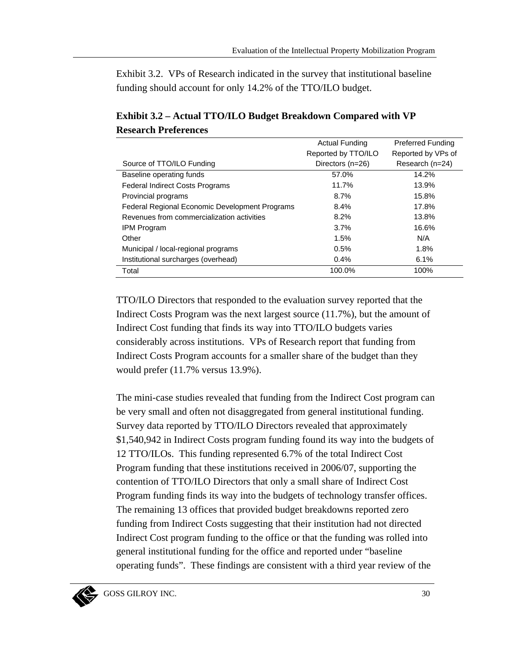Exhibit 3.2. VPs of Research indicated in the survey that institutional baseline funding should account for only 14.2% of the TTO/ILO budget.

|                                                       | <b>Actual Funding</b> | <b>Preferred Funding</b> |
|-------------------------------------------------------|-----------------------|--------------------------|
|                                                       | Reported by TTO/ILO   | Reported by VPs of       |
| Source of TTO/ILO Funding                             | Directors (n=26)      | Research (n=24)          |
| Baseline operating funds                              | 57.0%                 | 14.2%                    |
| <b>Federal Indirect Costs Programs</b>                | 11.7%                 | 13.9%                    |
| Provincial programs                                   | 8.7%                  | 15.8%                    |
| <b>Federal Regional Economic Development Programs</b> | 8.4%                  | 17.8%                    |
| Revenues from commercialization activities            | 8.2%                  | 13.8%                    |
| <b>IPM Program</b>                                    | 3.7%                  | 16.6%                    |
| Other                                                 | 1.5%                  | N/A                      |
| Municipal / local-regional programs                   | 0.5%                  | 1.8%                     |
| Institutional surcharges (overhead)                   | $0.4\%$               | 6.1%                     |
| Total                                                 | 100.0%                | 100%                     |

**Exhibit 3.2 – Actual TTO/ILO Budget Breakdown Compared with VP Research Preferences** 

TTO/ILO Directors that responded to the evaluation survey reported that the Indirect Costs Program was the next largest source (11.7%), but the amount of Indirect Cost funding that finds its way into TTO/ILO budgets varies considerably across institutions. VPs of Research report that funding from Indirect Costs Program accounts for a smaller share of the budget than they would prefer (11.7% versus 13.9%).

The mini-case studies revealed that funding from the Indirect Cost program can be very small and often not disaggregated from general institutional funding. Survey data reported by TTO/ILO Directors revealed that approximately \$1,540,942 in Indirect Costs program funding found its way into the budgets of 12 TTO/ILOs. This funding represented 6.7% of the total Indirect Cost Program funding that these institutions received in 2006/07, supporting the contention of TTO/ILO Directors that only a small share of Indirect Cost Program funding finds its way into the budgets of technology transfer offices. The remaining 13 offices that provided budget breakdowns reported zero funding from Indirect Costs suggesting that their institution had not directed Indirect Cost program funding to the office or that the funding was rolled into general institutional funding for the office and reported under "baseline operating funds". These findings are consistent with a third year review of the

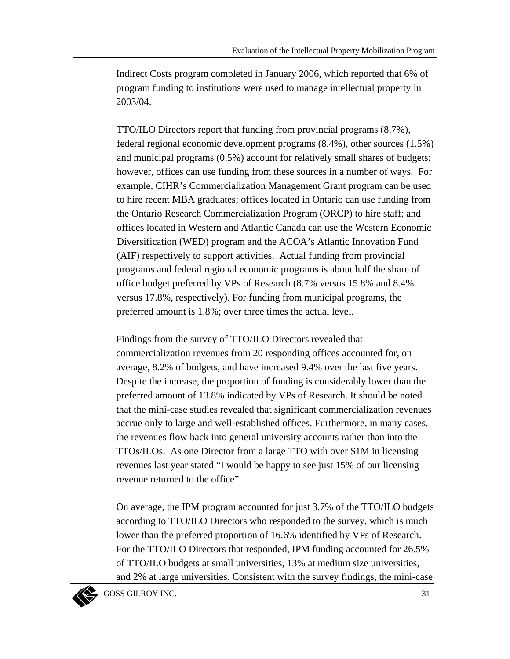Indirect Costs program completed in January 2006, which reported that 6% of program funding to institutions were used to manage intellectual property in 2003/04.

TTO/ILO Directors report that funding from provincial programs (8.7%), federal regional economic development programs (8.4%), other sources (1.5%) and municipal programs (0.5%) account for relatively small shares of budgets; however, offices can use funding from these sources in a number of ways. For example, CIHR's Commercialization Management Grant program can be used to hire recent MBA graduates; offices located in Ontario can use funding from the Ontario Research Commercialization Program (ORCP) to hire staff; and offices located in Western and Atlantic Canada can use the Western Economic Diversification (WED) program and the ACOA's Atlantic Innovation Fund (AIF) respectively to support activities. Actual funding from provincial programs and federal regional economic programs is about half the share of office budget preferred by VPs of Research (8.7% versus 15.8% and 8.4% versus 17.8%, respectively). For funding from municipal programs, the preferred amount is 1.8%; over three times the actual level.

Findings from the survey of TTO/ILO Directors revealed that commercialization revenues from 20 responding offices accounted for, on average, 8.2% of budgets, and have increased 9.4% over the last five years. Despite the increase, the proportion of funding is considerably lower than the preferred amount of 13.8% indicated by VPs of Research. It should be noted that the mini-case studies revealed that significant commercialization revenues accrue only to large and well-established offices. Furthermore, in many cases, the revenues flow back into general university accounts rather than into the TTOs/ILOs. As one Director from a large TTO with over \$1M in licensing revenues last year stated "I would be happy to see just 15% of our licensing revenue returned to the office".

On average, the IPM program accounted for just 3.7% of the TTO/ILO budgets according to TTO/ILO Directors who responded to the survey, which is much lower than the preferred proportion of 16.6% identified by VPs of Research. For the TTO/ILO Directors that responded, IPM funding accounted for 26.5% of TTO/ILO budgets at small universities, 13% at medium size universities, and 2% at large universities. Consistent with the survey findings, the mini-case

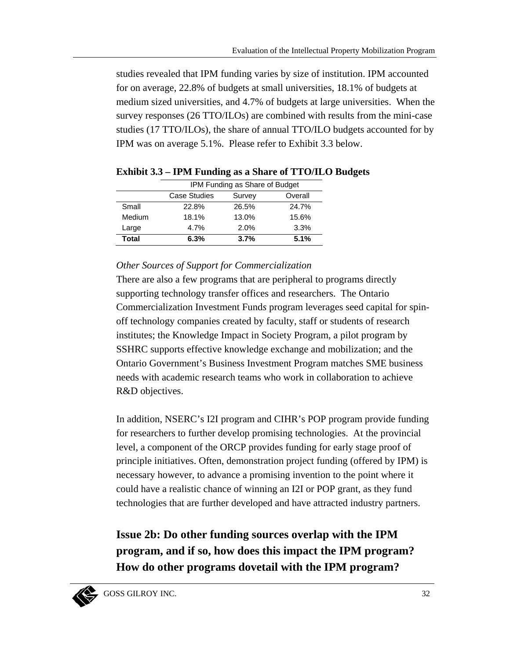studies revealed that IPM funding varies by size of institution. IPM accounted for on average, 22.8% of budgets at small universities, 18.1% of budgets at medium sized universities, and 4.7% of budgets at large universities. When the survey responses (26 TTO/ILOs) are combined with results from the mini-case studies (17 TTO/ILOs), the share of annual TTO/ILO budgets accounted for by IPM was on average 5.1%. Please refer to Exhibit 3.3 below.

|        | IPM Funding as Share of Budget |        |         |
|--------|--------------------------------|--------|---------|
|        | <b>Case Studies</b>            | Survey | Overall |
| Small  | 22.8%                          | 26.5%  | 24.7%   |
| Medium | 18.1%                          | 13.0%  | 15.6%   |
| Large  | 4.7%                           | 2.0%   | 3.3%    |
| Total  | 6.3%                           | 3.7%   | 5.1%    |

**Exhibit 3.3 – IPM Funding as a Share of TTO/ILO Budgets** 

#### *Other Sources of Support for Commercialization*

There are also a few programs that are peripheral to programs directly supporting technology transfer offices and researchers. The Ontario Commercialization Investment Fund*s* program leverages seed capital for spinoff technology companies created by faculty, staff or students of research institutes; the Knowledge Impact in Society Program, a pilot program by SSHRC supports effective knowledge exchange and mobilization; and the Ontario Government's Business Investment Program matches SME business needs with academic research teams who work in collaboration to achieve R&D objectives.

In addition, NSERC's I2I program and CIHR's POP program provide funding for researchers to further develop promising technologies. At the provincial level, a component of the ORCP provides funding for early stage proof of principle initiatives. Often, demonstration project funding (offered by IPM) is necessary however, to advance a promising invention to the point where it could have a realistic chance of winning an I2I or POP grant, as they fund technologies that are further developed and have attracted industry partners.

**Issue 2b: Do other funding sources overlap with the IPM program, and if so, how does this impact the IPM program? How do other programs dovetail with the IPM program?** 

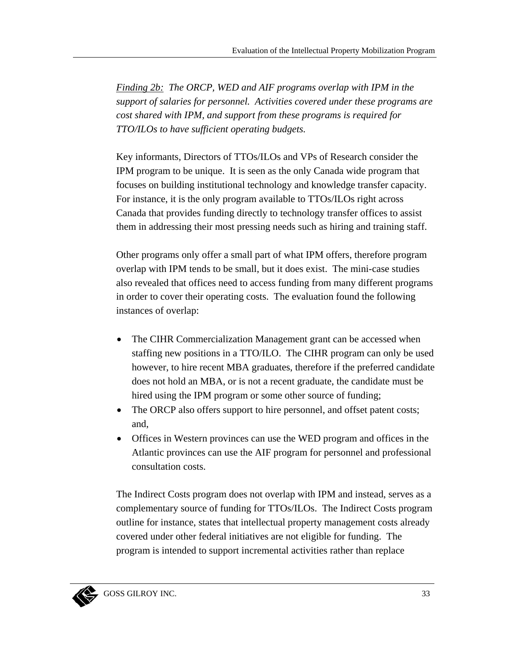*Finding 2b: The ORCP, WED and AIF programs overlap with IPM in the support of salaries for personnel. Activities covered under these programs are cost shared with IPM, and support from these programs is required for TTO/ILOs to have sufficient operating budgets.* 

Key informants, Directors of TTOs/ILOs and VPs of Research consider the IPM program to be unique. It is seen as the only Canada wide program that focuses on building institutional technology and knowledge transfer capacity. For instance, it is the only program available to TTOs/ILOs right across Canada that provides funding directly to technology transfer offices to assist them in addressing their most pressing needs such as hiring and training staff.

Other programs only offer a small part of what IPM offers, therefore program overlap with IPM tends to be small, but it does exist. The mini-case studies also revealed that offices need to access funding from many different programs in order to cover their operating costs. The evaluation found the following instances of overlap:

- The CIHR Commercialization Management grant can be accessed when staffing new positions in a TTO/ILO. The CIHR program can only be used however, to hire recent MBA graduates, therefore if the preferred candidate does not hold an MBA, or is not a recent graduate, the candidate must be hired using the IPM program or some other source of funding;
- The ORCP also offers support to hire personnel, and offset patent costs; and,
- Offices in Western provinces can use the WED program and offices in the Atlantic provinces can use the AIF program for personnel and professional consultation costs.

The Indirect Costs program does not overlap with IPM and instead, serves as a complementary source of funding for TTOs/ILOs. The Indirect Costs program outline for instance, states that intellectual property management costs already covered under other federal initiatives are not eligible for funding. The program is intended to support incremental activities rather than replace

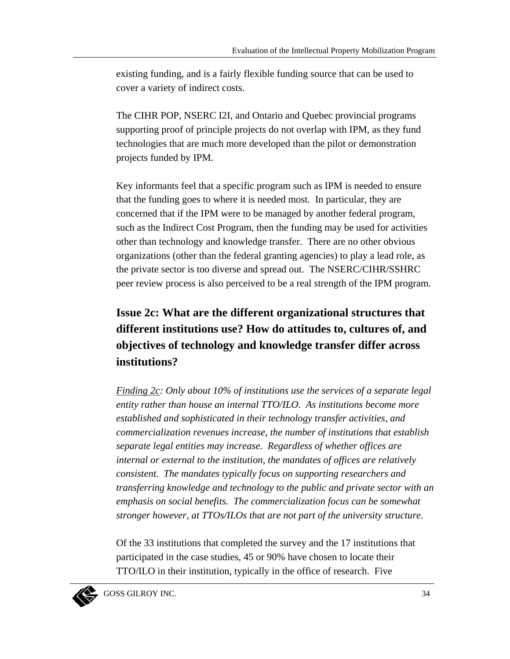existing funding, and is a fairly flexible funding source that can be used to cover a variety of indirect costs.

The CIHR POP, NSERC I2I, and Ontario and Quebec provincial programs supporting proof of principle projects do not overlap with IPM, as they fund technologies that are much more developed than the pilot or demonstration projects funded by IPM.

Key informants feel that a specific program such as IPM is needed to ensure that the funding goes to where it is needed most. In particular, they are concerned that if the IPM were to be managed by another federal program, such as the Indirect Cost Program, then the funding may be used for activities other than technology and knowledge transfer. There are no other obvious organizations (other than the federal granting agencies) to play a lead role, as the private sector is too diverse and spread out. The NSERC/CIHR/SSHRC peer review process is also perceived to be a real strength of the IPM program.

# **Issue 2c: What are the different organizational structures that different institutions use? How do attitudes to, cultures of, and objectives of technology and knowledge transfer differ across institutions?**

*Finding 2c: Only about 10% of institutions use the services of a separate legal entity rather than house an internal TTO/ILO. As institutions become more established and sophisticated in their technology transfer activities, and commercialization revenues increase, the number of institutions that establish separate legal entities may increase. Regardless of whether offices are internal or external to the institution, the mandates of offices are relatively consistent. The mandates typically focus on supporting researchers and transferring knowledge and technology to the public and private sector with an emphasis on social benefits. The commercialization focus can be somewhat stronger however, at TTOs/ILOs that are not part of the university structure.* 

Of the 33 institutions that completed the survey and the 17 institutions that participated in the case studies, 45 or 90% have chosen to locate their TTO/ILO in their institution, typically in the office of research. Five

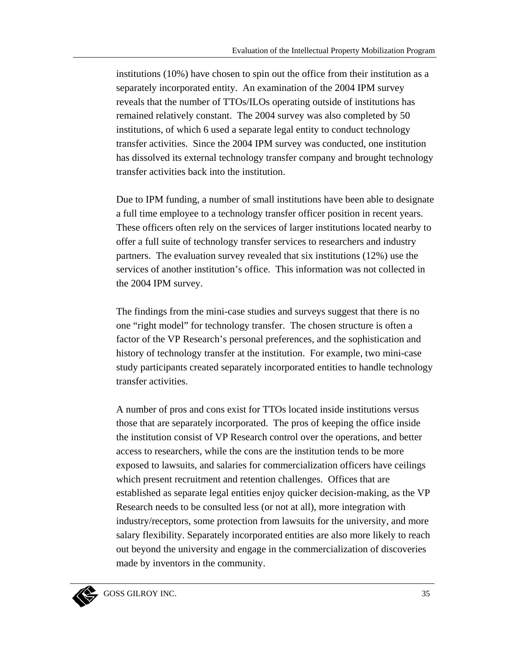institutions (10%) have chosen to spin out the office from their institution as a separately incorporated entity. An examination of the 2004 IPM survey reveals that the number of TTOs/ILOs operating outside of institutions has remained relatively constant. The 2004 survey was also completed by 50 institutions, of which 6 used a separate legal entity to conduct technology transfer activities. Since the 2004 IPM survey was conducted, one institution has dissolved its external technology transfer company and brought technology transfer activities back into the institution.

Due to IPM funding, a number of small institutions have been able to designate a full time employee to a technology transfer officer position in recent years. These officers often rely on the services of larger institutions located nearby to offer a full suite of technology transfer services to researchers and industry partners. The evaluation survey revealed that six institutions (12%) use the services of another institution's office. This information was not collected in the 2004 IPM survey.

The findings from the mini-case studies and surveys suggest that there is no one "right model" for technology transfer. The chosen structure is often a factor of the VP Research's personal preferences, and the sophistication and history of technology transfer at the institution. For example, two mini-case study participants created separately incorporated entities to handle technology transfer activities.

A number of pros and cons exist for TTOs located inside institutions versus those that are separately incorporated. The pros of keeping the office inside the institution consist of VP Research control over the operations, and better access to researchers, while the cons are the institution tends to be more exposed to lawsuits, and salaries for commercialization officers have ceilings which present recruitment and retention challenges. Offices that are established as separate legal entities enjoy quicker decision-making, as the VP Research needs to be consulted less (or not at all), more integration with industry/receptors, some protection from lawsuits for the university, and more salary flexibility. Separately incorporated entities are also more likely to reach out beyond the university and engage in the commercialization of discoveries made by inventors in the community.

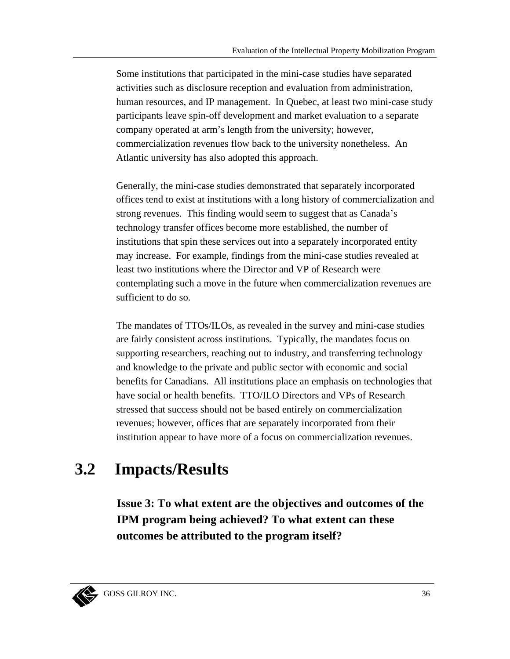Some institutions that participated in the mini-case studies have separated activities such as disclosure reception and evaluation from administration, human resources, and IP management. In Quebec, at least two mini-case study participants leave spin-off development and market evaluation to a separate company operated at arm's length from the university; however, commercialization revenues flow back to the university nonetheless. An Atlantic university has also adopted this approach.

Generally, the mini-case studies demonstrated that separately incorporated offices tend to exist at institutions with a long history of commercialization and strong revenues. This finding would seem to suggest that as Canada's technology transfer offices become more established, the number of institutions that spin these services out into a separately incorporated entity may increase. For example, findings from the mini-case studies revealed at least two institutions where the Director and VP of Research were contemplating such a move in the future when commercialization revenues are sufficient to do so.

The mandates of TTOs/ILOs, as revealed in the survey and mini-case studies are fairly consistent across institutions. Typically, the mandates focus on supporting researchers, reaching out to industry, and transferring technology and knowledge to the private and public sector with economic and social benefits for Canadians. All institutions place an emphasis on technologies that have social or health benefits. TTO/ILO Directors and VPs of Research stressed that success should not be based entirely on commercialization revenues; however, offices that are separately incorporated from their institution appear to have more of a focus on commercialization revenues.

# **3.2 Impacts/Results**

**Issue 3: To what extent are the objectives and outcomes of the IPM program being achieved? To what extent can these outcomes be attributed to the program itself?** 

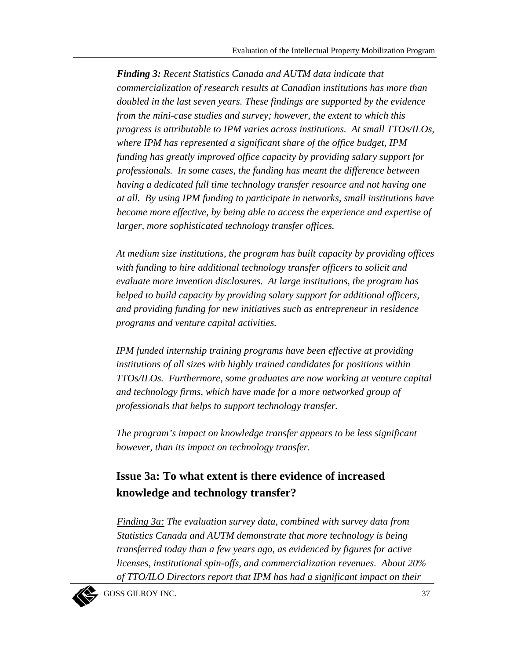*Finding 3: Recent Statistics Canada and AUTM data indicate that commercialization of research results at Canadian institutions has more than doubled in the last seven years. These findings are supported by the evidence from the mini-case studies and survey; however, the extent to which this progress is attributable to IPM varies across institutions. At small TTOs/ILOs, where IPM has represented a significant share of the office budget, IPM funding has greatly improved office capacity by providing salary support for professionals. In some cases, the funding has meant the difference between having a dedicated full time technology transfer resource and not having one at all. By using IPM funding to participate in networks, small institutions have become more effective, by being able to access the experience and expertise of larger, more sophisticated technology transfer offices.* 

*At medium size institutions, the program has built capacity by providing offices with funding to hire additional technology transfer officers to solicit and evaluate more invention disclosures. At large institutions, the program has helped to build capacity by providing salary support for additional officers, and providing funding for new initiatives such as entrepreneur in residence programs and venture capital activities.* 

*IPM funded internship training programs have been effective at providing institutions of all sizes with highly trained candidates for positions within TTOs/ILOs. Furthermore, some graduates are now working at venture capital and technology firms, which have made for a more networked group of professionals that helps to support technology transfer.* 

*The program's impact on knowledge transfer appears to be less significant however, than its impact on technology transfer.* 

# **Issue 3a: To what extent is there evidence of increased knowledge and technology transfer?**

*Finding 3a: The evaluation survey data, combined with survey data from Statistics Canada and AUTM demonstrate that more technology is being transferred today than a few years ago, as evidenced by figures for active licenses, institutional spin-offs, and commercialization revenues. About 20% of TTO/ILO Directors report that IPM has had a significant impact on their* 



GOSS GILROY INC. 37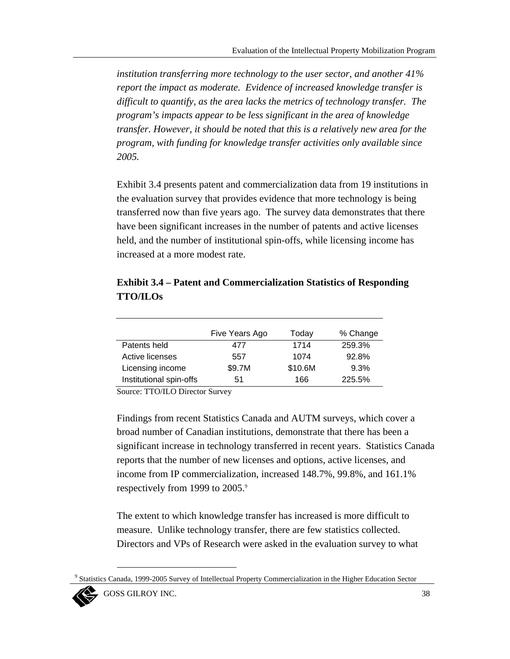*institution transferring more technology to the user sector, and another 41% report the impact as moderate. Evidence of increased knowledge transfer is difficult to quantify, as the area lacks the metrics of technology transfer. The program's impacts appear to be less significant in the area of knowledge transfer. However, it should be noted that this is a relatively new area for the program, with funding for knowledge transfer activities only available since 2005.* 

Exhibit 3.4 presents patent and commercialization data from 19 institutions in the evaluation survey that provides evidence that more technology is being transferred now than five years ago. The survey data demonstrates that there have been significant increases in the number of patents and active licenses held, and the number of institutional spin-offs, while licensing income has increased at a more modest rate.

#### **Exhibit 3.4 – Patent and Commercialization Statistics of Responding TTO/ILOs**

|                         | Five Years Ago | Today   | % Change |
|-------------------------|----------------|---------|----------|
| Patents held            | 477            | 1714    | 259.3%   |
| Active licenses         | 557            | 1074    | 92.8%    |
| Licensing income        | \$9.7M         | \$10.6M | 9.3%     |
| Institutional spin-offs | 51             | 166     | 225.5%   |

Source: TTO/ILO Director Survey

Findings from recent Statistics Canada and AUTM surveys, which cover a broad number of Canadian institutions, demonstrate that there has been a significant increase in technology transferred in recent years. Statistics Canada reports that the number of new licenses and options, active licenses, and income from IP commercialization, increased 148.7%, 99.8%, and 161.1% respectively from 1999 to 2005.<sup>9</sup>

The extent to which knowledge transfer has increased is more difficult to measure. Unlike technology transfer, there are few statistics collected. Directors and VPs of Research were asked in the evaluation survey to what

 <sup>9</sup> Statistics Canada, 1999-2005 Survey of Intellectual Property Commercialization in the Higher Education Sector

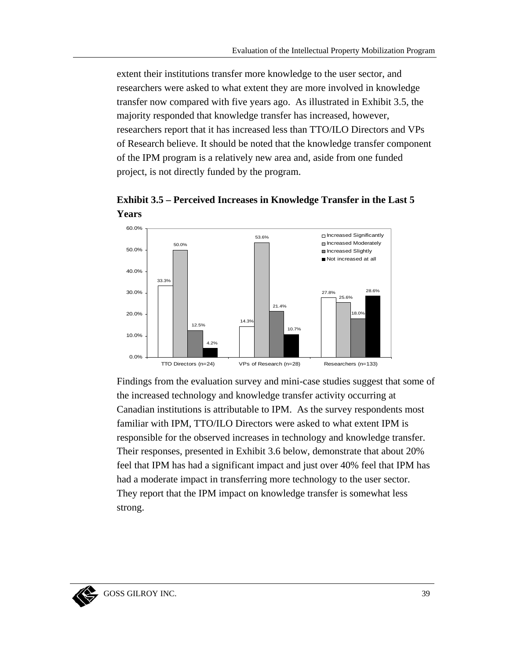extent their institutions transfer more knowledge to the user sector, and researchers were asked to what extent they are more involved in knowledge transfer now compared with five years ago. As illustrated in Exhibit 3.5, the majority responded that knowledge transfer has increased, however, researchers report that it has increased less than TTO/ILO Directors and VPs of Research believe. It should be noted that the knowledge transfer component of the IPM program is a relatively new area and, aside from one funded project, is not directly funded by the program.





Findings from the evaluation survey and mini-case studies suggest that some of the increased technology and knowledge transfer activity occurring at Canadian institutions is attributable to IPM. As the survey respondents most familiar with IPM, TTO/ILO Directors were asked to what extent IPM is responsible for the observed increases in technology and knowledge transfer. Their responses, presented in Exhibit 3.6 below, demonstrate that about 20% feel that IPM has had a significant impact and just over 40% feel that IPM has had a moderate impact in transferring more technology to the user sector. They report that the IPM impact on knowledge transfer is somewhat less strong.

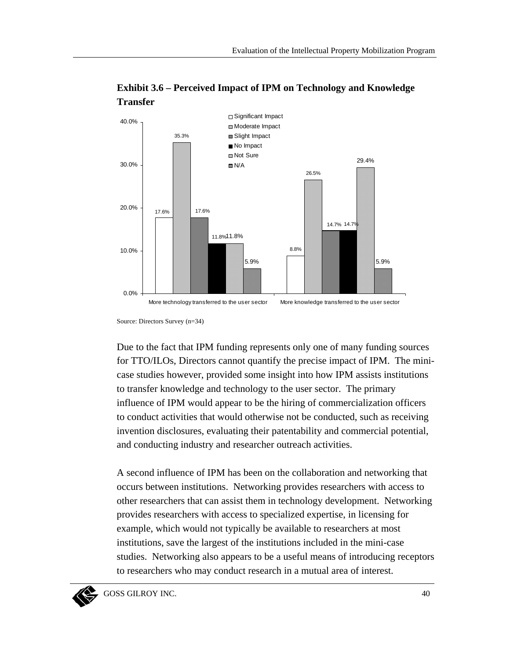

**Exhibit 3.6 – Perceived Impact of IPM on Technology and Knowledge Transfer** 

Due to the fact that IPM funding represents only one of many funding sources for TTO/ILOs, Directors cannot quantify the precise impact of IPM. The minicase studies however, provided some insight into how IPM assists institutions to transfer knowledge and technology to the user sector. The primary influence of IPM would appear to be the hiring of commercialization officers to conduct activities that would otherwise not be conducted, such as receiving invention disclosures, evaluating their patentability and commercial potential, and conducting industry and researcher outreach activities.

A second influence of IPM has been on the collaboration and networking that occurs between institutions. Networking provides researchers with access to other researchers that can assist them in technology development. Networking provides researchers with access to specialized expertise, in licensing for example, which would not typically be available to researchers at most institutions, save the largest of the institutions included in the mini-case studies. Networking also appears to be a useful means of introducing receptors to researchers who may conduct research in a mutual area of interest.



Source: Directors Survey (n=34)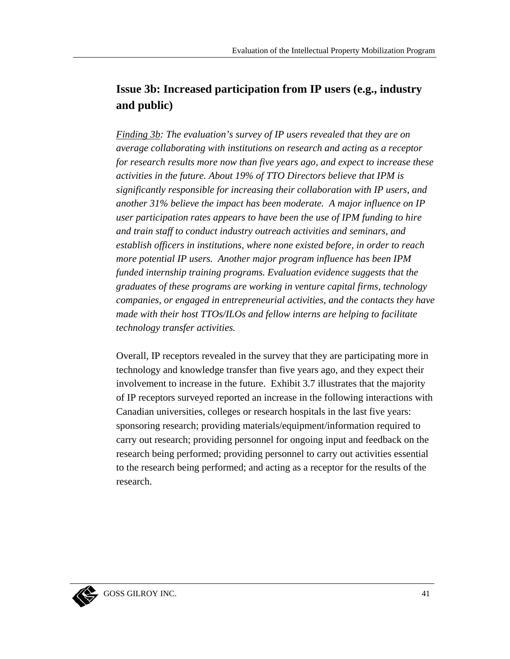## **Issue 3b: Increased participation from IP users (e.g., industry and public)**

*Finding 3b: The evaluation's survey of IP users revealed that they are on average collaborating with institutions on research and acting as a receptor for research results more now than five years ago, and expect to increase these activities in the future. About 19% of TTO Directors believe that IPM is significantly responsible for increasing their collaboration with IP users, and another 31% believe the impact has been moderate. A major influence on IP user participation rates appears to have been the use of IPM funding to hire and train staff to conduct industry outreach activities and seminars, and establish officers in institutions, where none existed before, in order to reach more potential IP users. Another major program influence has been IPM funded internship training programs. Evaluation evidence suggests that the graduates of these programs are working in venture capital firms, technology companies, or engaged in entrepreneurial activities, and the contacts they have made with their host TTOs/ILOs and fellow interns are helping to facilitate technology transfer activities.* 

Overall, IP receptors revealed in the survey that they are participating more in technology and knowledge transfer than five years ago, and they expect their involvement to increase in the future. Exhibit 3.7 illustrates that the majority of IP receptors surveyed reported an increase in the following interactions with Canadian universities, colleges or research hospitals in the last five years: sponsoring research; providing materials/equipment/information required to carry out research; providing personnel for ongoing input and feedback on the research being performed; providing personnel to carry out activities essential to the research being performed; and acting as a receptor for the results of the research.

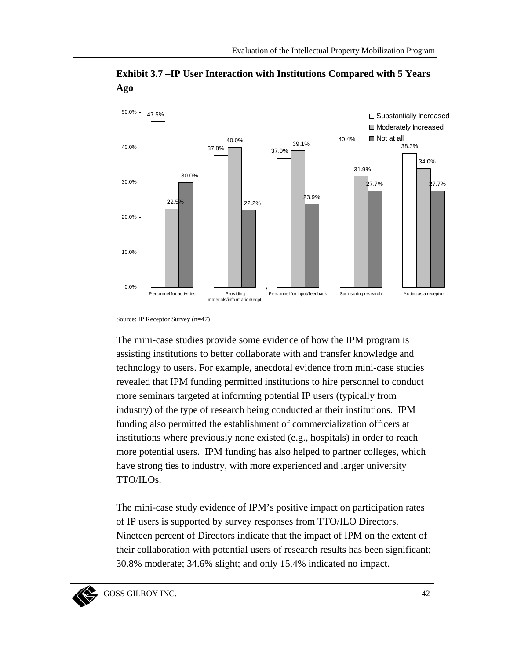

**Exhibit 3.7 –IP User Interaction with Institutions Compared with 5 Years Ago** 

The mini-case studies provide some evidence of how the IPM program is assisting institutions to better collaborate with and transfer knowledge and technology to users. For example, anecdotal evidence from mini-case studies revealed that IPM funding permitted institutions to hire personnel to conduct more seminars targeted at informing potential IP users (typically from industry) of the type of research being conducted at their institutions. IPM funding also permitted the establishment of commercialization officers at institutions where previously none existed (e.g., hospitals) in order to reach more potential users. IPM funding has also helped to partner colleges, which have strong ties to industry, with more experienced and larger university TTO/ILOs.

The mini-case study evidence of IPM's positive impact on participation rates of IP users is supported by survey responses from TTO/ILO Directors. Nineteen percent of Directors indicate that the impact of IPM on the extent of their collaboration with potential users of research results has been significant; 30.8% moderate; 34.6% slight; and only 15.4% indicated no impact.



Source: IP Receptor Survey (n=47)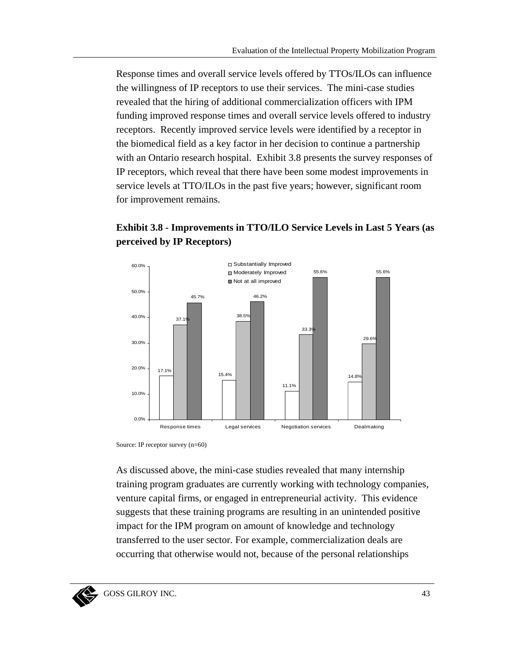Response times and overall service levels offered by TTOs/ILOs can influence the willingness of IP receptors to use their services. The mini-case studies revealed that the hiring of additional commercialization officers with IPM funding improved response times and overall service levels offered to industry receptors. Recently improved service levels were identified by a receptor in the biomedical field as a key factor in her decision to continue a partnership with an Ontario research hospital. Exhibit 3.8 presents the survey responses of IP receptors, which reveal that there have been some modest improvements in service levels at TTO/ILOs in the past five years; however, significant room for improvement remains.

### **Exhibit 3.8 - Improvements in TTO/ILO Service Levels in Last 5 Years (as perceived by IP Receptors)**



Source: IP receptor survey (n=60)

As discussed above, the mini-case studies revealed that many internship training program graduates are currently working with technology companies, venture capital firms, or engaged in entrepreneurial activity. This evidence suggests that these training programs are resulting in an unintended positive impact for the IPM program on amount of knowledge and technology transferred to the user sector. For example, commercialization deals are occurring that otherwise would not, because of the personal relationships

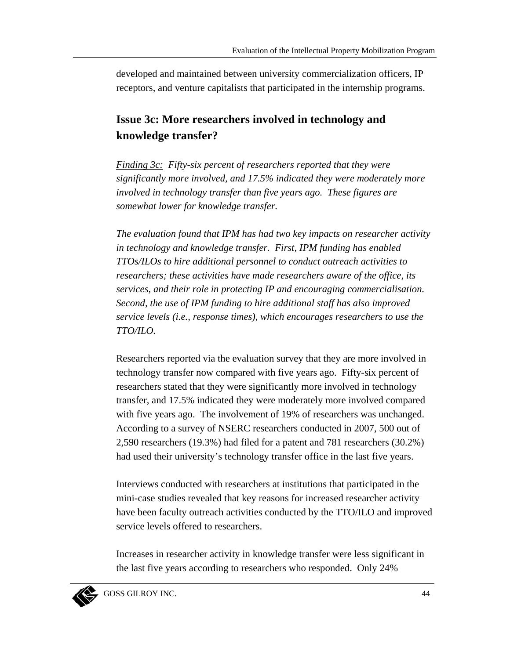developed and maintained between university commercialization officers, IP receptors, and venture capitalists that participated in the internship programs.

# **Issue 3c: More researchers involved in technology and knowledge transfer?**

*Finding 3c: Fifty-six percent of researchers reported that they were significantly more involved, and 17.5% indicated they were moderately more involved in technology transfer than five years ago. These figures are somewhat lower for knowledge transfer.* 

*The evaluation found that IPM has had two key impacts on researcher activity in technology and knowledge transfer. First, IPM funding has enabled TTOs/ILOs to hire additional personnel to conduct outreach activities to researchers; these activities have made researchers aware of the office, its services, and their role in protecting IP and encouraging commercialisation. Second, the use of IPM funding to hire additional staff has also improved service levels (i.e., response times), which encourages researchers to use the TTO/ILO.* 

Researchers reported via the evaluation survey that they are more involved in technology transfer now compared with five years ago. Fifty-six percent of researchers stated that they were significantly more involved in technology transfer, and 17.5% indicated they were moderately more involved compared with five years ago. The involvement of 19% of researchers was unchanged. According to a survey of NSERC researchers conducted in 2007, 500 out of 2,590 researchers (19.3%) had filed for a patent and 781 researchers (30.2%) had used their university's technology transfer office in the last five years.

Interviews conducted with researchers at institutions that participated in the mini-case studies revealed that key reasons for increased researcher activity have been faculty outreach activities conducted by the TTO/ILO and improved service levels offered to researchers.

Increases in researcher activity in knowledge transfer were less significant in the last five years according to researchers who responded. Only 24%

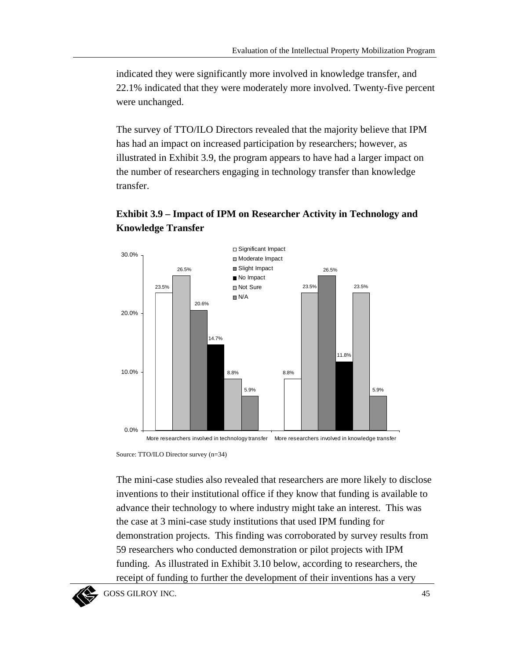indicated they were significantly more involved in knowledge transfer, and 22.1% indicated that they were moderately more involved. Twenty-five percent were unchanged.

The survey of TTO/ILO Directors revealed that the majority believe that IPM has had an impact on increased participation by researchers; however, as illustrated in Exhibit 3.9, the program appears to have had a larger impact on the number of researchers engaging in technology transfer than knowledge transfer.



## **Exhibit 3.9 – Impact of IPM on Researcher Activity in Technology and Knowledge Transfer**

More researchers involved in technology transfer More researchers involved in knowledge transfer

The mini-case studies also revealed that researchers are more likely to disclose inventions to their institutional office if they know that funding is available to advance their technology to where industry might take an interest. This was the case at 3 mini-case study institutions that used IPM funding for demonstration projects. This finding was corroborated by survey results from 59 researchers who conducted demonstration or pilot projects with IPM funding. As illustrated in Exhibit 3.10 below, according to researchers, the receipt of funding to further the development of their inventions has a very



GOSS GILROY INC. 45

Source: TTO/ILO Director survey (n=34)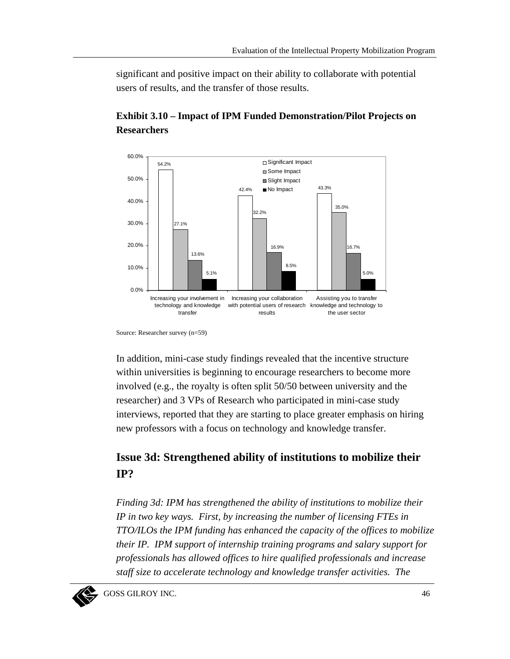significant and positive impact on their ability to collaborate with potential users of results, and the transfer of those results.





Source: Researcher survey (n=59)

In addition, mini-case study findings revealed that the incentive structure within universities is beginning to encourage researchers to become more involved (e.g., the royalty is often split 50/50 between university and the researcher) and 3 VPs of Research who participated in mini-case study interviews, reported that they are starting to place greater emphasis on hiring new professors with a focus on technology and knowledge transfer.

## **Issue 3d: Strengthened ability of institutions to mobilize their IP?**

*Finding 3d: IPM has strengthened the ability of institutions to mobilize their IP in two key ways. First, by increasing the number of licensing FTEs in TTO/ILOs the IPM funding has enhanced the capacity of the offices to mobilize their IP. IPM support of internship training programs and salary support for professionals has allowed offices to hire qualified professionals and increase staff size to accelerate technology and knowledge transfer activities. The* 

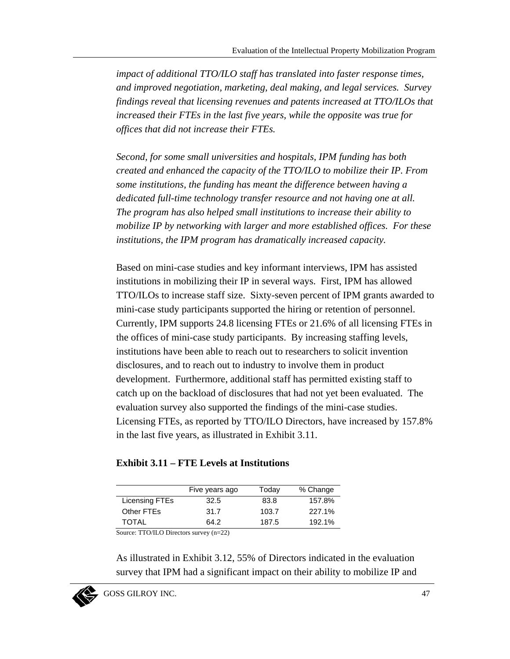*impact of additional TTO/ILO staff has translated into faster response times, and improved negotiation, marketing, deal making, and legal services. Survey findings reveal that licensing revenues and patents increased at TTO/ILOs that increased their FTEs in the last five years, while the opposite was true for offices that did not increase their FTEs.* 

*Second, for some small universities and hospitals, IPM funding has both created and enhanced the capacity of the TTO/ILO to mobilize their IP. From some institutions, the funding has meant the difference between having a dedicated full-time technology transfer resource and not having one at all. The program has also helped small institutions to increase their ability to mobilize IP by networking with larger and more established offices. For these institutions, the IPM program has dramatically increased capacity.* 

Based on mini-case studies and key informant interviews, IPM has assisted institutions in mobilizing their IP in several ways. First, IPM has allowed TTO/ILOs to increase staff size. Sixty-seven percent of IPM grants awarded to mini-case study participants supported the hiring or retention of personnel. Currently, IPM supports 24.8 licensing FTEs or 21.6% of all licensing FTEs in the offices of mini-case study participants. By increasing staffing levels, institutions have been able to reach out to researchers to solicit invention disclosures, and to reach out to industry to involve them in product development. Furthermore, additional staff has permitted existing staff to catch up on the backload of disclosures that had not yet been evaluated. The evaluation survey also supported the findings of the mini-case studies. Licensing FTEs, as reported by TTO/ILO Directors, have increased by 157.8% in the last five years, as illustrated in Exhibit 3.11.

#### **Exhibit 3.11 – FTE Levels at Institutions**

|                | Five years ago | Today | % Change |
|----------------|----------------|-------|----------|
| Licensing FTEs | 32.5           | 83.8  | 157.8%   |
| Other FTEs     | 31.7           | 103.7 | 227.1%   |
| TOTAL          | 64.2           | 187.5 | 192.1%   |

Source: TTO/ILO Directors survey (n=22)

As illustrated in Exhibit 3.12, 55% of Directors indicated in the evaluation survey that IPM had a significant impact on their ability to mobilize IP and

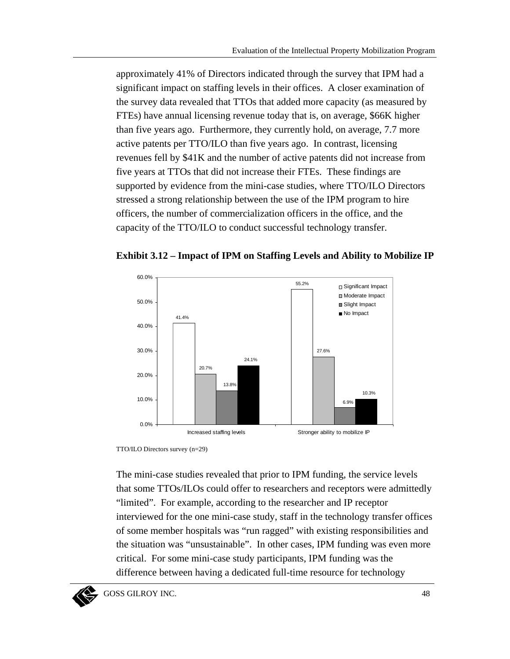approximately 41% of Directors indicated through the survey that IPM had a significant impact on staffing levels in their offices. A closer examination of the survey data revealed that TTOs that added more capacity (as measured by FTEs) have annual licensing revenue today that is, on average, \$66K higher than five years ago. Furthermore, they currently hold, on average, 7.7 more active patents per TTO/ILO than five years ago. In contrast, licensing revenues fell by \$41K and the number of active patents did not increase from five years at TTOs that did not increase their FTEs. These findings are supported by evidence from the mini-case studies, where TTO/ILO Directors stressed a strong relationship between the use of the IPM program to hire officers, the number of commercialization officers in the office, and the capacity of the TTO/ILO to conduct successful technology transfer.





TTO/ILO Directors survey (n=29)

The mini-case studies revealed that prior to IPM funding, the service levels that some TTOs/ILOs could offer to researchers and receptors were admittedly "limited". For example, according to the researcher and IP receptor interviewed for the one mini-case study, staff in the technology transfer offices of some member hospitals was "run ragged" with existing responsibilities and the situation was "unsustainable". In other cases, IPM funding was even more critical. For some mini-case study participants, IPM funding was the difference between having a dedicated full-time resource for technology

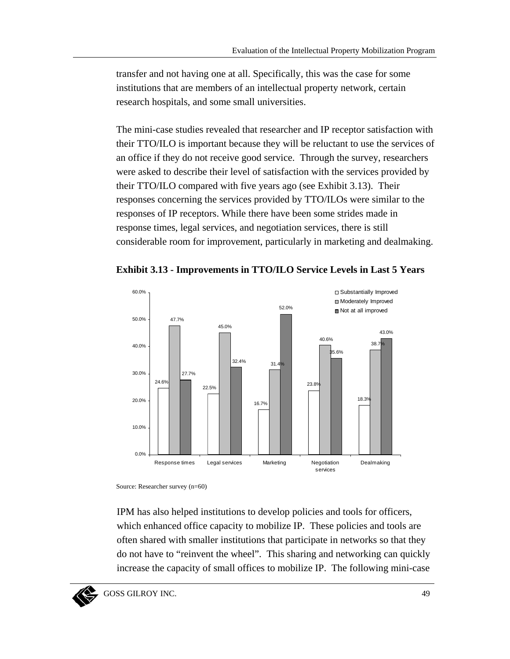transfer and not having one at all. Specifically, this was the case for some institutions that are members of an intellectual property network, certain research hospitals, and some small universities.

The mini-case studies revealed that researcher and IP receptor satisfaction with their TTO/ILO is important because they will be reluctant to use the services of an office if they do not receive good service. Through the survey, researchers were asked to describe their level of satisfaction with the services provided by their TTO/ILO compared with five years ago (see Exhibit 3.13). Their responses concerning the services provided by TTO/ILOs were similar to the responses of IP receptors. While there have been some strides made in response times, legal services, and negotiation services, there is still considerable room for improvement, particularly in marketing and dealmaking.



**Exhibit 3.13 - Improvements in TTO/ILO Service Levels in Last 5 Years** 

Source: Researcher survey (n=60)

IPM has also helped institutions to develop policies and tools for officers, which enhanced office capacity to mobilize IP. These policies and tools are often shared with smaller institutions that participate in networks so that they do not have to "reinvent the wheel". This sharing and networking can quickly increase the capacity of small offices to mobilize IP. The following mini-case

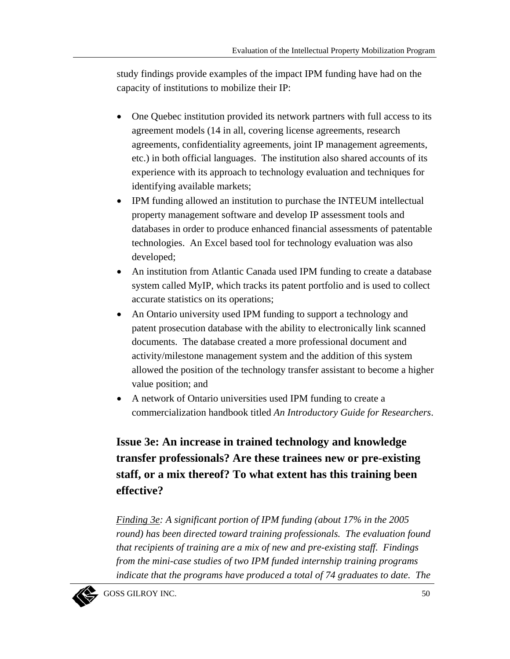study findings provide examples of the impact IPM funding have had on the capacity of institutions to mobilize their IP:

- One Quebec institution provided its network partners with full access to its agreement models (14 in all, covering license agreements, research agreements, confidentiality agreements, joint IP management agreements, etc.) in both official languages. The institution also shared accounts of its experience with its approach to technology evaluation and techniques for identifying available markets;
- IPM funding allowed an institution to purchase the INTEUM intellectual property management software and develop IP assessment tools and databases in order to produce enhanced financial assessments of patentable technologies. An Excel based tool for technology evaluation was also developed;
- An institution from Atlantic Canada used IPM funding to create a database system called MyIP, which tracks its patent portfolio and is used to collect accurate statistics on its operations;
- An Ontario university used IPM funding to support a technology and patent prosecution database with the ability to electronically link scanned documents. The database created a more professional document and activity/milestone management system and the addition of this system allowed the position of the technology transfer assistant to become a higher value position; and
- A network of Ontario universities used IPM funding to create a commercialization handbook titled *An Introductory Guide for Researchers*.

# **Issue 3e: An increase in trained technology and knowledge transfer professionals? Are these trainees new or pre-existing staff, or a mix thereof? To what extent has this training been effective?**

*Finding 3e: A significant portion of IPM funding (about 17% in the 2005 round) has been directed toward training professionals. The evaluation found that recipients of training are a mix of new and pre-existing staff. Findings from the mini-case studies of two IPM funded internship training programs indicate that the programs have produced a total of 74 graduates to date. The* 

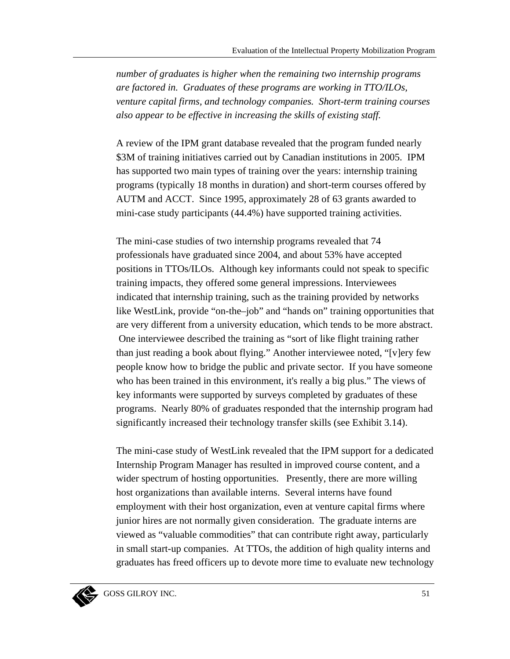*number of graduates is higher when the remaining two internship programs are factored in. Graduates of these programs are working in TTO/ILOs, venture capital firms, and technology companies. Short-term training courses also appear to be effective in increasing the skills of existing staff.* 

A review of the IPM grant database revealed that the program funded nearly \$3M of training initiatives carried out by Canadian institutions in 2005. IPM has supported two main types of training over the years: internship training programs (typically 18 months in duration) and short-term courses offered by AUTM and ACCT. Since 1995, approximately 28 of 63 grants awarded to mini-case study participants (44.4%) have supported training activities.

The mini-case studies of two internship programs revealed that 74 professionals have graduated since 2004, and about 53% have accepted positions in TTOs/ILOs. Although key informants could not speak to specific training impacts, they offered some general impressions. Interviewees indicated that internship training, such as the training provided by networks like WestLink, provide "on-the–job" and "hands on" training opportunities that are very different from a university education, which tends to be more abstract. One interviewee described the training as "sort of like flight training rather than just reading a book about flying." Another interviewee noted, "[v]ery few people know how to bridge the public and private sector. If you have someone who has been trained in this environment, it's really a big plus." The views of key informants were supported by surveys completed by graduates of these programs. Nearly 80% of graduates responded that the internship program had significantly increased their technology transfer skills (see Exhibit 3.14).

The mini-case study of WestLink revealed that the IPM support for a dedicated Internship Program Manager has resulted in improved course content, and a wider spectrum of hosting opportunities. Presently, there are more willing host organizations than available interns. Several interns have found employment with their host organization, even at venture capital firms where junior hires are not normally given consideration. The graduate interns are viewed as "valuable commodities" that can contribute right away, particularly in small start-up companies. At TTOs, the addition of high quality interns and graduates has freed officers up to devote more time to evaluate new technology

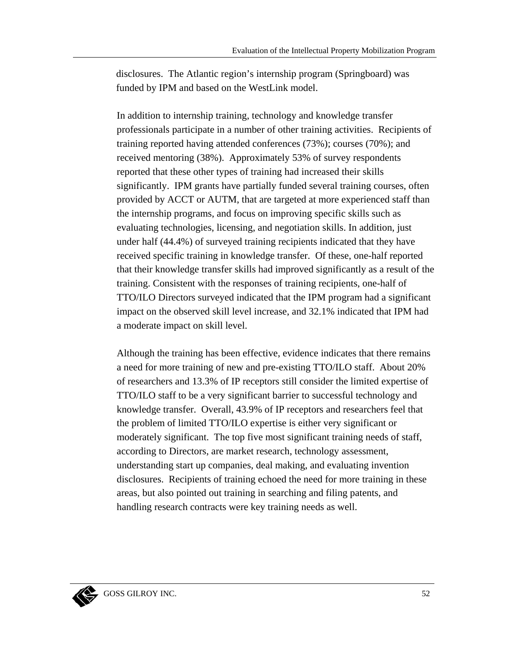disclosures. The Atlantic region's internship program (Springboard) was funded by IPM and based on the WestLink model.

In addition to internship training, technology and knowledge transfer professionals participate in a number of other training activities. Recipients of training reported having attended conferences (73%); courses (70%); and received mentoring (38%). Approximately 53% of survey respondents reported that these other types of training had increased their skills significantly. IPM grants have partially funded several training courses, often provided by ACCT or AUTM, that are targeted at more experienced staff than the internship programs, and focus on improving specific skills such as evaluating technologies, licensing, and negotiation skills. In addition, just under half (44.4%) of surveyed training recipients indicated that they have received specific training in knowledge transfer. Of these, one-half reported that their knowledge transfer skills had improved significantly as a result of the training. Consistent with the responses of training recipients, one-half of TTO/ILO Directors surveyed indicated that the IPM program had a significant impact on the observed skill level increase, and 32.1% indicated that IPM had a moderate impact on skill level.

Although the training has been effective, evidence indicates that there remains a need for more training of new and pre-existing TTO/ILO staff. About 20% of researchers and 13.3% of IP receptors still consider the limited expertise of TTO/ILO staff to be a very significant barrier to successful technology and knowledge transfer. Overall, 43.9% of IP receptors and researchers feel that the problem of limited TTO/ILO expertise is either very significant or moderately significant. The top five most significant training needs of staff, according to Directors, are market research, technology assessment, understanding start up companies, deal making, and evaluating invention disclosures. Recipients of training echoed the need for more training in these areas, but also pointed out training in searching and filing patents, and handling research contracts were key training needs as well.

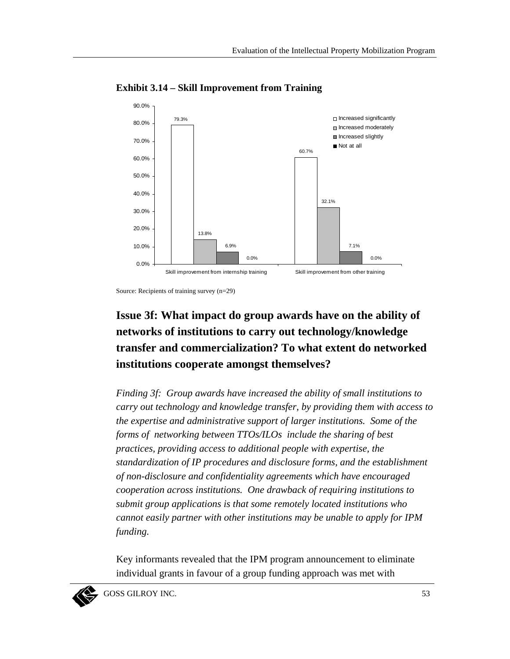

**Exhibit 3.14 – Skill Improvement from Training** 

Source: Recipients of training survey (n=29)

# **Issue 3f: What impact do group awards have on the ability of networks of institutions to carry out technology/knowledge transfer and commercialization? To what extent do networked institutions cooperate amongst themselves?**

*Finding 3f: Group awards have increased the ability of small institutions to carry out technology and knowledge transfer, by providing them with access to the expertise and administrative support of larger institutions. Some of the forms of networking between TTOs/ILOs include the sharing of best practices, providing access to additional people with expertise, the standardization of IP procedures and disclosure forms, and the establishment of non-disclosure and confidentiality agreements which have encouraged cooperation across institutions. One drawback of requiring institutions to submit group applications is that some remotely located institutions who cannot easily partner with other institutions may be unable to apply for IPM funding.*

Key informants revealed that the IPM program announcement to eliminate individual grants in favour of a group funding approach was met with

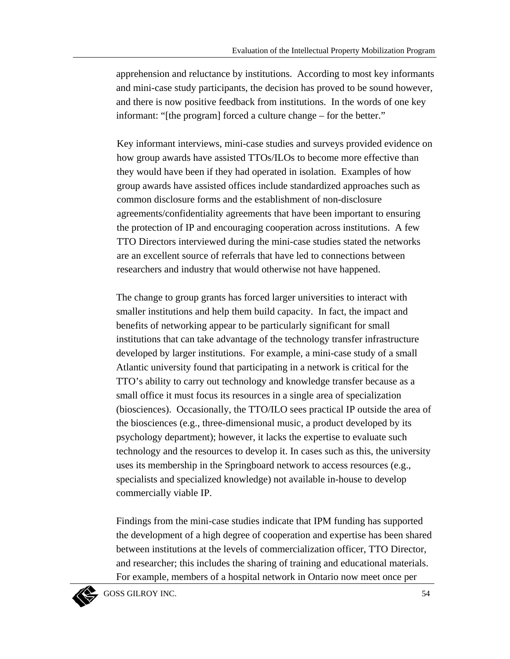apprehension and reluctance by institutions. According to most key informants and mini-case study participants, the decision has proved to be sound however, and there is now positive feedback from institutions. In the words of one key informant: "[the program] forced a culture change – for the better."

Key informant interviews, mini-case studies and surveys provided evidence on how group awards have assisted TTOs/ILOs to become more effective than they would have been if they had operated in isolation. Examples of how group awards have assisted offices include standardized approaches such as common disclosure forms and the establishment of non-disclosure agreements/confidentiality agreements that have been important to ensuring the protection of IP and encouraging cooperation across institutions. A few TTO Directors interviewed during the mini-case studies stated the networks are an excellent source of referrals that have led to connections between researchers and industry that would otherwise not have happened.

The change to group grants has forced larger universities to interact with smaller institutions and help them build capacity. In fact, the impact and benefits of networking appear to be particularly significant for small institutions that can take advantage of the technology transfer infrastructure developed by larger institutions. For example, a mini-case study of a small Atlantic university found that participating in a network is critical for the TTO's ability to carry out technology and knowledge transfer because as a small office it must focus its resources in a single area of specialization (biosciences). Occasionally, the TTO/ILO sees practical IP outside the area of the biosciences (e.g., three-dimensional music, a product developed by its psychology department); however, it lacks the expertise to evaluate such technology and the resources to develop it. In cases such as this, the university uses its membership in the Springboard network to access resources (e.g., specialists and specialized knowledge) not available in-house to develop commercially viable IP.

Findings from the mini-case studies indicate that IPM funding has supported the development of a high degree of cooperation and expertise has been shared between institutions at the levels of commercialization officer, TTO Director, and researcher; this includes the sharing of training and educational materials. For example, members of a hospital network in Ontario now meet once per

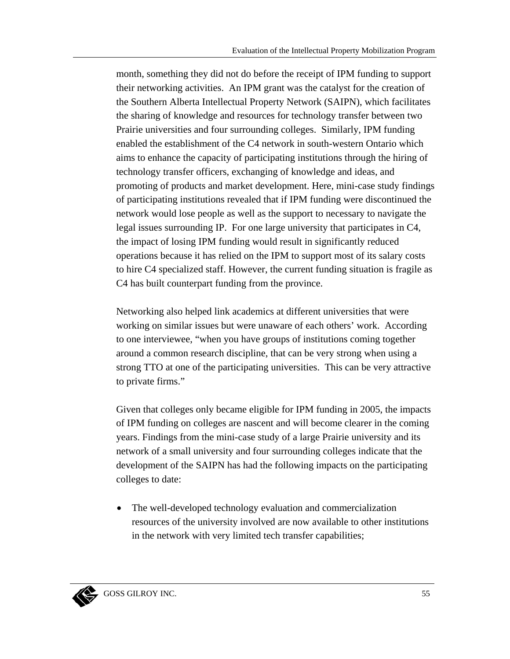month, something they did not do before the receipt of IPM funding to support their networking activities. An IPM grant was the catalyst for the creation of the Southern Alberta Intellectual Property Network (SAIPN), which facilitates the sharing of knowledge and resources for technology transfer between two Prairie universities and four surrounding colleges. Similarly, IPM funding enabled the establishment of the C4 network in south-western Ontario which aims to enhance the capacity of participating institutions through the hiring of technology transfer officers, exchanging of knowledge and ideas, and promoting of products and market development. Here, mini-case study findings of participating institutions revealed that if IPM funding were discontinued the network would lose people as well as the support to necessary to navigate the legal issues surrounding IP. For one large university that participates in C4, the impact of losing IPM funding would result in significantly reduced operations because it has relied on the IPM to support most of its salary costs to hire C4 specialized staff. However, the current funding situation is fragile as C4 has built counterpart funding from the province.

Networking also helped link academics at different universities that were working on similar issues but were unaware of each others' work. According to one interviewee, "when you have groups of institutions coming together around a common research discipline, that can be very strong when using a strong TTO at one of the participating universities. This can be very attractive to private firms."

Given that colleges only became eligible for IPM funding in 2005, the impacts of IPM funding on colleges are nascent and will become clearer in the coming years. Findings from the mini-case study of a large Prairie university and its network of a small university and four surrounding colleges indicate that the development of the SAIPN has had the following impacts on the participating colleges to date:

• The well-developed technology evaluation and commercialization resources of the university involved are now available to other institutions in the network with very limited tech transfer capabilities;

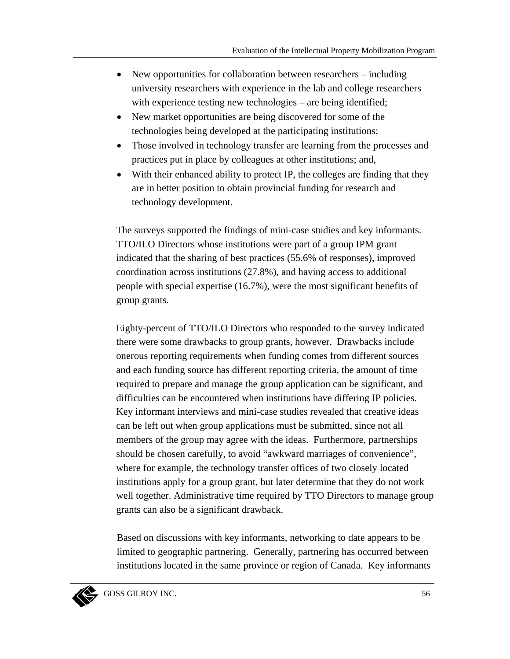- New opportunities for collaboration between researchers including university researchers with experience in the lab and college researchers with experience testing new technologies – are being identified;
- New market opportunities are being discovered for some of the technologies being developed at the participating institutions;
- Those involved in technology transfer are learning from the processes and practices put in place by colleagues at other institutions; and,
- With their enhanced ability to protect IP, the colleges are finding that they are in better position to obtain provincial funding for research and technology development.

The surveys supported the findings of mini-case studies and key informants. TTO/ILO Directors whose institutions were part of a group IPM grant indicated that the sharing of best practices (55.6% of responses), improved coordination across institutions (27.8%), and having access to additional people with special expertise (16.7%), were the most significant benefits of group grants.

Eighty-percent of TTO/ILO Directors who responded to the survey indicated there were some drawbacks to group grants, however. Drawbacks include onerous reporting requirements when funding comes from different sources and each funding source has different reporting criteria, the amount of time required to prepare and manage the group application can be significant, and difficulties can be encountered when institutions have differing IP policies. Key informant interviews and mini-case studies revealed that creative ideas can be left out when group applications must be submitted, since not all members of the group may agree with the ideas. Furthermore, partnerships should be chosen carefully, to avoid "awkward marriages of convenience", where for example, the technology transfer offices of two closely located institutions apply for a group grant, but later determine that they do not work well together. Administrative time required by TTO Directors to manage group grants can also be a significant drawback.

Based on discussions with key informants, networking to date appears to be limited to geographic partnering. Generally, partnering has occurred between institutions located in the same province or region of Canada. Key informants

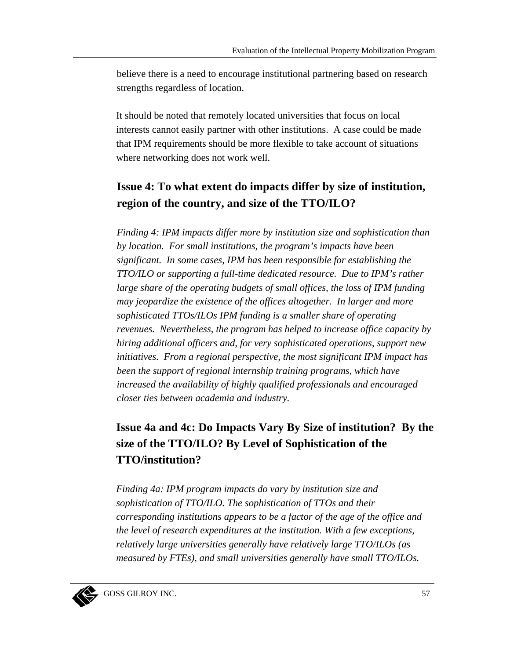believe there is a need to encourage institutional partnering based on research strengths regardless of location.

It should be noted that remotely located universities that focus on local interests cannot easily partner with other institutions. A case could be made that IPM requirements should be more flexible to take account of situations where networking does not work well.

# **Issue 4: To what extent do impacts differ by size of institution, region of the country, and size of the TTO/ILO?**

*Finding 4: IPM impacts differ more by institution size and sophistication than by location. For small institutions, the program's impacts have been significant. In some cases, IPM has been responsible for establishing the TTO/ILO or supporting a full-time dedicated resource. Due to IPM's rather large share of the operating budgets of small offices, the loss of IPM funding may jeopardize the existence of the offices altogether. In larger and more sophisticated TTOs/ILOs IPM funding is a smaller share of operating revenues. Nevertheless, the program has helped to increase office capacity by hiring additional officers and, for very sophisticated operations, support new initiatives. From a regional perspective, the most significant IPM impact has been the support of regional internship training programs, which have increased the availability of highly qualified professionals and encouraged closer ties between academia and industry.* 

# **Issue 4a and 4c: Do Impacts Vary By Size of institution? By the size of the TTO/ILO? By Level of Sophistication of the TTO/institution?**

*Finding 4a: IPM program impacts do vary by institution size and sophistication of TTO/ILO. The sophistication of TTOs and their corresponding institutions appears to be a factor of the age of the office and the level of research expenditures at the institution. With a few exceptions, relatively large universities generally have relatively large TTO/ILOs (as measured by FTEs), and small universities generally have small TTO/ILOs.* 

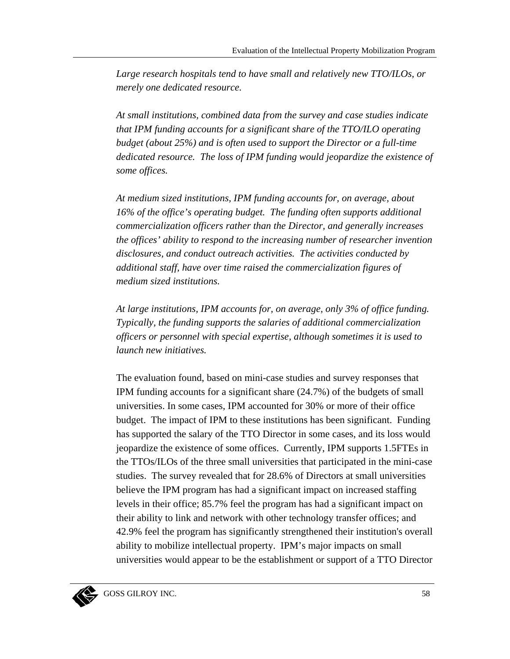*Large research hospitals tend to have small and relatively new TTO/ILOs, or merely one dedicated resource.* 

*At small institutions, combined data from the survey and case studies indicate that IPM funding accounts for a significant share of the TTO/ILO operating budget (about 25%) and is often used to support the Director or a full-time dedicated resource. The loss of IPM funding would jeopardize the existence of some offices.* 

*At medium sized institutions, IPM funding accounts for, on average, about 16% of the office's operating budget. The funding often supports additional commercialization officers rather than the Director, and generally increases the offices' ability to respond to the increasing number of researcher invention disclosures, and conduct outreach activities. The activities conducted by additional staff, have over time raised the commercialization figures of medium sized institutions.* 

*At large institutions, IPM accounts for, on average, only 3% of office funding. Typically, the funding supports the salaries of additional commercialization officers or personnel with special expertise, although sometimes it is used to launch new initiatives.* 

The evaluation found, based on mini-case studies and survey responses that IPM funding accounts for a significant share (24.7%) of the budgets of small universities. In some cases, IPM accounted for 30% or more of their office budget. The impact of IPM to these institutions has been significant. Funding has supported the salary of the TTO Director in some cases, and its loss would jeopardize the existence of some offices. Currently, IPM supports 1.5FTEs in the TTOs/ILOs of the three small universities that participated in the mini-case studies. The survey revealed that for 28.6% of Directors at small universities believe the IPM program has had a significant impact on increased staffing levels in their office; 85.7% feel the program has had a significant impact on their ability to link and network with other technology transfer offices; and 42.9% feel the program has significantly strengthened their institution's overall ability to mobilize intellectual property. IPM's major impacts on small universities would appear to be the establishment or support of a TTO Director

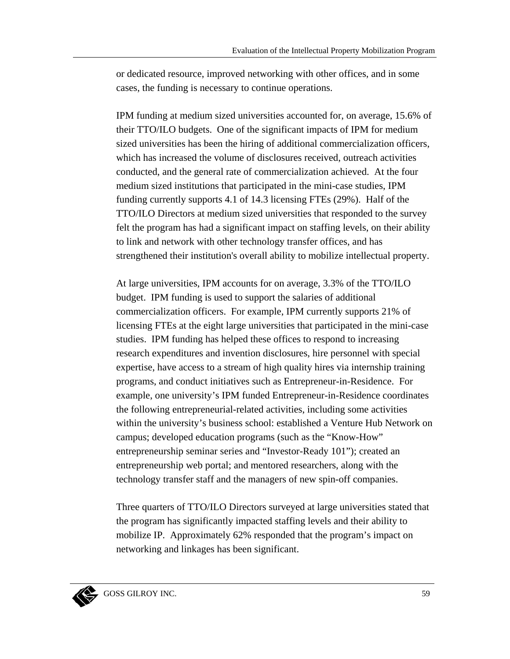or dedicated resource, improved networking with other offices, and in some cases, the funding is necessary to continue operations.

IPM funding at medium sized universities accounted for, on average, 15.6% of their TTO/ILO budgets. One of the significant impacts of IPM for medium sized universities has been the hiring of additional commercialization officers, which has increased the volume of disclosures received, outreach activities conducted, and the general rate of commercialization achieved. At the four medium sized institutions that participated in the mini-case studies, IPM funding currently supports 4.1 of 14.3 licensing FTEs (29%). Half of the TTO/ILO Directors at medium sized universities that responded to the survey felt the program has had a significant impact on staffing levels, on their ability to link and network with other technology transfer offices, and has strengthened their institution's overall ability to mobilize intellectual property.

At large universities, IPM accounts for on average, 3.3% of the TTO/ILO budget. IPM funding is used to support the salaries of additional commercialization officers. For example, IPM currently supports 21% of licensing FTEs at the eight large universities that participated in the mini-case studies. IPM funding has helped these offices to respond to increasing research expenditures and invention disclosures, hire personnel with special expertise, have access to a stream of high quality hires via internship training programs, and conduct initiatives such as Entrepreneur-in-Residence. For example, one university's IPM funded Entrepreneur-in-Residence coordinates the following entrepreneurial-related activities, including some activities within the university's business school: established a Venture Hub Network on campus; developed education programs (such as the "Know-How" entrepreneurship seminar series and "Investor-Ready 101"); created an entrepreneurship web portal; and mentored researchers, along with the technology transfer staff and the managers of new spin-off companies.

Three quarters of TTO/ILO Directors surveyed at large universities stated that the program has significantly impacted staffing levels and their ability to mobilize IP. Approximately 62% responded that the program's impact on networking and linkages has been significant.

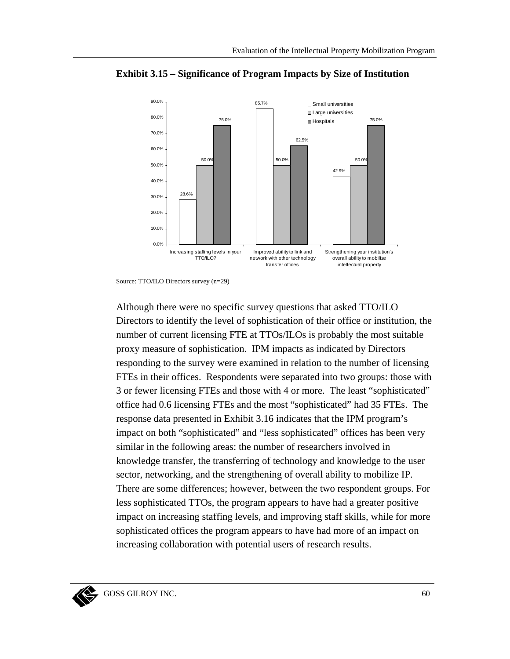

**Exhibit 3.15 – Significance of Program Impacts by Size of Institution** 

Source: TTO/ILO Directors survey (n=29)

Although there were no specific survey questions that asked TTO/ILO Directors to identify the level of sophistication of their office or institution, the number of current licensing FTE at TTOs/ILOs is probably the most suitable proxy measure of sophistication. IPM impacts as indicated by Directors responding to the survey were examined in relation to the number of licensing FTEs in their offices. Respondents were separated into two groups: those with 3 or fewer licensing FTEs and those with 4 or more. The least "sophisticated" office had 0.6 licensing FTEs and the most "sophisticated" had 35 FTEs. The response data presented in Exhibit 3.16 indicates that the IPM program's impact on both "sophisticated" and "less sophisticated" offices has been very similar in the following areas: the number of researchers involved in knowledge transfer, the transferring of technology and knowledge to the user sector, networking, and the strengthening of overall ability to mobilize IP. There are some differences; however, between the two respondent groups. For less sophisticated TTOs, the program appears to have had a greater positive impact on increasing staffing levels, and improving staff skills, while for more sophisticated offices the program appears to have had more of an impact on increasing collaboration with potential users of research results.

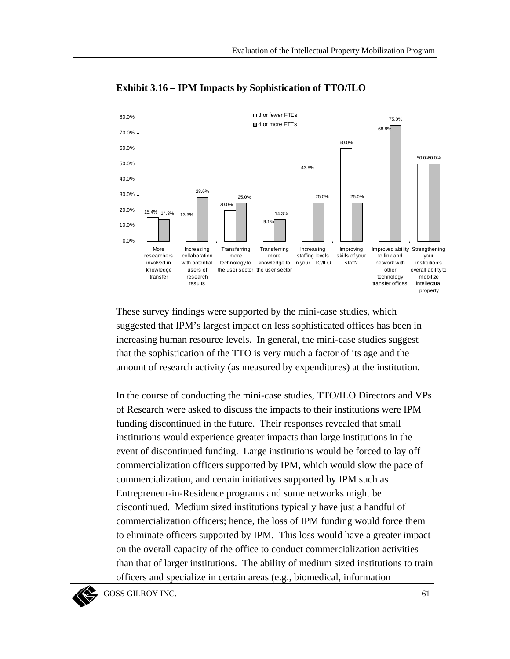

**Exhibit 3.16 – IPM Impacts by Sophistication of TTO/ILO** 

These survey findings were supported by the mini-case studies, which suggested that IPM's largest impact on less sophisticated offices has been in increasing human resource levels. In general, the mini-case studies suggest that the sophistication of the TTO is very much a factor of its age and the amount of research activity (as measured by expenditures) at the institution.

In the course of conducting the mini-case studies, TTO/ILO Directors and VPs of Research were asked to discuss the impacts to their institutions were IPM funding discontinued in the future. Their responses revealed that small institutions would experience greater impacts than large institutions in the event of discontinued funding. Large institutions would be forced to lay off commercialization officers supported by IPM, which would slow the pace of commercialization, and certain initiatives supported by IPM such as Entrepreneur-in-Residence programs and some networks might be discontinued. Medium sized institutions typically have just a handful of commercialization officers; hence, the loss of IPM funding would force them to eliminate officers supported by IPM. This loss would have a greater impact on the overall capacity of the office to conduct commercialization activities than that of larger institutions. The ability of medium sized institutions to train officers and specialize in certain areas (e.g., biomedical, information

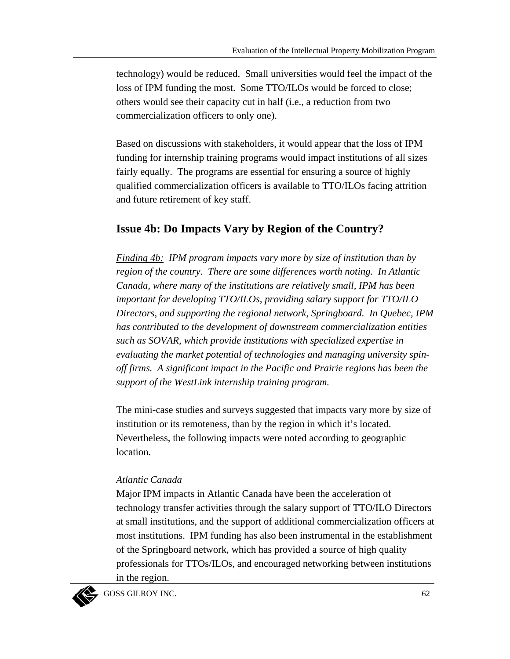technology) would be reduced. Small universities would feel the impact of the loss of IPM funding the most. Some TTO/ILOs would be forced to close; others would see their capacity cut in half (i.e., a reduction from two commercialization officers to only one).

Based on discussions with stakeholders, it would appear that the loss of IPM funding for internship training programs would impact institutions of all sizes fairly equally. The programs are essential for ensuring a source of highly qualified commercialization officers is available to TTO/ILOs facing attrition and future retirement of key staff.

#### **Issue 4b: Do Impacts Vary by Region of the Country?**

*Finding 4b: IPM program impacts vary more by size of institution than by region of the country. There are some differences worth noting. In Atlantic Canada, where many of the institutions are relatively small, IPM has been important for developing TTO/ILOs, providing salary support for TTO/ILO Directors, and supporting the regional network, Springboard. In Quebec, IPM has contributed to the development of downstream commercialization entities such as SOVAR, which provide institutions with specialized expertise in evaluating the market potential of technologies and managing university spinoff firms. A significant impact in the Pacific and Prairie regions has been the support of the WestLink internship training program.* 

The mini-case studies and surveys suggested that impacts vary more by size of institution or its remoteness, than by the region in which it's located. Nevertheless, the following impacts were noted according to geographic location.

#### *Atlantic Canada*

Major IPM impacts in Atlantic Canada have been the acceleration of technology transfer activities through the salary support of TTO/ILO Directors at small institutions, and the support of additional commercialization officers at most institutions. IPM funding has also been instrumental in the establishment of the Springboard network, which has provided a source of high quality professionals for TTOs/ILOs, and encouraged networking between institutions in the region.

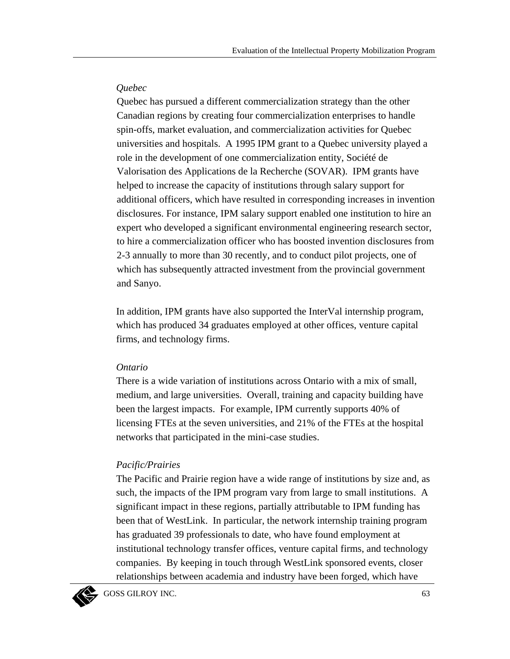#### *Quebec*

Quebec has pursued a different commercialization strategy than the other Canadian regions by creating four commercialization enterprises to handle spin-offs, market evaluation, and commercialization activities for Quebec universities and hospitals. A 1995 IPM grant to a Quebec university played a role in the development of one commercialization entity, Société de Valorisation des Applications de la Recherche (SOVAR). IPM grants have helped to increase the capacity of institutions through salary support for additional officers, which have resulted in corresponding increases in invention disclosures. For instance, IPM salary support enabled one institution to hire an expert who developed a significant environmental engineering research sector, to hire a commercialization officer who has boosted invention disclosures from 2-3 annually to more than 30 recently, and to conduct pilot projects, one of which has subsequently attracted investment from the provincial government and Sanyo.

In addition, IPM grants have also supported the InterVal internship program, which has produced 34 graduates employed at other offices, venture capital firms, and technology firms.

#### *Ontario*

There is a wide variation of institutions across Ontario with a mix of small, medium, and large universities. Overall, training and capacity building have been the largest impacts. For example, IPM currently supports 40% of licensing FTEs at the seven universities, and 21% of the FTEs at the hospital networks that participated in the mini-case studies.

#### *Pacific/Prairies*

The Pacific and Prairie region have a wide range of institutions by size and, as such, the impacts of the IPM program vary from large to small institutions. A significant impact in these regions, partially attributable to IPM funding has been that of WestLink. In particular, the network internship training program has graduated 39 professionals to date, who have found employment at institutional technology transfer offices, venture capital firms, and technology companies. By keeping in touch through WestLink sponsored events, closer relationships between academia and industry have been forged, which have

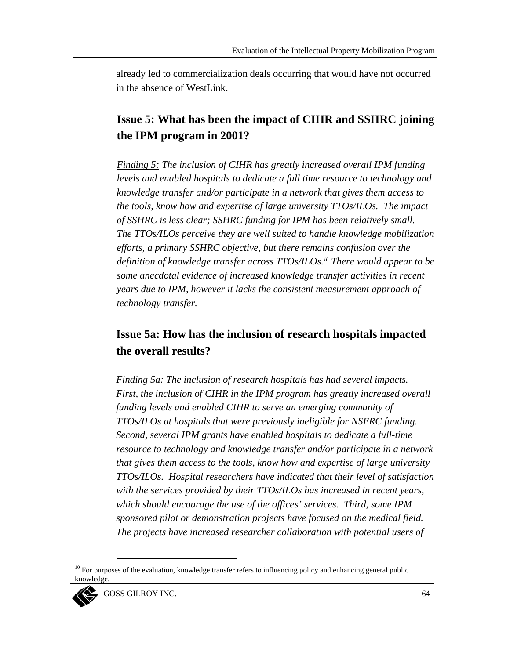already led to commercialization deals occurring that would have not occurred in the absence of WestLink.

### **Issue 5: What has been the impact of CIHR and SSHRC joining the IPM program in 2001?**

*Finding 5: The inclusion of CIHR has greatly increased overall IPM funding levels and enabled hospitals to dedicate a full time resource to technology and knowledge transfer and/or participate in a network that gives them access to the tools, know how and expertise of large university TTOs/ILOs. The impact of SSHRC is less clear; SSHRC funding for IPM has been relatively small. The TTOs/ILOs perceive they are well suited to handle knowledge mobilization efforts, a primary SSHRC objective, but there remains confusion over the definition of knowledge transfer across TTOs/ILOs.10 There would appear to be some anecdotal evidence of increased knowledge transfer activities in recent years due to IPM, however it lacks the consistent measurement approach of technology transfer.* 

### **Issue 5a: How has the inclusion of research hospitals impacted the overall results?**

*Finding 5a: The inclusion of research hospitals has had several impacts. First, the inclusion of CIHR in the IPM program has greatly increased overall funding levels and enabled CIHR to serve an emerging community of TTOs/ILOs at hospitals that were previously ineligible for NSERC funding. Second, several IPM grants have enabled hospitals to dedicate a full-time resource to technology and knowledge transfer and/or participate in a network that gives them access to the tools, know how and expertise of large university TTOs/ILOs. Hospital researchers have indicated that their level of satisfaction with the services provided by their TTOs/ILOs has increased in recent years, which should encourage the use of the offices' services. Third, some IPM sponsored pilot or demonstration projects have focused on the medical field. The projects have increased researcher collaboration with potential users of* 

<sup>&</sup>lt;sup>10</sup> For purposes of the evaluation, knowledge transfer refers to influencing policy and enhancing general public knowledge.

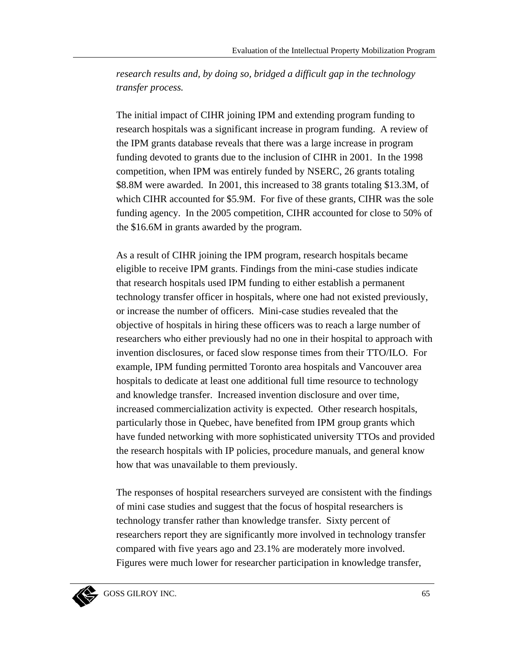*research results and, by doing so, bridged a difficult gap in the technology transfer process.* 

The initial impact of CIHR joining IPM and extending program funding to research hospitals was a significant increase in program funding. A review of the IPM grants database reveals that there was a large increase in program funding devoted to grants due to the inclusion of CIHR in 2001. In the 1998 competition, when IPM was entirely funded by NSERC, 26 grants totaling \$8.8M were awarded. In 2001, this increased to 38 grants totaling \$13.3M, of which CIHR accounted for \$5.9M. For five of these grants, CIHR was the sole funding agency. In the 2005 competition, CIHR accounted for close to 50% of the \$16.6M in grants awarded by the program.

As a result of CIHR joining the IPM program, research hospitals became eligible to receive IPM grants. Findings from the mini-case studies indicate that research hospitals used IPM funding to either establish a permanent technology transfer officer in hospitals, where one had not existed previously, or increase the number of officers. Mini-case studies revealed that the objective of hospitals in hiring these officers was to reach a large number of researchers who either previously had no one in their hospital to approach with invention disclosures, or faced slow response times from their TTO/ILO. For example, IPM funding permitted Toronto area hospitals and Vancouver area hospitals to dedicate at least one additional full time resource to technology and knowledge transfer. Increased invention disclosure and over time, increased commercialization activity is expected. Other research hospitals, particularly those in Quebec, have benefited from IPM group grants which have funded networking with more sophisticated university TTOs and provided the research hospitals with IP policies, procedure manuals, and general know how that was unavailable to them previously.

The responses of hospital researchers surveyed are consistent with the findings of mini case studies and suggest that the focus of hospital researchers is technology transfer rather than knowledge transfer. Sixty percent of researchers report they are significantly more involved in technology transfer compared with five years ago and 23.1% are moderately more involved. Figures were much lower for researcher participation in knowledge transfer,

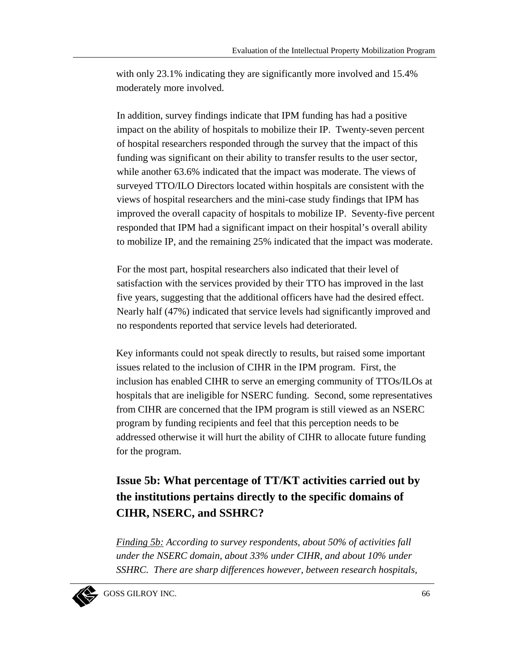with only 23.1% indicating they are significantly more involved and 15.4% moderately more involved.

In addition, survey findings indicate that IPM funding has had a positive impact on the ability of hospitals to mobilize their IP. Twenty-seven percent of hospital researchers responded through the survey that the impact of this funding was significant on their ability to transfer results to the user sector, while another 63.6% indicated that the impact was moderate. The views of surveyed TTO/ILO Directors located within hospitals are consistent with the views of hospital researchers and the mini-case study findings that IPM has improved the overall capacity of hospitals to mobilize IP. Seventy-five percent responded that IPM had a significant impact on their hospital's overall ability to mobilize IP, and the remaining 25% indicated that the impact was moderate.

For the most part, hospital researchers also indicated that their level of satisfaction with the services provided by their TTO has improved in the last five years, suggesting that the additional officers have had the desired effect. Nearly half (47%) indicated that service levels had significantly improved and no respondents reported that service levels had deteriorated.

Key informants could not speak directly to results, but raised some important issues related to the inclusion of CIHR in the IPM program. First, the inclusion has enabled CIHR to serve an emerging community of TTOs/ILOs at hospitals that are ineligible for NSERC funding. Second, some representatives from CIHR are concerned that the IPM program is still viewed as an NSERC program by funding recipients and feel that this perception needs to be addressed otherwise it will hurt the ability of CIHR to allocate future funding for the program.

### **Issue 5b: What percentage of TT/KT activities carried out by the institutions pertains directly to the specific domains of CIHR, NSERC, and SSHRC?**

*Finding 5b: According to survey respondents, about 50% of activities fall under the NSERC domain, about 33% under CIHR, and about 10% under SSHRC. There are sharp differences however, between research hospitals,* 

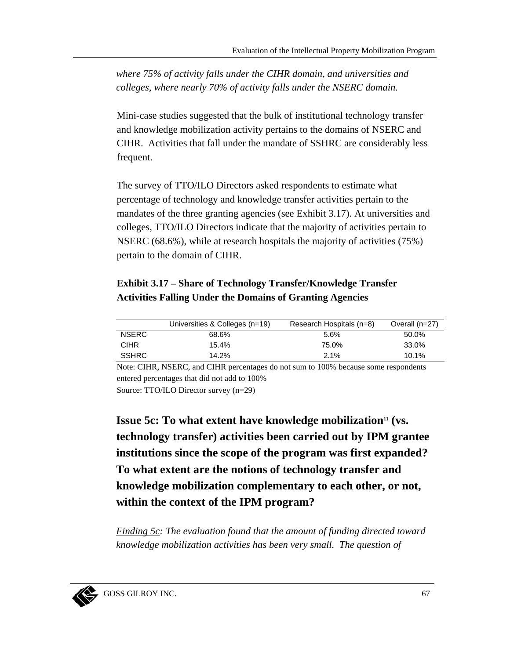*where 75% of activity falls under the CIHR domain, and universities and colleges, where nearly 70% of activity falls under the NSERC domain.* 

Mini-case studies suggested that the bulk of institutional technology transfer and knowledge mobilization activity pertains to the domains of NSERC and CIHR. Activities that fall under the mandate of SSHRC are considerably less frequent.

The survey of TTO/ILO Directors asked respondents to estimate what percentage of technology and knowledge transfer activities pertain to the mandates of the three granting agencies (see Exhibit 3.17). At universities and colleges, TTO/ILO Directors indicate that the majority of activities pertain to NSERC (68.6%), while at research hospitals the majority of activities (75%) pertain to the domain of CIHR.

#### **Exhibit 3.17 – Share of Technology Transfer/Knowledge Transfer Activities Falling Under the Domains of Granting Agencies**

|              | Universities & Colleges (n=19) | Research Hospitals (n=8) | Overall $(n=27)$ |
|--------------|--------------------------------|--------------------------|------------------|
| <b>NSERC</b> | 68.6%                          | 5.6%                     | 50.0%            |
| <b>CIHR</b>  | 15.4%                          | 75.0%                    | 33.0%            |
| <b>SSHRC</b> | $14.2\%$                       | $2.1\%$                  | $10.1\%$         |

Note: CIHR, NSERC, and CIHR percentages do not sum to 100% because some respondents entered percentages that did not add to 100% Source: TTO/ILO Director survey (n=29)

**Issue 5c: To what extent have knowledge mobilization**<sup>11</sup> (vs. **technology transfer) activities been carried out by IPM grantee institutions since the scope of the program was first expanded? To what extent are the notions of technology transfer and knowledge mobilization complementary to each other, or not, within the context of the IPM program?** 

*Finding 5c: The evaluation found that the amount of funding directed toward knowledge mobilization activities has been very small. The question of* 

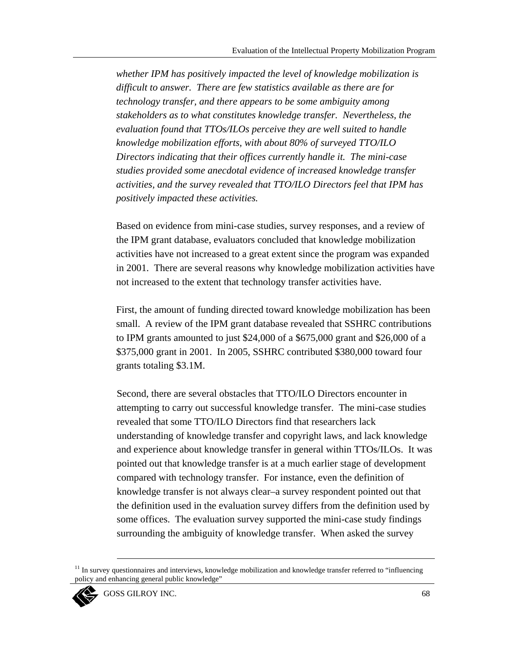*whether IPM has positively impacted the level of knowledge mobilization is difficult to answer. There are few statistics available as there are for technology transfer, and there appears to be some ambiguity among stakeholders as to what constitutes knowledge transfer. Nevertheless, the evaluation found that TTOs/ILOs perceive they are well suited to handle knowledge mobilization efforts, with about 80% of surveyed TTO/ILO Directors indicating that their offices currently handle it. The mini-case studies provided some anecdotal evidence of increased knowledge transfer activities, and the survey revealed that TTO/ILO Directors feel that IPM has positively impacted these activities.* 

Based on evidence from mini-case studies, survey responses, and a review of the IPM grant database, evaluators concluded that knowledge mobilization activities have not increased to a great extent since the program was expanded in 2001. There are several reasons why knowledge mobilization activities have not increased to the extent that technology transfer activities have.

First, the amount of funding directed toward knowledge mobilization has been small. A review of the IPM grant database revealed that SSHRC contributions to IPM grants amounted to just \$24,000 of a \$675,000 grant and \$26,000 of a \$375,000 grant in 2001. In 2005, SSHRC contributed \$380,000 toward four grants totaling \$3.1M.

Second, there are several obstacles that TTO/ILO Directors encounter in attempting to carry out successful knowledge transfer. The mini-case studies revealed that some TTO/ILO Directors find that researchers lack understanding of knowledge transfer and copyright laws, and lack knowledge and experience about knowledge transfer in general within TTOs/ILOs. It was pointed out that knowledge transfer is at a much earlier stage of development compared with technology transfer. For instance, even the definition of knowledge transfer is not always clear–a survey respondent pointed out that the definition used in the evaluation survey differs from the definition used by some offices. The evaluation survey supported the mini-case study findings surrounding the ambiguity of knowledge transfer. When asked the survey

<sup>&</sup>lt;sup>11</sup> In survey questionnaires and interviews, knowledge mobilization and knowledge transfer referred to "influencing policy and enhancing general public knowledge"

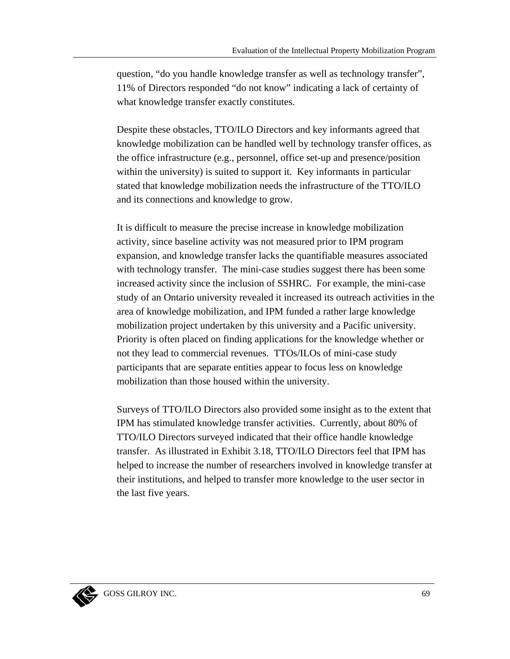question, "do you handle knowledge transfer as well as technology transfer", 11% of Directors responded "do not know" indicating a lack of certainty of what knowledge transfer exactly constitutes.

Despite these obstacles, TTO/ILO Directors and key informants agreed that knowledge mobilization can be handled well by technology transfer offices, as the office infrastructure (e.g., personnel, office set-up and presence/position within the university) is suited to support it. Key informants in particular stated that knowledge mobilization needs the infrastructure of the TTO/ILO and its connections and knowledge to grow.

It is difficult to measure the precise increase in knowledge mobilization activity, since baseline activity was not measured prior to IPM program expansion, and knowledge transfer lacks the quantifiable measures associated with technology transfer. The mini-case studies suggest there has been some increased activity since the inclusion of SSHRC. For example, the mini-case study of an Ontario university revealed it increased its outreach activities in the area of knowledge mobilization, and IPM funded a rather large knowledge mobilization project undertaken by this university and a Pacific university. Priority is often placed on finding applications for the knowledge whether or not they lead to commercial revenues. TTOs/ILOs of mini-case study participants that are separate entities appear to focus less on knowledge mobilization than those housed within the university.

Surveys of TTO/ILO Directors also provided some insight as to the extent that IPM has stimulated knowledge transfer activities. Currently, about 80% of TTO/ILO Directors surveyed indicated that their office handle knowledge transfer. As illustrated in Exhibit 3.18, TTO/ILO Directors feel that IPM has helped to increase the number of researchers involved in knowledge transfer at their institutions, and helped to transfer more knowledge to the user sector in the last five years.

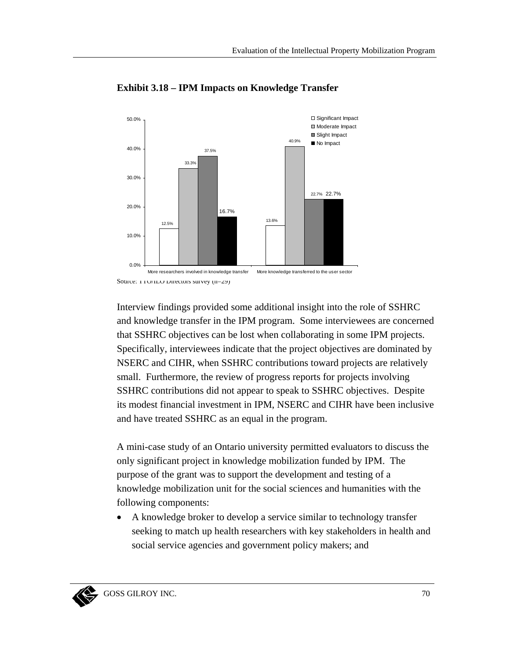

**Exhibit 3.18 – IPM Impacts on Knowledge Transfer** 

Source:  $110/110$  Directors survey  $(n=29)$ 

Interview findings provided some additional insight into the role of SSHRC and knowledge transfer in the IPM program. Some interviewees are concerned that SSHRC objectives can be lost when collaborating in some IPM projects. Specifically, interviewees indicate that the project objectives are dominated by NSERC and CIHR, when SSHRC contributions toward projects are relatively small. Furthermore, the review of progress reports for projects involving SSHRC contributions did not appear to speak to SSHRC objectives. Despite its modest financial investment in IPM, NSERC and CIHR have been inclusive and have treated SSHRC as an equal in the program.

A mini-case study of an Ontario university permitted evaluators to discuss the only significant project in knowledge mobilization funded by IPM. The purpose of the grant was to support the development and testing of a knowledge mobilization unit for the social sciences and humanities with the following components:

• A knowledge broker to develop a service similar to technology transfer seeking to match up health researchers with key stakeholders in health and social service agencies and government policy makers; and

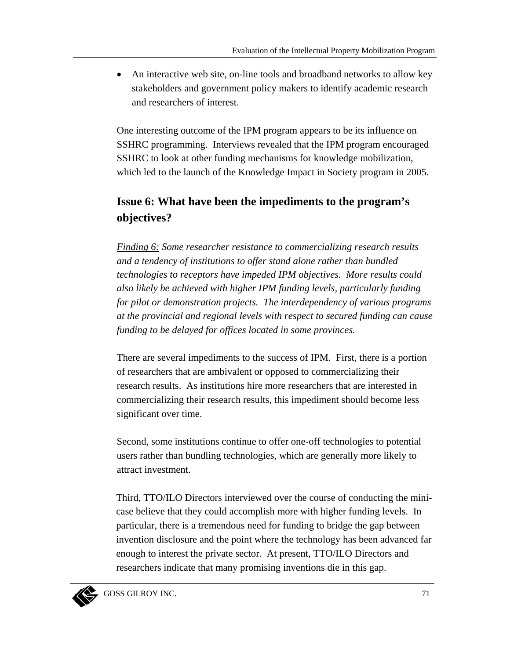• An interactive web site, on-line tools and broadband networks to allow key stakeholders and government policy makers to identify academic research and researchers of interest.

One interesting outcome of the IPM program appears to be its influence on SSHRC programming. Interviews revealed that the IPM program encouraged SSHRC to look at other funding mechanisms for knowledge mobilization, which led to the launch of the Knowledge Impact in Society program in 2005.

### **Issue 6: What have been the impediments to the program's objectives?**

*Finding 6: Some researcher resistance to commercializing research results and a tendency of institutions to offer stand alone rather than bundled technologies to receptors have impeded IPM objectives. More results could also likely be achieved with higher IPM funding levels, particularly funding for pilot or demonstration projects. The interdependency of various programs at the provincial and regional levels with respect to secured funding can cause funding to be delayed for offices located in some provinces.* 

There are several impediments to the success of IPM. First, there is a portion of researchers that are ambivalent or opposed to commercializing their research results. As institutions hire more researchers that are interested in commercializing their research results, this impediment should become less significant over time.

Second, some institutions continue to offer one-off technologies to potential users rather than bundling technologies, which are generally more likely to attract investment.

Third, TTO/ILO Directors interviewed over the course of conducting the minicase believe that they could accomplish more with higher funding levels. In particular, there is a tremendous need for funding to bridge the gap between invention disclosure and the point where the technology has been advanced far enough to interest the private sector. At present, TTO/ILO Directors and researchers indicate that many promising inventions die in this gap.

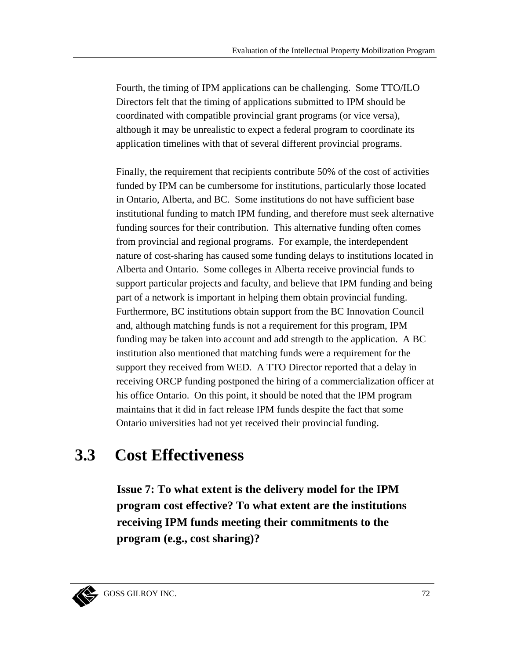Fourth, the timing of IPM applications can be challenging. Some TTO/ILO Directors felt that the timing of applications submitted to IPM should be coordinated with compatible provincial grant programs (or vice versa), although it may be unrealistic to expect a federal program to coordinate its application timelines with that of several different provincial programs.

Finally, the requirement that recipients contribute 50% of the cost of activities funded by IPM can be cumbersome for institutions, particularly those located in Ontario, Alberta, and BC. Some institutions do not have sufficient base institutional funding to match IPM funding, and therefore must seek alternative funding sources for their contribution. This alternative funding often comes from provincial and regional programs. For example, the interdependent nature of cost-sharing has caused some funding delays to institutions located in Alberta and Ontario. Some colleges in Alberta receive provincial funds to support particular projects and faculty, and believe that IPM funding and being part of a network is important in helping them obtain provincial funding. Furthermore, BC institutions obtain support from the BC Innovation Council and, although matching funds is not a requirement for this program, IPM funding may be taken into account and add strength to the application. A BC institution also mentioned that matching funds were a requirement for the support they received from WED. A TTO Director reported that a delay in receiving ORCP funding postponed the hiring of a commercialization officer at his office Ontario. On this point, it should be noted that the IPM program maintains that it did in fact release IPM funds despite the fact that some Ontario universities had not yet received their provincial funding.

## **3.3 Cost Effectiveness**

**Issue 7: To what extent is the delivery model for the IPM program cost effective? To what extent are the institutions receiving IPM funds meeting their commitments to the program (e.g., cost sharing)?** 

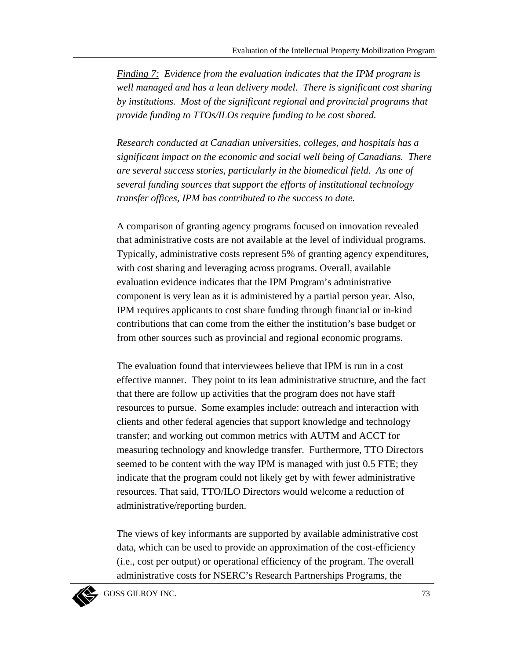*Finding 7: Evidence from the evaluation indicates that the IPM program is well managed and has a lean delivery model. There is significant cost sharing by institutions. Most of the significant regional and provincial programs that provide funding to TTOs/ILOs require funding to be cost shared.* 

*Research conducted at Canadian universities, colleges, and hospitals has a significant impact on the economic and social well being of Canadians. There are several success stories, particularly in the biomedical field. As one of several funding sources that support the efforts of institutional technology transfer offices, IPM has contributed to the success to date.* 

A comparison of granting agency programs focused on innovation revealed that administrative costs are not available at the level of individual programs. Typically, administrative costs represent 5% of granting agency expenditures, with cost sharing and leveraging across programs. Overall, available evaluation evidence indicates that the IPM Program's administrative component is very lean as it is administered by a partial person year. Also, IPM requires applicants to cost share funding through financial or in-kind contributions that can come from the either the institution's base budget or from other sources such as provincial and regional economic programs.

The evaluation found that interviewees believe that IPM is run in a cost effective manner. They point to its lean administrative structure, and the fact that there are follow up activities that the program does not have staff resources to pursue. Some examples include: outreach and interaction with clients and other federal agencies that support knowledge and technology transfer; and working out common metrics with AUTM and ACCT for measuring technology and knowledge transfer. Furthermore, TTO Directors seemed to be content with the way IPM is managed with just 0.5 FTE; they indicate that the program could not likely get by with fewer administrative resources. That said, TTO/ILO Directors would welcome a reduction of administrative/reporting burden.

The views of key informants are supported by available administrative cost data, which can be used to provide an approximation of the cost-efficiency (i.e., cost per output) or operational efficiency of the program. The overall administrative costs for NSERC's Research Partnerships Programs, the

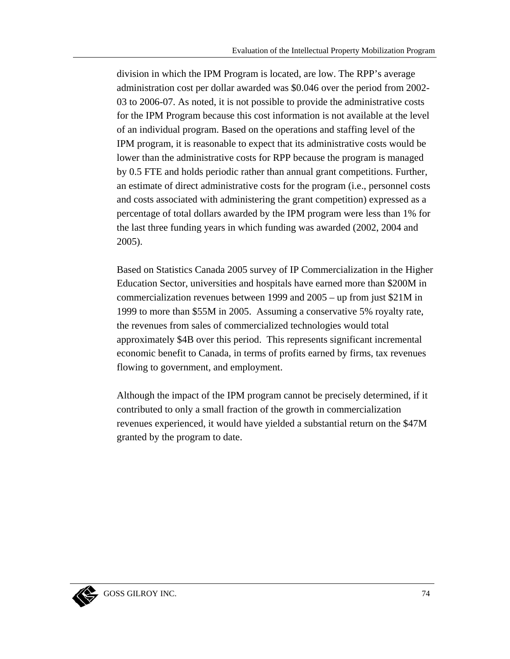division in which the IPM Program is located, are low. The RPP's average administration cost per dollar awarded was \$0.046 over the period from 2002- 03 to 2006-07. As noted, it is not possible to provide the administrative costs for the IPM Program because this cost information is not available at the level of an individual program. Based on the operations and staffing level of the IPM program, it is reasonable to expect that its administrative costs would be lower than the administrative costs for RPP because the program is managed by 0.5 FTE and holds periodic rather than annual grant competitions. Further, an estimate of direct administrative costs for the program (i.e., personnel costs and costs associated with administering the grant competition) expressed as a percentage of total dollars awarded by the IPM program were less than 1% for the last three funding years in which funding was awarded (2002, 2004 and 2005).

Based on Statistics Canada 2005 survey of IP Commercialization in the Higher Education Sector, universities and hospitals have earned more than \$200M in commercialization revenues between 1999 and 2005 – up from just \$21M in 1999 to more than \$55M in 2005. Assuming a conservative 5% royalty rate, the revenues from sales of commercialized technologies would total approximately \$4B over this period. This represents significant incremental economic benefit to Canada, in terms of profits earned by firms, tax revenues flowing to government, and employment.

Although the impact of the IPM program cannot be precisely determined, if it contributed to only a small fraction of the growth in commercialization revenues experienced, it would have yielded a substantial return on the \$47M granted by the program to date.

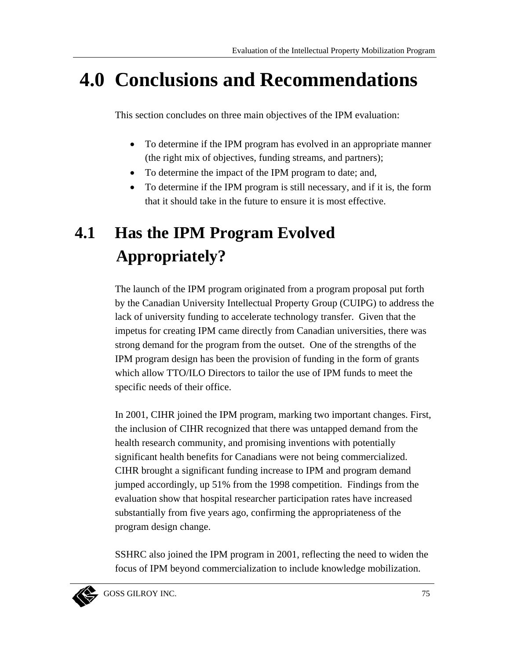# **4.0 Conclusions and Recommendations**

This section concludes on three main objectives of the IPM evaluation:

- To determine if the IPM program has evolved in an appropriate manner (the right mix of objectives, funding streams, and partners);
- To determine the impact of the IPM program to date; and,
- To determine if the IPM program is still necessary, and if it is, the form that it should take in the future to ensure it is most effective.

## **4.1 Has the IPM Program Evolved Appropriately?**

The launch of the IPM program originated from a program proposal put forth by the Canadian University Intellectual Property Group (CUIPG) to address the lack of university funding to accelerate technology transfer. Given that the impetus for creating IPM came directly from Canadian universities, there was strong demand for the program from the outset. One of the strengths of the IPM program design has been the provision of funding in the form of grants which allow TTO/ILO Directors to tailor the use of IPM funds to meet the specific needs of their office.

In 2001, CIHR joined the IPM program, marking two important changes. First, the inclusion of CIHR recognized that there was untapped demand from the health research community, and promising inventions with potentially significant health benefits for Canadians were not being commercialized. CIHR brought a significant funding increase to IPM and program demand jumped accordingly, up 51% from the 1998 competition. Findings from the evaluation show that hospital researcher participation rates have increased substantially from five years ago, confirming the appropriateness of the program design change.

SSHRC also joined the IPM program in 2001, reflecting the need to widen the focus of IPM beyond commercialization to include knowledge mobilization.

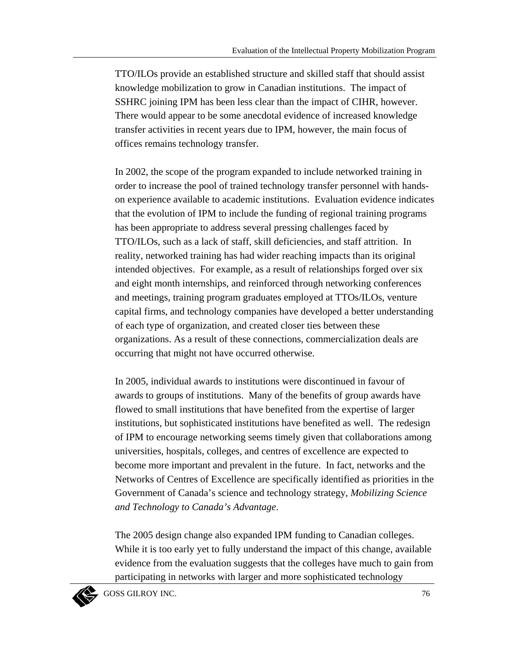TTO/ILOs provide an established structure and skilled staff that should assist knowledge mobilization to grow in Canadian institutions. The impact of SSHRC joining IPM has been less clear than the impact of CIHR, however. There would appear to be some anecdotal evidence of increased knowledge transfer activities in recent years due to IPM, however, the main focus of offices remains technology transfer.

In 2002, the scope of the program expanded to include networked training in order to increase the pool of trained technology transfer personnel with handson experience available to academic institutions. Evaluation evidence indicates that the evolution of IPM to include the funding of regional training programs has been appropriate to address several pressing challenges faced by TTO/ILOs, such as a lack of staff, skill deficiencies, and staff attrition. In reality, networked training has had wider reaching impacts than its original intended objectives. For example, as a result of relationships forged over six and eight month internships, and reinforced through networking conferences and meetings, training program graduates employed at TTOs/ILOs, venture capital firms, and technology companies have developed a better understanding of each type of organization, and created closer ties between these organizations. As a result of these connections, commercialization deals are occurring that might not have occurred otherwise.

In 2005, individual awards to institutions were discontinued in favour of awards to groups of institutions. Many of the benefits of group awards have flowed to small institutions that have benefited from the expertise of larger institutions, but sophisticated institutions have benefited as well. The redesign of IPM to encourage networking seems timely given that collaborations among universities, hospitals, colleges, and centres of excellence are expected to become more important and prevalent in the future. In fact, networks and the Networks of Centres of Excellence are specifically identified as priorities in the Government of Canada's science and technology strategy, *Mobilizing Science and Technology to Canada's Advantage*.

The 2005 design change also expanded IPM funding to Canadian colleges. While it is too early yet to fully understand the impact of this change, available evidence from the evaluation suggests that the colleges have much to gain from participating in networks with larger and more sophisticated technology

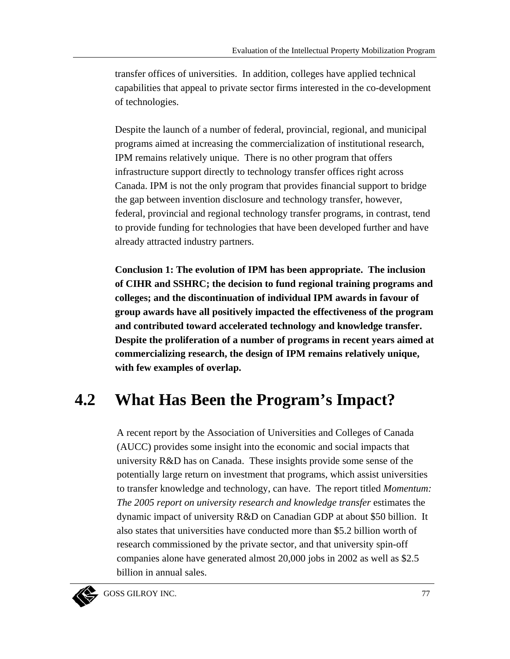transfer offices of universities. In addition, colleges have applied technical capabilities that appeal to private sector firms interested in the co-development of technologies.

Despite the launch of a number of federal, provincial, regional, and municipal programs aimed at increasing the commercialization of institutional research, IPM remains relatively unique. There is no other program that offers infrastructure support directly to technology transfer offices right across Canada. IPM is not the only program that provides financial support to bridge the gap between invention disclosure and technology transfer, however, federal, provincial and regional technology transfer programs, in contrast, tend to provide funding for technologies that have been developed further and have already attracted industry partners.

**Conclusion 1: The evolution of IPM has been appropriate. The inclusion of CIHR and SSHRC; the decision to fund regional training programs and colleges; and the discontinuation of individual IPM awards in favour of group awards have all positively impacted the effectiveness of the program and contributed toward accelerated technology and knowledge transfer. Despite the proliferation of a number of programs in recent years aimed at commercializing research, the design of IPM remains relatively unique, with few examples of overlap.** 

## **4.2 What Has Been the Program's Impact?**

A recent report by the Association of Universities and Colleges of Canada (AUCC) provides some insight into the economic and social impacts that university R&D has on Canada. These insights provide some sense of the potentially large return on investment that programs, which assist universities to transfer knowledge and technology, can have. The report titled *Momentum: The 2005 report on university research and knowledge transfer* estimates the dynamic impact of university R&D on Canadian GDP at about \$50 billion. It also states that universities have conducted more than \$5.2 billion worth of research commissioned by the private sector, and that university spin-off companies alone have generated almost 20,000 jobs in 2002 as well as \$2.5 billion in annual sales.

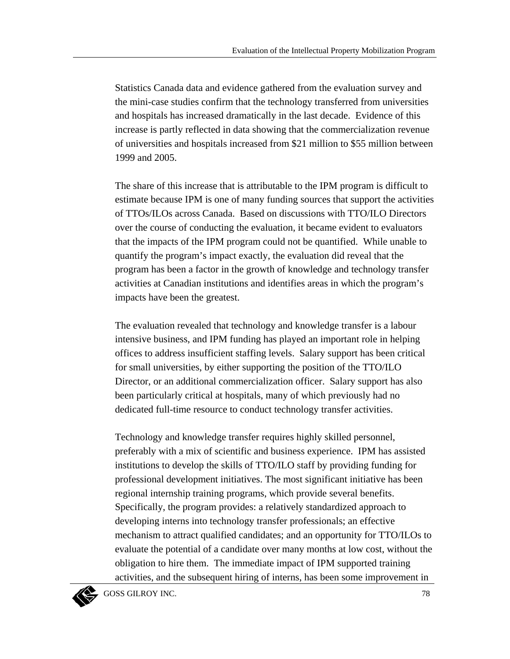Statistics Canada data and evidence gathered from the evaluation survey and the mini-case studies confirm that the technology transferred from universities and hospitals has increased dramatically in the last decade. Evidence of this increase is partly reflected in data showing that the commercialization revenue of universities and hospitals increased from \$21 million to \$55 million between 1999 and 2005.

The share of this increase that is attributable to the IPM program is difficult to estimate because IPM is one of many funding sources that support the activities of TTOs/ILOs across Canada. Based on discussions with TTO/ILO Directors over the course of conducting the evaluation, it became evident to evaluators that the impacts of the IPM program could not be quantified. While unable to quantify the program's impact exactly, the evaluation did reveal that the program has been a factor in the growth of knowledge and technology transfer activities at Canadian institutions and identifies areas in which the program's impacts have been the greatest.

The evaluation revealed that technology and knowledge transfer is a labour intensive business, and IPM funding has played an important role in helping offices to address insufficient staffing levels. Salary support has been critical for small universities, by either supporting the position of the TTO/ILO Director, or an additional commercialization officer. Salary support has also been particularly critical at hospitals, many of which previously had no dedicated full-time resource to conduct technology transfer activities.

Technology and knowledge transfer requires highly skilled personnel, preferably with a mix of scientific and business experience. IPM has assisted institutions to develop the skills of TTO/ILO staff by providing funding for professional development initiatives. The most significant initiative has been regional internship training programs, which provide several benefits. Specifically, the program provides: a relatively standardized approach to developing interns into technology transfer professionals; an effective mechanism to attract qualified candidates; and an opportunity for TTO/ILOs to evaluate the potential of a candidate over many months at low cost, without the obligation to hire them. The immediate impact of IPM supported training activities, and the subsequent hiring of interns, has been some improvement in

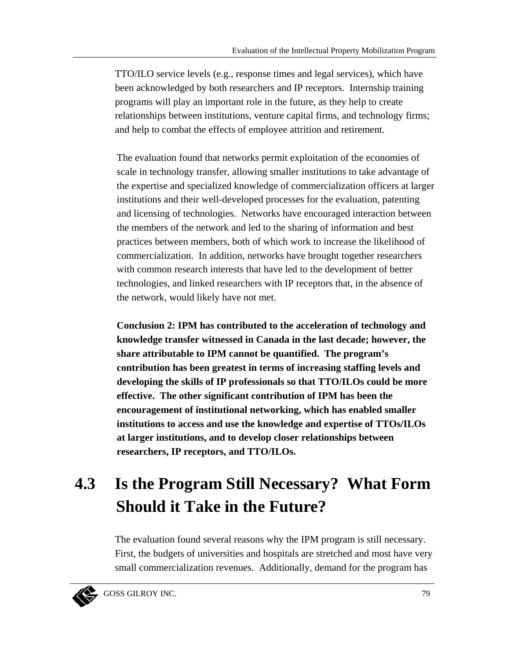TTO/ILO service levels (e.g., response times and legal services), which have been acknowledged by both researchers and IP receptors. Internship training programs will play an important role in the future, as they help to create relationships between institutions, venture capital firms, and technology firms; and help to combat the effects of employee attrition and retirement.

The evaluation found that networks permit exploitation of the economies of scale in technology transfer, allowing smaller institutions to take advantage of the expertise and specialized knowledge of commercialization officers at larger institutions and their well-developed processes for the evaluation, patenting and licensing of technologies. Networks have encouraged interaction between the members of the network and led to the sharing of information and best practices between members, both of which work to increase the likelihood of commercialization. In addition, networks have brought together researchers with common research interests that have led to the development of better technologies, and linked researchers with IP receptors that, in the absence of the network, would likely have not met.

**Conclusion 2: IPM has contributed to the acceleration of technology and knowledge transfer witnessed in Canada in the last decade; however, the share attributable to IPM cannot be quantified. The program's contribution has been greatest in terms of increasing staffing levels and developing the skills of IP professionals so that TTO/ILOs could be more effective. The other significant contribution of IPM has been the encouragement of institutional networking, which has enabled smaller institutions to access and use the knowledge and expertise of TTOs/ILOs at larger institutions, and to develop closer relationships between researchers, IP receptors, and TTO/ILOs.** 

## **4.3 Is the Program Still Necessary? What Form Should it Take in the Future?**

The evaluation found several reasons why the IPM program is still necessary. First, the budgets of universities and hospitals are stretched and most have very small commercialization revenues. Additionally, demand for the program has

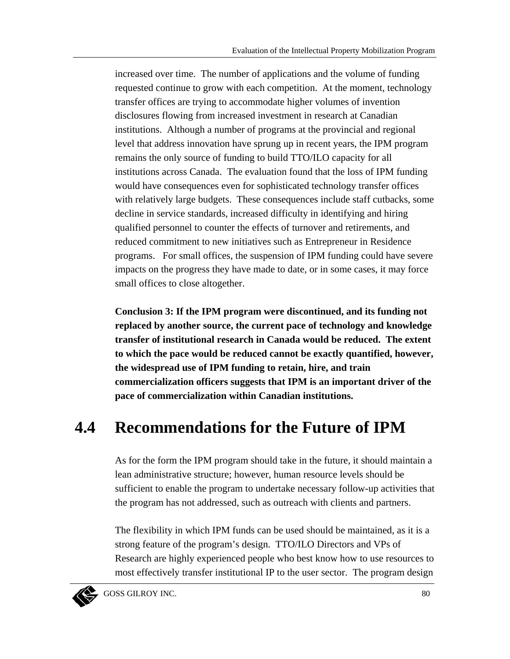increased over time. The number of applications and the volume of funding requested continue to grow with each competition. At the moment, technology transfer offices are trying to accommodate higher volumes of invention disclosures flowing from increased investment in research at Canadian institutions. Although a number of programs at the provincial and regional level that address innovation have sprung up in recent years, the IPM program remains the only source of funding to build TTO/ILO capacity for all institutions across Canada. The evaluation found that the loss of IPM funding would have consequences even for sophisticated technology transfer offices with relatively large budgets. These consequences include staff cutbacks, some decline in service standards, increased difficulty in identifying and hiring qualified personnel to counter the effects of turnover and retirements, and reduced commitment to new initiatives such as Entrepreneur in Residence programs. For small offices, the suspension of IPM funding could have severe impacts on the progress they have made to date, or in some cases, it may force small offices to close altogether.

**Conclusion 3: If the IPM program were discontinued, and its funding not replaced by another source, the current pace of technology and knowledge transfer of institutional research in Canada would be reduced. The extent to which the pace would be reduced cannot be exactly quantified, however, the widespread use of IPM funding to retain, hire, and train commercialization officers suggests that IPM is an important driver of the pace of commercialization within Canadian institutions.** 

## **4.4 Recommendations for the Future of IPM**

As for the form the IPM program should take in the future, it should maintain a lean administrative structure; however, human resource levels should be sufficient to enable the program to undertake necessary follow-up activities that the program has not addressed, such as outreach with clients and partners.

The flexibility in which IPM funds can be used should be maintained, as it is a strong feature of the program's design. TTO/ILO Directors and VPs of Research are highly experienced people who best know how to use resources to most effectively transfer institutional IP to the user sector. The program design

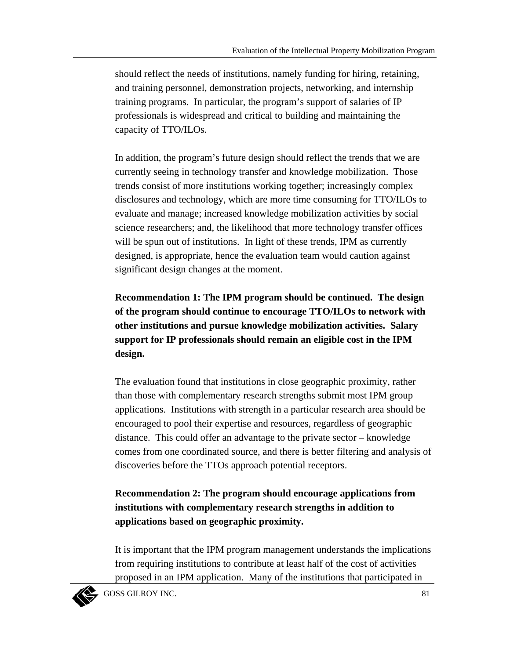should reflect the needs of institutions, namely funding for hiring, retaining, and training personnel, demonstration projects, networking, and internship training programs. In particular, the program's support of salaries of IP professionals is widespread and critical to building and maintaining the capacity of TTO/ILOs.

In addition, the program's future design should reflect the trends that we are currently seeing in technology transfer and knowledge mobilization. Those trends consist of more institutions working together; increasingly complex disclosures and technology, which are more time consuming for TTO/ILOs to evaluate and manage; increased knowledge mobilization activities by social science researchers; and, the likelihood that more technology transfer offices will be spun out of institutions. In light of these trends, IPM as currently designed, is appropriate, hence the evaluation team would caution against significant design changes at the moment.

**Recommendation 1: The IPM program should be continued. The design of the program should continue to encourage TTO/ILOs to network with other institutions and pursue knowledge mobilization activities. Salary support for IP professionals should remain an eligible cost in the IPM design.** 

The evaluation found that institutions in close geographic proximity, rather than those with complementary research strengths submit most IPM group applications. Institutions with strength in a particular research area should be encouraged to pool their expertise and resources, regardless of geographic distance. This could offer an advantage to the private sector – knowledge comes from one coordinated source, and there is better filtering and analysis of discoveries before the TTOs approach potential receptors.

**Recommendation 2: The program should encourage applications from institutions with complementary research strengths in addition to applications based on geographic proximity.** 

It is important that the IPM program management understands the implications from requiring institutions to contribute at least half of the cost of activities proposed in an IPM application. Many of the institutions that participated in

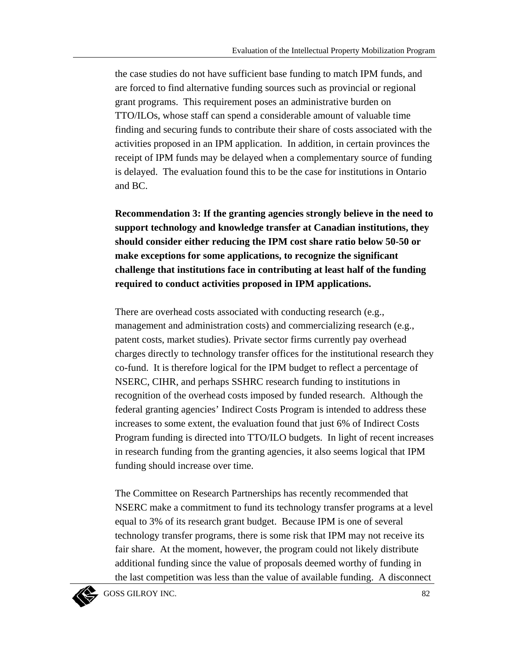the case studies do not have sufficient base funding to match IPM funds, and are forced to find alternative funding sources such as provincial or regional grant programs. This requirement poses an administrative burden on TTO/ILOs, whose staff can spend a considerable amount of valuable time finding and securing funds to contribute their share of costs associated with the activities proposed in an IPM application. In addition, in certain provinces the receipt of IPM funds may be delayed when a complementary source of funding is delayed. The evaluation found this to be the case for institutions in Ontario and BC.

**Recommendation 3: If the granting agencies strongly believe in the need to support technology and knowledge transfer at Canadian institutions, they should consider either reducing the IPM cost share ratio below 50-50 or make exceptions for some applications, to recognize the significant challenge that institutions face in contributing at least half of the funding required to conduct activities proposed in IPM applications.** 

There are overhead costs associated with conducting research (e.g., management and administration costs) and commercializing research (e.g., patent costs, market studies). Private sector firms currently pay overhead charges directly to technology transfer offices for the institutional research they co-fund. It is therefore logical for the IPM budget to reflect a percentage of NSERC, CIHR, and perhaps SSHRC research funding to institutions in recognition of the overhead costs imposed by funded research. Although the federal granting agencies' Indirect Costs Program is intended to address these increases to some extent, the evaluation found that just 6% of Indirect Costs Program funding is directed into TTO/ILO budgets. In light of recent increases in research funding from the granting agencies, it also seems logical that IPM funding should increase over time.

The Committee on Research Partnerships has recently recommended that NSERC make a commitment to fund its technology transfer programs at a level equal to 3% of its research grant budget. Because IPM is one of several technology transfer programs, there is some risk that IPM may not receive its fair share. At the moment, however, the program could not likely distribute additional funding since the value of proposals deemed worthy of funding in the last competition was less than the value of available funding. A disconnect

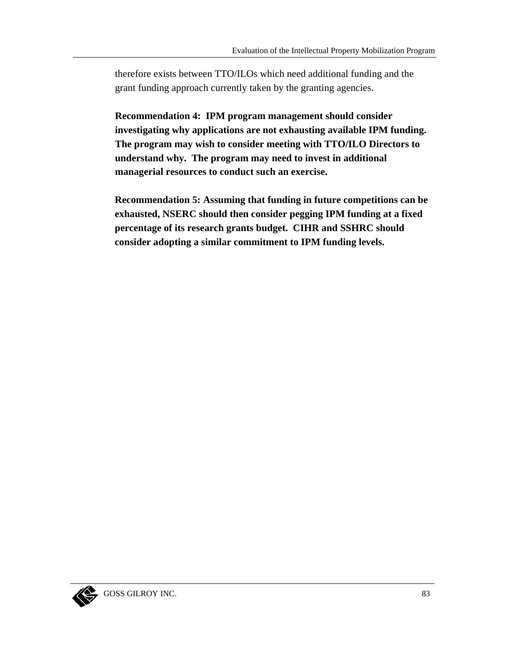therefore exists between TTO/ILOs which need additional funding and the grant funding approach currently taken by the granting agencies.

**Recommendation 4: IPM program management should consider investigating why applications are not exhausting available IPM funding. The program may wish to consider meeting with TTO/ILO Directors to understand why. The program may need to invest in additional managerial resources to conduct such an exercise.** 

**Recommendation 5: Assuming that funding in future competitions can be exhausted, NSERC should then consider pegging IPM funding at a fixed percentage of its research grants budget. CIHR and SSHRC should consider adopting a similar commitment to IPM funding levels.** 

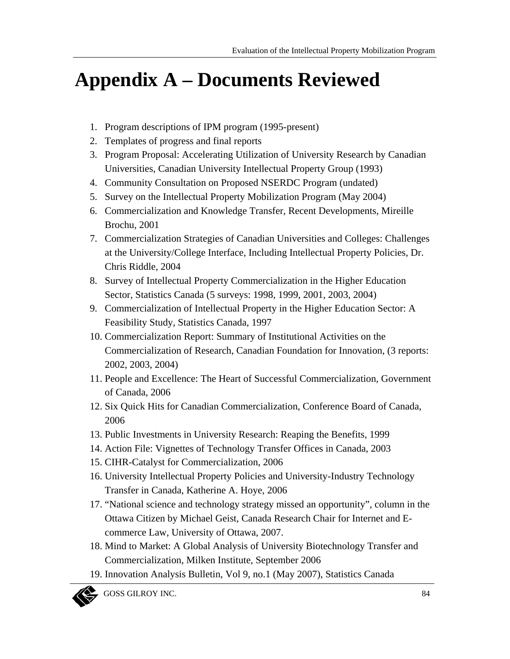# **Appendix A – Documents Reviewed**

- 1. Program descriptions of IPM program (1995-present)
- 2. Templates of progress and final reports
- 3. Program Proposal: Accelerating Utilization of University Research by Canadian Universities, Canadian University Intellectual Property Group (1993)
- 4. Community Consultation on Proposed NSERDC Program (undated)
- 5. Survey on the Intellectual Property Mobilization Program (May 2004)
- 6. Commercialization and Knowledge Transfer, Recent Developments, Mireille Brochu, 2001
- 7. Commercialization Strategies of Canadian Universities and Colleges: Challenges at the University/College Interface, Including Intellectual Property Policies, Dr. Chris Riddle, 2004
- 8. Survey of Intellectual Property Commercialization in the Higher Education Sector, Statistics Canada (5 surveys: 1998, 1999, 2001, 2003, 2004)
- 9. Commercialization of Intellectual Property in the Higher Education Sector: A Feasibility Study, Statistics Canada, 1997
- 10. Commercialization Report: Summary of Institutional Activities on the Commercialization of Research, Canadian Foundation for Innovation, (3 reports: 2002, 2003, 2004)
- 11. People and Excellence: The Heart of Successful Commercialization, Government of Canada, 2006
- 12. Six Quick Hits for Canadian Commercialization, Conference Board of Canada, 2006
- 13. Public Investments in University Research: Reaping the Benefits, 1999
- 14. Action File: Vignettes of Technology Transfer Offices in Canada, 2003
- 15. CIHR-Catalyst for Commercialization, 2006
- 16. University Intellectual Property Policies and University-Industry Technology Transfer in Canada, Katherine A. Hoye, 2006
- 17. "National science and technology strategy missed an opportunity", column in the Ottawa Citizen by Michael Geist, Canada Research Chair for Internet and Ecommerce Law, University of Ottawa, 2007.
- 18. Mind to Market: A Global Analysis of University Biotechnology Transfer and Commercialization, Milken Institute, September 2006
- 19. Innovation Analysis Bulletin, Vol 9, no.1 (May 2007), Statistics Canada